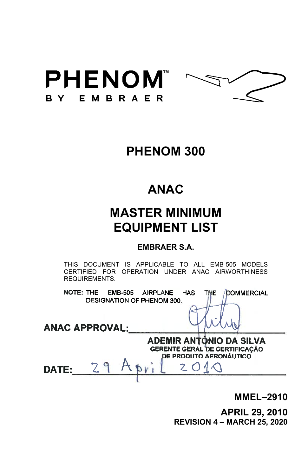



## **PHENOM 300**

# **ANAC**

# **MASTER MINIMUM EQUIPMENT LIST**

#### **EMBRAER S.A.**

THIS DOCUMENT IS APPLICABLE TO ALL EMB-505 MODELS CERTIFIED FOR OPERATION UNDER ANAC AIRWORTHINESS REQUIREMENTS.

**NOTE: THE EMB-505 AIRPLANE HAS THE COMMERCIAL** DESIGNATION OF PHENOM 300.

**ANAC APPROVAL:** 

**ADEMIR ANTÔNIO DA SILVA GERENTE GERAL DE CERTIFICAÇÃO DE PRODUTO AERONÁUTICO** 

DATE:

**MMEL–2910** 

**APRIL 29, 2010 REVISION 4 – MARCH 25, 2020**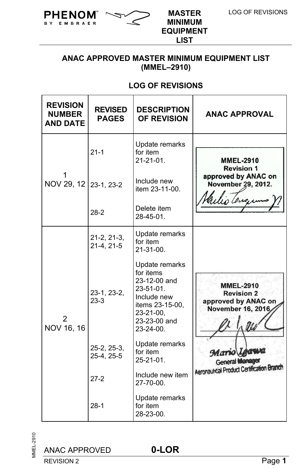

BY EMBRAER

**MINIMUM EQUIPMENT LIST**

#### **ANAC APPROVED MASTER MINIMUM EQUIPMENT LIST (MMEL–2910)**

## **LOG OF REVISIONS**

| <b>REVISION</b><br><b>NUMBER</b><br><b>AND DATE</b> | <b>REVISED</b><br><b>PAGES</b> | <b>DESCRIPTION</b><br><b>OF REVISION</b>                                                                                                           | <b>ANAC APPROVAL</b>                                                                     |
|-----------------------------------------------------|--------------------------------|----------------------------------------------------------------------------------------------------------------------------------------------------|------------------------------------------------------------------------------------------|
|                                                     | $21 - 1$                       | Update remarks<br>for item<br>$21 - 21 - 01$                                                                                                       | <b>MMEL-2910</b><br><b>Revision 1</b>                                                    |
| NOV 29, 12 23-1, 23-2                               |                                | Include new<br>item 23-11-00.                                                                                                                      | approved by ANAC on<br>November 29, 2012.<br>lis Censu                                   |
|                                                     | $28-2$                         | Delete item<br>28-45-01.                                                                                                                           |                                                                                          |
|                                                     | $21-2, 21-3,$<br>21-4, 21-5    | Update remarks<br>for item<br>$21 - 31 - 00$ .                                                                                                     |                                                                                          |
| 2<br>NOV 16, 16                                     | 23-1, 23-2,<br>$23-3$          | Update remarks<br>for items<br>23-12-00 and<br>$23 - 51 - 01$ .<br>Include new<br>items 23-15-00.<br>23-21-00,<br>23-23-00 and<br>$23 - 24 - 00$ . | <b>MMEL-2910</b><br><b>Revision 2</b><br>approved by ANAC on<br><b>November 16, 2016</b> |
|                                                     | 25-2, 25-3,<br>25-4, 25-5      | Update remarks<br>for item<br>$25 - 21 - 01$                                                                                                       | Mario Lea<br><b>General Manager</b>                                                      |
|                                                     | $27-2$                         | Include new item<br>$27 - 70 - 00$ .                                                                                                               | Aeronautical Product Certification Branch                                                |
|                                                     | $28-1$                         | Update remarks<br>for item<br>28-23-00.                                                                                                            |                                                                                          |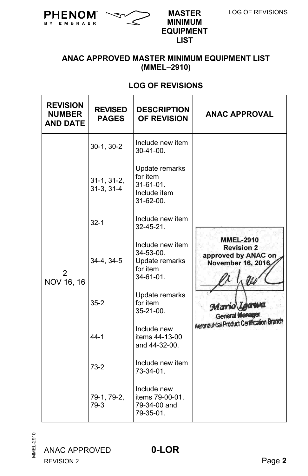

B Y

EMBRAER

**MINIMUM EQUIPMENT LIST**

#### **ANAC APPROVED MASTER MINIMUM EQUIPMENT LIST (MMEL–2910)**

## **LOG OF REVISIONS**

| <b>REVISION</b><br><b>NUMBER</b><br><b>AND DATE</b> | <b>REVISED</b><br><b>PAGES</b> | <b>DESCRIPTION</b><br><b>OF REVISION</b>                                           | <b>ANAC APPROVAL</b>                                                               |
|-----------------------------------------------------|--------------------------------|------------------------------------------------------------------------------------|------------------------------------------------------------------------------------|
|                                                     | 30-1, 30-2                     | Include new item<br>$30 - 41 - 00$ .                                               |                                                                                    |
|                                                     | $31-1, 31-2,$<br>$31-3, 31-4$  | Update remarks<br>for item<br>$31 - 61 - 01$ .<br>Include item<br>$31 - 62 - 00$ . |                                                                                    |
|                                                     | $32 - 1$                       | Include new item<br>$32 - 45 - 21$ .                                               |                                                                                    |
| 2<br>NOV 16, 16                                     | 34-4, 34-5                     | Include new item<br>34-53-00.<br>Update remarks<br>for item<br>$34 - 61 - 01$ .    | <b>MMEL-2910</b><br><b>Revision 2</b><br>approved by ANAC on<br>November 16, 2016, |
|                                                     | $35-2$                         | Update remarks<br>for item<br>35-21-00.                                            | Mario Loawa<br><b>General Manager</b>                                              |
|                                                     | $44-1$                         | Include new<br>items 44-13-00<br>and 44-32-00.                                     | Aeronautical Product Certification Branch                                          |
|                                                     | $73-2$                         | Include new item<br>73-34-01.                                                      |                                                                                    |
|                                                     | 79-1, 79-2,<br>79-3            | Include new<br>items 79-00-01,<br>79-34-00 and<br>79-35-01.                        |                                                                                    |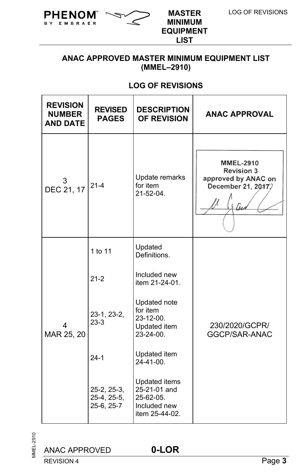

B Y

EMBRAER

**MINIMUM EQUIPMENT LIST**

#### **ANAC APPROVED MASTER MINIMUM EQUIPMENT LIST (MMEL–2910)**

## **LOG OF REVISIONS**

| <b>REVISION</b><br><b>NUMBER</b><br><b>AND DATE</b> | <b>REVISED</b><br><b>PAGES</b>           | <b>DESCRIPTION</b><br><b>OF REVISION</b>                                     | <b>ANAC APPROVAL</b>                                                               |
|-----------------------------------------------------|------------------------------------------|------------------------------------------------------------------------------|------------------------------------------------------------------------------------|
| 3<br>DEC 21, 17                                     | $21 - 4$                                 | Update remarks<br>for item<br>21-52-04.                                      | <b>MMEL-2910</b><br><b>Revision 3</b><br>approved by ANAC on<br>December 21, 20177 |
|                                                     | 1 to 11                                  | Updated<br>Definitions.                                                      |                                                                                    |
|                                                     | $21 - 2$                                 | Included new<br>item 21-24-01.                                               |                                                                                    |
| MAR 25, 20                                          | 23-1, 23-2,<br>$23-3$                    | Updated note<br>for item<br>23-12-00.<br>Updated item<br>23-24-00.           | 230/2020/GCPR/<br>GGCP/SAR-ANAC                                                    |
|                                                     | $24-1$                                   | Updated item<br>24-41-00.                                                    |                                                                                    |
|                                                     | 25-2, 25-3,<br>25-4, 25-5,<br>25-6, 25-7 | Updated items<br>25-21-01 and<br>25-62-05.<br>Included new<br>item 25-44-02. |                                                                                    |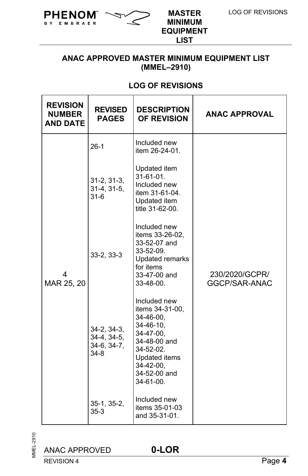

BY EMBRAER

**MINIMUM EQUIPMENT LIST**

#### **ANAC APPROVED MASTER MINIMUM EQUIPMENT LIST (MMEL–2910)**

## **LOG OF REVISIONS**

| <b>REVISION</b><br><b>NUMBER</b><br><b>AND DATE</b> | <b>REVISED</b><br><b>PAGES</b>                          | <b>DESCRIPTION</b><br><b>OF REVISION</b>                                                                                                                                   | <b>ANAC APPROVAL</b>            |  |  |
|-----------------------------------------------------|---------------------------------------------------------|----------------------------------------------------------------------------------------------------------------------------------------------------------------------------|---------------------------------|--|--|
|                                                     | $26-1$                                                  | Included new<br>item 26-24-01.                                                                                                                                             |                                 |  |  |
|                                                     | $31-2, 31-3,$<br>$31-4, 31-5,$<br>$31-6$                | Updated item<br>$31-61-01$ .<br>Included new<br>item 31-61-04.<br>Updated item<br>title 31-62-00.                                                                          |                                 |  |  |
| 4<br>MAR 25, 20                                     | $33 - 2, 33 - 3$                                        | Included new<br>items 33-26-02,<br>33-52-07 and<br>33-52-09.<br><b>Updated remarks</b><br>for items<br>33-47-00 and<br>33-48-00.                                           | 230/2020/GCPR/<br>GGCP/SAR-ANAC |  |  |
|                                                     | $34-2, 34-3,$<br>34-4, 34-5,<br>$34-6, 34-7,$<br>$34-8$ | Included new<br>items 34-31-00.<br>$34 - 46 - 00$<br>$34 - 46 - 10$ ,<br>34-47-00,<br>34-48-00 and<br>34-52-02.<br>Updated items<br>34-42-00,<br>34-52-00 and<br>34-61-00. |                                 |  |  |
|                                                     | $35-1, 35-2,$<br>$35 - 3$                               | Included new<br>items 35-01-03<br>and 35-31-01.                                                                                                                            |                                 |  |  |

**MMEL-2910** MMEL-2910

ANAC APPROVED **0-LOR**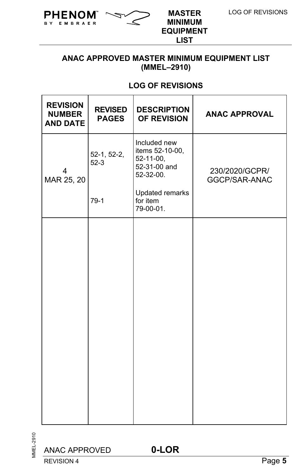

BY.

EMBRAER

**MINIMUM EQUIPMENT LIST**

#### **ANAC APPROVED MASTER MINIMUM EQUIPMENT LIST (MMEL–2910)**

## **LOG OF REVISIONS**

| <b>REVISION</b><br><b>NUMBER</b><br><b>AND DATE</b> | <b>REVISED</b><br><b>PAGES</b> | <b>DESCRIPTION</b><br>OF REVISION                                         | <b>ANAC APPROVAL</b>            |
|-----------------------------------------------------|--------------------------------|---------------------------------------------------------------------------|---------------------------------|
| 4<br>MAR 25, 20                                     | 52-1, 52-2,<br>$52-3$          | Included new<br>items 52-10-00,<br>52-11-00,<br>52-31-00 and<br>52-32-00. | 230/2020/GCPR/<br>GGCP/SAR-ANAC |
|                                                     | $79-1$                         | Updated remarks<br>for item<br>79-00-01.                                  |                                 |
|                                                     |                                |                                                                           |                                 |
|                                                     |                                |                                                                           |                                 |
|                                                     |                                |                                                                           |                                 |
|                                                     |                                |                                                                           |                                 |
|                                                     |                                |                                                                           |                                 |
|                                                     |                                |                                                                           |                                 |
|                                                     |                                |                                                                           |                                 |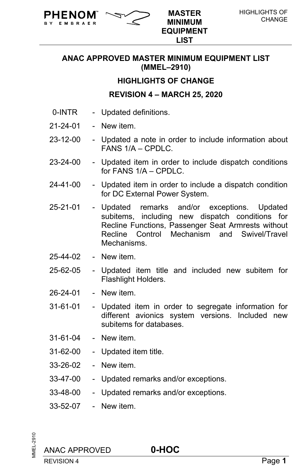

**MINIMUM EQUIPMENT LIST**

#### **HIGHLIGHTS OF CHANGE**

#### **REVISION 4 – MARCH 25, 2020**

0-INTR - Updated definitions.

**PHENOM**  $\sim$   $\sim$  master

21-24-01 - New item.

**EMBRAFR** 

- 23-12-00 Updated a note in order to include information about FANS  $1/A$  – CPDLC.
- 23-24-00 Updated item in order to include dispatch conditions for FANS 1/A – CPDLC.
- 24-41-00 Updated item in order to include a dispatch condition for DC External Power System.
- 25-21-01 Updated remarks and/or exceptions. Updated subitems, including new dispatch conditions for Recline Functions, Passenger Seat Armrests without Recline Control Mechanism and Swivel/Travel **Mechanisms**
- 25-44-02 New item.
- 25-62-05 Updated item title and included new subitem for Flashlight Holders.
- 26-24-01 New item.
- 31-61-01 Updated item in order to segregate information for different avionics system versions. Included new subitems for databases.
- 31-61-04 New item.
- 31-62-00 Updated item title.
- 33-26-02 New item.
- 33-47-00 Updated remarks and/or exceptions.
- 33-48-00 Updated remarks and/or exceptions.
- 33-52-07 New item.

**INEL-2910** MMEL-2910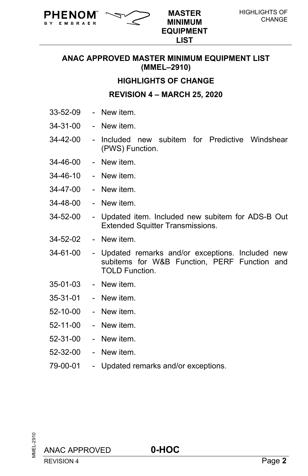

**MINIMUM EQUIPMENT LIST**

#### **HIGHLIGHTS OF CHANGE**

**REVISION 4 – MARCH 25, 2020**

33-52-09 - New item.

**EMBRAFR** 

**PHENOM**  $\sim$   $\sim$  master

- 34-31-00 New item.
- 34-42-00 Included new subitem for Predictive Windshear (PWS) Function.
- 34-46-00 New item.
- 34-46-10 New item.
- 34-47-00 New item.
- 34-48-00 New item.
- 34-52-00 Updated item. Included new subitem for ADS-B Out Extended Squitter Transmissions.
- 34-52-02 New item.
- 34-61-00 Updated remarks and/or exceptions. Included new subitems for W&B Function, PERF Function and TOLD Function.
- 35-01-03 New item.
- 35-31-01 New item.
- 52-10-00 New item.
- 52-11-00 New item.
- 52-31-00 New item.
- 52-32-00 New item.
- 79-00-01 Updated remarks and/or exceptions.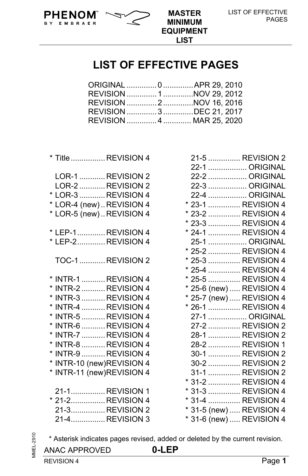



LIST OF EFFECTIVE PAGES

## **LIST OF EFFECTIVE PAGES**

**LIST**

| ORIGINAL  0  APR 29, 2010 |
|---------------------------|
|                           |
| REVISION 2 NOV 16, 2016   |
| REVISION  3 DEC 21, 2017  |
| REVISION  4  MAR 25, 2020 |
|                           |

|                                                                  | * Title  REVISION 4                                                                                                                                                                                                                                    |  |  |
|------------------------------------------------------------------|--------------------------------------------------------------------------------------------------------------------------------------------------------------------------------------------------------------------------------------------------------|--|--|
| *                                                                | LOR-1 REVISION 2<br>LOR-2 REVISION 2<br>* LOR-3  REVISION 4<br>* LOR-4 (new)REVISION 4<br>LOR-5 (new)REVISION 4                                                                                                                                        |  |  |
|                                                                  | * LEP-1 REVISION 4<br>* LEP-2 REVISION 4                                                                                                                                                                                                               |  |  |
|                                                                  | <b>TOC-1  REVISION 2</b>                                                                                                                                                                                                                               |  |  |
| $\star$<br>$\star$<br>*<br>*<br>*<br>*<br>*<br>*<br>*<br>$\star$ | INTR-1 REVISION 4<br>* INTR-2  REVISION 4<br>INTR-3  REVISION 4<br>INTR-4  REVISION 4<br>INTR-5 REVISION 4<br>INTR-6  REVISION 4<br>INTR-7 REVISION 4<br>INTR-8 REVISION 4<br>INTR-9  REVISION 4<br>INTR-10 (new)REVISION 4<br>INTR-11 (new)REVISION 4 |  |  |
|                                                                  | 21-1 REVISION 1<br>* 21-2 REVISION 4<br>21-3REVISION 2                                                                                                                                                                                                 |  |  |

|  | 22-2  ORIGINAL                                 |  |
|--|------------------------------------------------|--|
|  | 22-3  ORIGINAL                                 |  |
|  | 22-4  ORIGINAL                                 |  |
|  | * 23-1  REVISION 4                             |  |
|  | * 23-2  REVISION 4                             |  |
|  | * 23-3  REVISION 4                             |  |
|  | * 24-1  REVISION 4                             |  |
|  | 25-1  ORIGINAL                                 |  |
|  | * 25-2  REVISION 4                             |  |
|  | * 25-3  REVISION 4                             |  |
|  | * 25-4  REVISION 4                             |  |
|  | * 25-5  REVISION 4                             |  |
|  | * 25-6 (new)  REVISION 4                       |  |
|  | * 25-7 (new)  REVISION 4                       |  |
|  | * 26-1  REVISION 4                             |  |
|  | 27-1  ORIGINAL                                 |  |
|  |                                                |  |
|  | 27-2  REVISION 2                               |  |
|  | 28-1  REVISION 2                               |  |
|  | 28-2  REVISION 1                               |  |
|  | 30-1  REVISION 2                               |  |
|  | 30-2  REVISION 2                               |  |
|  | 31-1  REVISION 2                               |  |
|  | * 31-2  REVISION 4                             |  |
|  | * 31-3  REVISION 4                             |  |
|  | * 31-4  REVISION 4<br>* 31-5 (new)  REVISION 4 |  |

 21-5 ............... REVISION 2 22-1 .................. ORIGINAL

\* 31-6 (new) ..... REVISION 4

**MMEL-2910** MMEL-2910

\* Asterisk indicates pages revised, added or deleted by the current revision.

21-4................ REVISION 3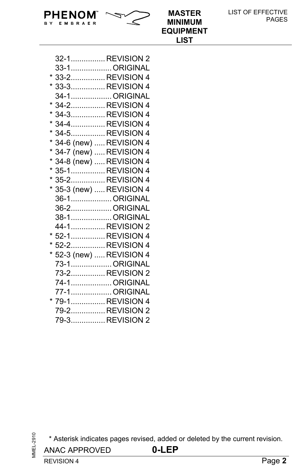| PHENOM $\sim$         | <b>MASTER</b>    | LIST OF EFFECTIVE |
|-----------------------|------------------|-------------------|
| <b>EMBRAER</b><br>R Y | <b>MINIMUM</b>   | <b>PAGES</b>      |
|                       | <b>EQUIPMENT</b> |                   |

**LIST**

| 32-1 REVISION 2          |  |
|--------------------------|--|
| 33-1ORIGINAL             |  |
| * 33-2REVISION 4         |  |
| * 33-3REVISION 4         |  |
| 34-1ORIGINAL             |  |
| 34-2REVISION 4           |  |
| * 34-3REVISION 4         |  |
| * 34-4REVISION 4         |  |
| * 34-5REVISION 4         |  |
| * 34-6 (new)  REVISION 4 |  |
| * 34-7 (new)  REVISION 4 |  |
| * 34-8 (new)  REVISION 4 |  |
| 35-1REVISION 4           |  |
| * 35-2REVISION 4         |  |
| * 35-3 (new)  REVISION 4 |  |
| 36-1ORIGINAL             |  |
| 36-2 ORIGINAL            |  |
| 38-1 ORIGINAL            |  |
| 44-1REVISION 2           |  |
| * 52-1REVISION 4         |  |
| * 52-2REVISION 4         |  |
| * 52-3 (new)  REVISION 4 |  |
| 73-1ORIGINAL             |  |
| 73-2REVISION 2           |  |
| 74-1 ORIGINAL            |  |
| 77-1 ORIGINAL            |  |
| * 79-1REVISION 4         |  |
| 79-2REVISION 2           |  |
| 79-3 REVISION 2          |  |

**MMEL-2910** MMEL-2910

\* Asterisk indicates pages revised, added or deleted by the current revision.

ANAC APPROVED **0-LEP**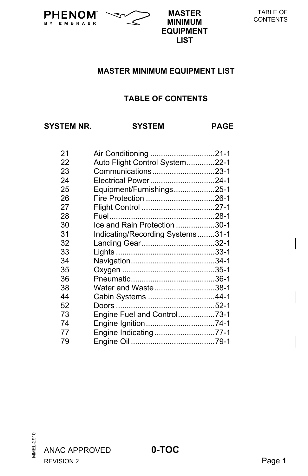

**MINIMUM EQUIPMENT LIST**

## **TABLE OF CONTENTS**

**SYSTEM NR. SYSTEM PAGE** 

B Y

EMBRAER

**PHENOM**  $\sim$  **MASTER** 

| 21 | Air Conditioning 21-1            |  |
|----|----------------------------------|--|
| 22 | Auto Flight Control System22-1   |  |
| 23 | Communications23-1               |  |
| 24 | Electrical Power24-1             |  |
| 25 | Equipment/Furnishings25-1        |  |
| 26 |                                  |  |
| 27 |                                  |  |
| 28 |                                  |  |
| 30 | Ice and Rain Protection 30-1     |  |
| 31 | Indicating/Recording Systems31-1 |  |
| 32 | Landing Gear32-1                 |  |
| 33 |                                  |  |
| 34 |                                  |  |
| 35 |                                  |  |
| 36 |                                  |  |
| 38 | Water and Waste38-1              |  |
| 44 | Cabin Systems 44-1               |  |
| 52 |                                  |  |
| 73 | Engine Fuel and Control73-1      |  |
| 74 |                                  |  |
| 77 | Engine Indicating 77-1           |  |
| 79 |                                  |  |
|    |                                  |  |

ANAC APPROVED **0-TOC**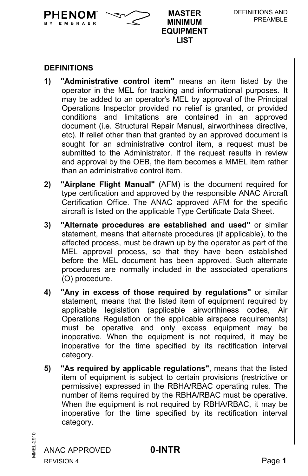### **DEFINITIONS**

EMBRAER

**PHENOM**  $\sim$  MASTER

**1) "Administrative control item"** means an item listed by the operator in the MEL for tracking and informational purposes. It may be added to an operator's MEL by approval of the Principal Operations Inspector provided no relief is granted, or provided conditions and limitations are contained in an approved document (i.e. Structural Repair Manual, airworthiness directive, etc). If relief other than that granted by an approved document is sought for an administrative control item, a request must be submitted to the Administrator. If the request results in review and approval by the OEB, the item becomes a MMEL item rather than an administrative control item.

**MINIMUM EQUIPMENT LIST**

- **2) "Airplane Flight Manual"** (AFM) is the document required for type certification and approved by the responsible ANAC Aircraft Certification Office. The ANAC approved AFM for the specific aircraft is listed on the applicable Type Certificate Data Sheet.
- **3) "Alternate procedures are established and used"** or similar statement, means that alternate procedures (if applicable), to the affected process, must be drawn up by the operator as part of the MEL approval process, so that they have been established before the MEL document has been approved. Such alternate procedures are normally included in the associated operations (O) procedure.
- **4) "Any in excess of those required by regulations"** or similar statement, means that the listed item of equipment required by applicable legislation (applicable airworthiness codes, Air Operations Regulation or the applicable airspace requirements) must be operative and only excess equipment may be inoperative. When the equipment is not required, it may be inoperative for the time specified by its rectification interval category.
- **5) "As required by applicable regulations"**, means that the listed item of equipment is subject to certain provisions (restrictive or permissive) expressed in the RBHA/RBAC operating rules. The number of items required by the RBHA/RBAC must be operative. When the equipment is not required by RBHA/RBAC, it may be inoperative for the time specified by its rectification interval category.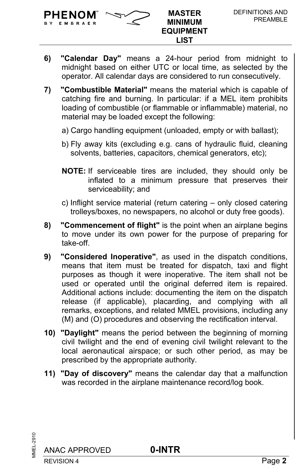EMBRAER

- **6) "Calendar Day"** means a 24-hour period from midnight to midnight based on either UTC or local time, as selected by the operator. All calendar days are considered to run consecutively.
- **7) "Combustible Material"** means the material which is capable of catching fire and burning. In particular: if a MEL item prohibits loading of combustible (or flammable or inflammable) material, no material may be loaded except the following:
	- a) Cargo handling equipment (unloaded, empty or with ballast);
	- b) Fly away kits (excluding e.g. cans of hydraulic fluid, cleaning solvents, batteries, capacitors, chemical generators, etc);
	- **NOTE:** If serviceable tires are included, they should only be inflated to a minimum pressure that preserves their serviceability; and
	- c) Inflight service material (return catering only closed catering trolleys/boxes, no newspapers, no alcohol or duty free goods).
- **8) "Commencement of flight"** is the point when an airplane begins to move under its own power for the purpose of preparing for take-off.
- **9) "Considered Inoperative"**, as used in the dispatch conditions, means that item must be treated for dispatch, taxi and flight purposes as though it were inoperative. The item shall not be used or operated until the original deferred item is repaired. Additional actions include: documenting the item on the dispatch release (if applicable), placarding, and complying with all remarks, exceptions, and related MMEL provisions, including any (M) and (O) procedures and observing the rectification interval.
- **10) "Daylight"** means the period between the beginning of morning civil twilight and the end of evening civil twilight relevant to the local aeronautical airspace; or such other period, as may be prescribed by the appropriate authority.
- **11) "Day of discovery"** means the calendar day that a malfunction was recorded in the airplane maintenance record/log book.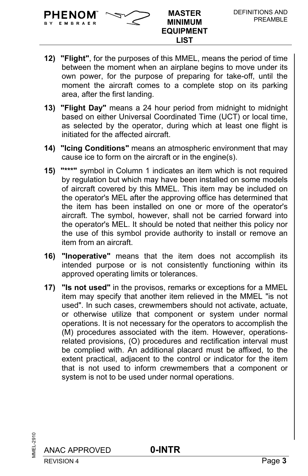

**EMBRAFE** 

**MINIMUM EQUIPMENT LIST**

- **12) "Flight"**, for the purposes of this MMEL, means the period of time between the moment when an airplane begins to move under its own power, for the purpose of preparing for take-off, until the moment the aircraft comes to a complete stop on its parking area, after the first landing.
- **13) "Flight Day"** means a 24 hour period from midnight to midnight based on either Universal Coordinated Time (UCT) or local time, as selected by the operator, during which at least one flight is initiated for the affected aircraft.
- **14) "Icing Conditions"** means an atmospheric environment that may cause ice to form on the aircraft or in the engine(s).
- **15) "\*\*\*"** symbol in Column 1 indicates an item which is not required by regulation but which may have been installed on some models of aircraft covered by this MMEL. This item may be included on the operator's MEL after the approving office has determined that the item has been installed on one or more of the operator's aircraft. The symbol, however, shall not be carried forward into the operator's MEL. It should be noted that neither this policy nor the use of this symbol provide authority to install or remove an item from an aircraft.
- **16) "Inoperative"** means that the item does not accomplish its intended purpose or is not consistently functioning within its approved operating limits or tolerances.
- **17) "Is not used"** in the provisos, remarks or exceptions for a MMEL item may specify that another item relieved in the MMEL "is not used". In such cases, crewmembers should not activate, actuate, or otherwise utilize that component or system under normal operations. It is not necessary for the operators to accomplish the (M) procedures associated with the item. However, operationsrelated provisions, (O) procedures and rectification interval must be complied with. An additional placard must be affixed, to the extent practical, adjacent to the control or indicator for the item that is not used to inform crewmembers that a component or system is not to be used under normal operations.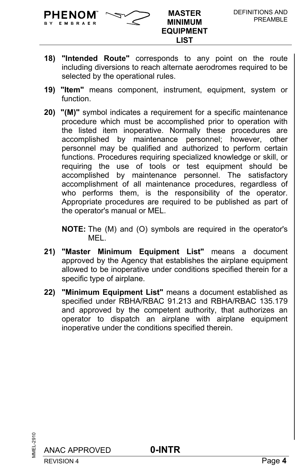

BY EMBRAER

**MINIMUM EQUIPMENT LIST**

- **18) "Intended Route"** corresponds to any point on the route including diversions to reach alternate aerodromes required to be selected by the operational rules.
- **19) "Item"** means component, instrument, equipment, system or function.
- **20) "(M)"** symbol indicates a requirement for a specific maintenance procedure which must be accomplished prior to operation with the listed item inoperative. Normally these procedures are accomplished by maintenance personnel; however, other personnel may be qualified and authorized to perform certain functions. Procedures requiring specialized knowledge or skill, or requiring the use of tools or test equipment should be accomplished by maintenance personnel. The satisfactory accomplishment of all maintenance procedures, regardless of who performs them, is the responsibility of the operator. Appropriate procedures are required to be published as part of the operator's manual or MEL.

**NOTE:** The (M) and (O) symbols are required in the operator's MEL.

- **21) "Master Minimum Equipment List"** means a document approved by the Agency that establishes the airplane equipment allowed to be inoperative under conditions specified therein for a specific type of airplane.
- **22) "Minimum Equipment List"** means a document established as specified under RBHA/RBAC 91.213 and RBHA/RBAC 135.179 and approved by the competent authority, that authorizes an operator to dispatch an airplane with airplane equipment inoperative under the conditions specified therein.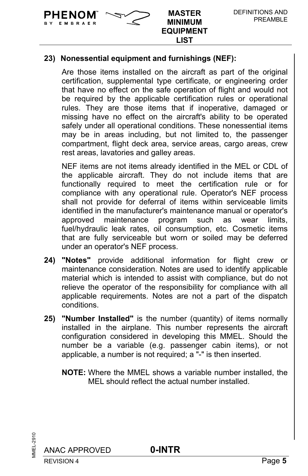**EMBRAFE** 

### **23) Nonessential equipment and furnishings (NEF):**

Are those items installed on the aircraft as part of the original certification, supplemental type certificate, or engineering order that have no effect on the safe operation of flight and would not be required by the applicable certification rules or operational rules. They are those items that if inoperative, damaged or missing have no effect on the aircraft's ability to be operated safely under all operational conditions. These nonessential items may be in areas including, but not limited to, the passenger compartment, flight deck area, service areas, cargo areas, crew rest areas, lavatories and galley areas.

NEF items are not items already identified in the MEL or CDL of the applicable aircraft. They do not include items that are functionally required to meet the certification rule or for compliance with any operational rule. Operator's NEF process shall not provide for deferral of items within serviceable limits identified in the manufacturer's maintenance manual or operator's approved maintenance program such as wear limits, fuel/hydraulic leak rates, oil consumption, etc. Cosmetic items that are fully serviceable but worn or soiled may be deferred under an operator's NEF process.

- **24) "Notes"** provide additional information for flight crew or maintenance consideration. Notes are used to identify applicable material which is intended to assist with compliance, but do not relieve the operator of the responsibility for compliance with all applicable requirements. Notes are not a part of the dispatch conditions.
- **25) "Number Installed"** is the number (quantity) of items normally installed in the airplane. This number represents the aircraft configuration considered in developing this MMEL. Should the number be a variable (e.g. passenger cabin items), or not applicable, a number is not required; a "-" is then inserted.
	- **NOTE:** Where the MMEL shows a variable number installed, the MEL should reflect the actual number installed.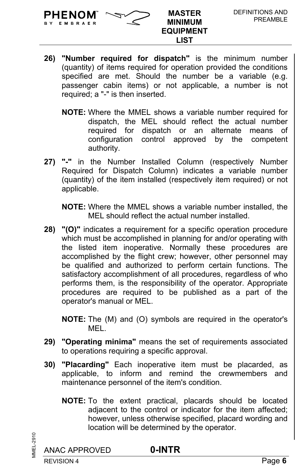

EMBRAER

- **26) "Number required for dispatch"** is the minimum number (quantity) of items required for operation provided the conditions specified are met. Should the number be a variable (e.g. passenger cabin items) or not applicable, a number is not required; a "-" is then inserted.
	- **NOTE:** Where the MMEL shows a variable number required for dispatch, the MEL should reflect the actual number required for dispatch or an alternate means of configuration control approved by the competent authority.
- **27) "-"** in the Number Installed Column (respectively Number Required for Dispatch Column) indicates a variable number (quantity) of the item installed (respectively item required) or not applicable.

**NOTE:** Where the MMEL shows a variable number installed, the MEL should reflect the actual number installed.

**28) "(O)"** indicates a requirement for a specific operation procedure which must be accomplished in planning for and/or operating with the listed item inoperative. Normally these procedures are accomplished by the flight crew; however, other personnel may be qualified and authorized to perform certain functions. The satisfactory accomplishment of all procedures, regardless of who performs them, is the responsibility of the operator. Appropriate procedures are required to be published as a part of the operator's manual or MEL.

**NOTE:** The (M) and (O) symbols are required in the operator's **MFL.** 

- **29) "Operating minima"** means the set of requirements associated to operations requiring a specific approval.
- **30) "Placarding"** Each inoperative item must be placarded, as applicable, to inform and remind the crewmembers and maintenance personnel of the item's condition.
	- **NOTE:** To the extent practical, placards should be located adjacent to the control or indicator for the item affected; however, unless otherwise specified, placard wording and location will be determined by the operator.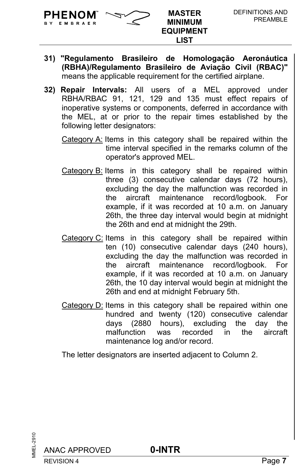BY EMBRAER

- **31) "Regulamento Brasileiro de Homologação Aeronáutica (RBHA)/Regulamento Brasileiro de Aviação Civil (RBAC)"** means the applicable requirement for the certified airplane.
- **32) Repair Intervals:** All users of a MEL approved under RBHA/RBAC 91, 121, 129 and 135 must effect repairs of inoperative systems or components, deferred in accordance with the MEL, at or prior to the repair times established by the following letter designators:
	- Category A: Items in this category shall be repaired within the time interval specified in the remarks column of the operator's approved MEL.
	- Category B: Items in this category shall be repaired within three (3) consecutive calendar days (72 hours), excluding the day the malfunction was recorded in the aircraft maintenance record/logbook. For example, if it was recorded at 10 a.m. on January 26th, the three day interval would begin at midnight the 26th and end at midnight the 29th.
	- Category C: Items in this category shall be repaired within ten (10) consecutive calendar days (240 hours), excluding the day the malfunction was recorded in the aircraft maintenance record/logbook. For example, if it was recorded at 10 a.m. on January 26th, the 10 day interval would begin at midnight the 26th and end at midnight February 5th.
	- Category D: Items in this category shall be repaired within one hundred and twenty (120) consecutive calendar days (2880 hours), excluding the day the malfunction was recorded in the aircraft maintenance log and/or record.

The letter designators are inserted adjacent to Column 2.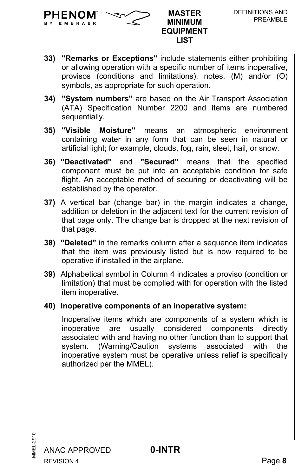

BY EMBRAER

- **33) "Remarks or Exceptions"** include statements either prohibiting or allowing operation with a specific number of items inoperative, provisos (conditions and limitations), notes, (M) and/or (O) symbols, as appropriate for such operation.
- **34) "System numbers"** are based on the Air Transport Association (ATA) Specification Number 2200 and items are numbered sequentially.
- **35) "Visible Moisture"** means an atmospheric environment containing water in any form that can be seen in natural or artificial light; for example, clouds, fog, rain, sleet, hail, or snow.
- **36) "Deactivated"** and **"Secured"** means that the specified component must be put into an acceptable condition for safe flight. An acceptable method of securing or deactivating will be established by the operator.
- **37)** A vertical bar (change bar) in the margin indicates a change, addition or deletion in the adjacent text for the current revision of that page only. The change bar is dropped at the next revision of that page.
- **38) "Deleted"** in the remarks column after a sequence item indicates that the item was previously listed but is now required to be operative if installed in the airplane.
- **39)** Alphabetical symbol in Column 4 indicates a proviso (condition or limitation) that must be complied with for operation with the listed item inoperative.
- **40) Inoperative components of an inoperative system:**

Inoperative items which are components of a system which is inoperative are usually considered components directly associated with and having no other function than to support that system. (Warning/Caution systems associated with the inoperative system must be operative unless relief is specifically authorized per the MMEL).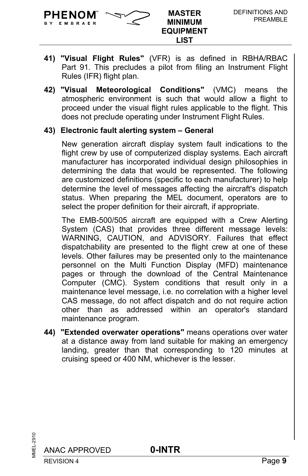

EMBRAER

- **41) "Visual Flight Rules"** (VFR) is as defined in RBHA/RBAC Part 91. This precludes a pilot from filing an Instrument Flight Rules (IFR) flight plan.
- **42) "Visual Meteorological Conditions"** (VMC) means the atmospheric environment is such that would allow a flight to proceed under the visual flight rules applicable to the flight. This does not preclude operating under Instrument Flight Rules.

#### **43) Electronic fault alerting system – General**

New generation aircraft display system fault indications to the flight crew by use of computerized display systems. Each aircraft manufacturer has incorporated individual design philosophies in determining the data that would be represented. The following are customized definitions (specific to each manufacturer) to help determine the level of messages affecting the aircraft's dispatch status. When preparing the MEL document, operators are to select the proper definition for their aircraft, if appropriate.

The EMB-500/505 aircraft are equipped with a Crew Alerting System (CAS) that provides three different message levels: WARNING, CAUTION, and ADVISORY. Failures that effect dispatchability are presented to the flight crew at one of these levels. Other failures may be presented only to the maintenance personnel on the Multi Function Display (MFD) maintenance pages or through the download of the Central Maintenance Computer (CMC). System conditions that result only in a maintenance level message, i.e. no correlation with a higher level CAS message, do not affect dispatch and do not require action other than as addressed within an operator's standard maintenance program.

**44) "Extended overwater operations"** means operations over water at a distance away from land suitable for making an emergency landing, greater than that corresponding to 120 minutes at cruising speed or 400 NM, whichever is the lesser.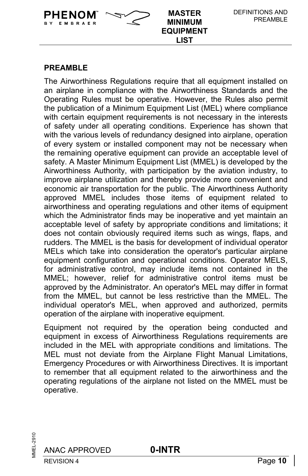#### **PREAMBLE**

EMBRAER

**PHENOM**  $\sim$  MASTER

The Airworthiness Regulations require that all equipment installed on an airplane in compliance with the Airworthiness Standards and the Operating Rules must be operative. However, the Rules also permit the publication of a Minimum Equipment List (MEL) where compliance with certain equipment requirements is not necessary in the interests of safety under all operating conditions. Experience has shown that with the various levels of redundancy designed into airplane, operation of every system or installed component may not be necessary when the remaining operative equipment can provide an acceptable level of safety. A Master Minimum Equipment List (MMEL) is developed by the Airworthiness Authority, with participation by the aviation industry, to improve airplane utilization and thereby provide more convenient and economic air transportation for the public. The Airworthiness Authority approved MMEL includes those items of equipment related to airworthiness and operating regulations and other items of equipment which the Administrator finds may be inoperative and yet maintain an acceptable level of safety by appropriate conditions and limitations; it does not contain obviously required items such as wings, flaps, and rudders. The MMEL is the basis for development of individual operator MELs which take into consideration the operator's particular airplane equipment configuration and operational conditions. Operator MELS, for administrative control, may include items not contained in the MMEL; however, relief for administrative control items must be approved by the Administrator. An operator's MEL may differ in format from the MMEL, but cannot be less restrictive than the MMEL. The individual operator's MEL, when approved and authorized, permits operation of the airplane with inoperative equipment.

**MINIMUM EQUIPMENT LIST**

Equipment not required by the operation being conducted and equipment in excess of Airworthiness Regulations requirements are included in the MEL with appropriate conditions and limitations. The MEL must not deviate from the Airplane Flight Manual Limitations, Emergency Procedures or with Airworthiness Directives. It is important to remember that all equipment related to the airworthiness and the operating regulations of the airplane not listed on the MMEL must be operative.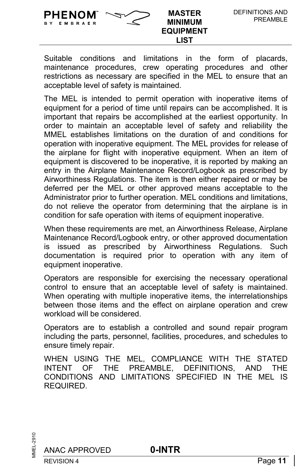**PHENOM**  $\sim$  MASTER

Suitable conditions and limitations in the form of placards, maintenance procedures, crew operating procedures and other restrictions as necessary are specified in the MEL to ensure that an acceptable level of safety is maintained.

The MEL is intended to permit operation with inoperative items of equipment for a period of time until repairs can be accomplished. It is important that repairs be accomplished at the earliest opportunity. In order to maintain an acceptable level of safety and reliability the MMEL establishes limitations on the duration of and conditions for operation with inoperative equipment. The MEL provides for release of the airplane for flight with inoperative equipment. When an item of equipment is discovered to be inoperative, it is reported by making an entry in the Airplane Maintenance Record/Logbook as prescribed by Airworthiness Regulations. The item is then either repaired or may be deferred per the MEL or other approved means acceptable to the Administrator prior to further operation. MEL conditions and limitations, do not relieve the operator from determining that the airplane is in condition for safe operation with items of equipment inoperative.

When these requirements are met, an Airworthiness Release, Airplane Maintenance Record/Logbook entry, or other approved documentation is issued as prescribed by Airworthiness Regulations. Such documentation is required prior to operation with any item of equipment inoperative.

Operators are responsible for exercising the necessary operational control to ensure that an acceptable level of safety is maintained. When operating with multiple inoperative items, the interrelationships between those items and the effect on airplane operation and crew workload will be considered.

Operators are to establish a controlled and sound repair program including the parts, personnel, facilities, procedures, and schedules to ensure timely repair.

WHEN USING THE MEL, COMPLIANCE WITH THE STATED INTENT OF THE PREAMBLE, DEFINITIONS, AND THE CONDITIONS AND LIMITATIONS SPECIFIED IN THE MEL IS REQUIRED.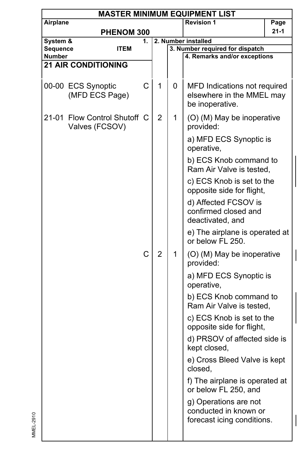| <b>MASTER MINIMUM EQUIPMENT LIST</b> |                                          |   |                |   |                                                                              |  |
|--------------------------------------|------------------------------------------|---|----------------|---|------------------------------------------------------------------------------|--|
|                                      | <b>Revision 1</b><br>Airplane<br>Page    |   |                |   |                                                                              |  |
| <b>PHENOM 300</b>                    |                                          |   |                |   | 21-1                                                                         |  |
| System &<br>1.                       |                                          |   |                |   | 2. Number installed                                                          |  |
| Sequence                             | <b>ITEM</b>                              |   |                |   | 3. Number required for dispatch                                              |  |
| Number<br><b>21 AIR CONDITIONING</b> |                                          |   |                |   | 4. Remarks and/or exceptions                                                 |  |
|                                      |                                          |   |                |   |                                                                              |  |
|                                      | 00-00 ECS Synoptic<br>(MFD ECS Page)     | C | 1              | 0 | MFD Indications not required<br>elsewhere in the MMEL may<br>be inoperative. |  |
| 21-01                                | Flow Control Shutoff C<br>Valves (FCSOV) |   | $\overline{2}$ | 1 | (O) (M) May be inoperative<br>provided:                                      |  |
|                                      |                                          |   |                |   | a) MFD ECS Synoptic is<br>operative,                                         |  |
|                                      |                                          |   |                |   | b) ECS Knob command to<br>Ram Air Valve is tested,                           |  |
|                                      |                                          |   |                |   | c) ECS Knob is set to the<br>opposite side for flight,                       |  |
|                                      |                                          |   |                |   | d) Affected FCSOV is<br>confirmed closed and<br>deactivated, and             |  |
|                                      |                                          |   |                |   | e) The airplane is operated at<br>or below FL 250.                           |  |
|                                      |                                          | C | $\overline{2}$ | 1 | (O) (M) May be inoperative<br>provided:                                      |  |
|                                      |                                          |   |                |   | a) MFD ECS Synoptic is<br>operative,                                         |  |
|                                      |                                          |   |                |   | b) ECS Knob command to<br>Ram Air Valve is tested,                           |  |
|                                      |                                          |   |                |   | c) ECS Knob is set to the<br>opposite side for flight,                       |  |
|                                      |                                          |   |                |   | d) PRSOV of affected side is<br>kept closed,                                 |  |
|                                      |                                          |   |                |   | e) Cross Bleed Valve is kept<br>closed,                                      |  |
|                                      |                                          |   |                |   | f) The airplane is operated at<br>or below FL 250, and                       |  |
|                                      |                                          |   |                |   | g) Operations are not<br>conducted in known or<br>forecast icing conditions. |  |
|                                      |                                          |   |                |   |                                                                              |  |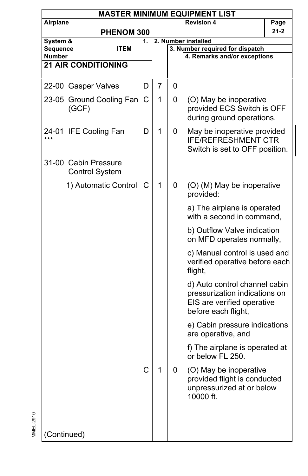| <b>MASTER MINIMUM EQUIPMENT LIST</b> |                                               |    |              |   |                                                                                                                     |          |  |  |
|--------------------------------------|-----------------------------------------------|----|--------------|---|---------------------------------------------------------------------------------------------------------------------|----------|--|--|
| Airplane                             |                                               |    |              |   | <b>Revision 4</b>                                                                                                   | Page     |  |  |
|                                      | <b>PHENOM 300</b>                             |    |              |   |                                                                                                                     | $21 - 2$ |  |  |
| System &                             |                                               | 1. |              |   | 2. Number installed                                                                                                 |          |  |  |
| Sequence                             | <b>ITEM</b>                                   |    |              |   | 3. Number required for dispatch                                                                                     |          |  |  |
| Number                               |                                               |    |              |   | 4. Remarks and/or exceptions                                                                                        |          |  |  |
|                                      | <b>21 AIR CONDITIONING</b>                    |    |              |   |                                                                                                                     |          |  |  |
|                                      |                                               |    |              |   |                                                                                                                     |          |  |  |
|                                      | 22-00 Gasper Valves                           | D  | 7            | 0 |                                                                                                                     |          |  |  |
|                                      | 23-05 Ground Cooling Fan<br>(GCF)             | С  | 1            | 0 | (O) May be inoperative<br>provided ECS Switch is OFF                                                                |          |  |  |
|                                      |                                               |    |              |   | during ground operations.                                                                                           |          |  |  |
| ***                                  | 24-01 IFE Cooling Fan                         | D  | 1            | 0 | May be inoperative provided<br><b>IFE/REFRESHMENT CTR</b><br>Switch is set to OFF position.                         |          |  |  |
|                                      | 31-00 Cabin Pressure<br><b>Control System</b> |    |              |   |                                                                                                                     |          |  |  |
|                                      | 1) Automatic Control                          | C  | $\mathbf{1}$ | 0 | (O) (M) May be inoperative<br>provided:                                                                             |          |  |  |
|                                      |                                               |    |              |   | a) The airplane is operated<br>with a second in command,                                                            |          |  |  |
|                                      |                                               |    |              |   | b) Outflow Valve indication<br>on MFD operates normally,                                                            |          |  |  |
|                                      |                                               |    |              |   | c) Manual control is used and<br>verified operative before each<br>flight,                                          |          |  |  |
|                                      |                                               |    |              |   | d) Auto control channel cabin<br>pressurization indications on<br>EIS are verified operative<br>before each flight, |          |  |  |
|                                      |                                               |    |              |   | e) Cabin pressure indications<br>are operative, and                                                                 |          |  |  |
|                                      |                                               |    |              |   | f) The airplane is operated at<br>or below FL 250.                                                                  |          |  |  |
|                                      |                                               | C  | 1            | 0 | (O) May be inoperative<br>provided flight is conducted<br>unpressurized at or below<br>10000 ft.                    |          |  |  |
| (Continued)                          |                                               |    |              |   |                                                                                                                     |          |  |  |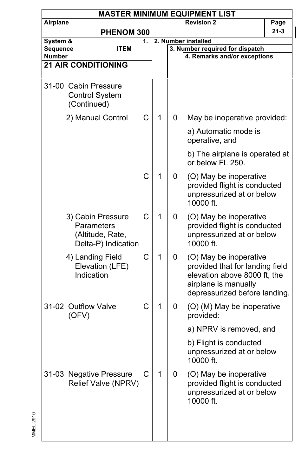|          | <b>MASTER MINIMUM EQUIPMENT LIST</b>                                       |    |              |                     |                                                                                                                                                    |      |  |  |  |  |
|----------|----------------------------------------------------------------------------|----|--------------|---------------------|----------------------------------------------------------------------------------------------------------------------------------------------------|------|--|--|--|--|
| Airplane |                                                                            |    |              |                     | <b>Revision 2</b>                                                                                                                                  | Page |  |  |  |  |
|          | PHENOM 300                                                                 |    |              |                     |                                                                                                                                                    | 21-3 |  |  |  |  |
| System & |                                                                            | 1. |              | 2. Number installed |                                                                                                                                                    |      |  |  |  |  |
| Sequence | <b>ITEM</b>                                                                |    |              |                     | 3. Number required for dispatch                                                                                                                    |      |  |  |  |  |
| Number   | <b>21 AIR CONDITIONING</b>                                                 |    |              |                     | 4. Remarks and/or exceptions                                                                                                                       |      |  |  |  |  |
|          |                                                                            |    |              |                     |                                                                                                                                                    |      |  |  |  |  |
|          | 31-00 Cabin Pressure<br><b>Control System</b><br>(Continued)               |    |              |                     |                                                                                                                                                    |      |  |  |  |  |
|          | 2) Manual Control                                                          | C  | 1            | 0                   | May be inoperative provided:                                                                                                                       |      |  |  |  |  |
|          |                                                                            |    |              |                     | a) Automatic mode is<br>operative, and                                                                                                             |      |  |  |  |  |
|          |                                                                            |    |              |                     | b) The airplane is operated at<br>or below FL 250.                                                                                                 |      |  |  |  |  |
|          |                                                                            | Ċ  | 1            | 0                   | (O) May be inoperative<br>provided flight is conducted<br>unpressurized at or below<br>10000 ft.                                                   |      |  |  |  |  |
|          | 3) Cabin Pressure<br>Parameters<br>(Altitude, Rate,<br>Delta-P) Indication | C  | 1            | 0                   | (O) May be inoperative<br>provided flight is conducted<br>unpressurized at or below<br>10000 ft.                                                   |      |  |  |  |  |
|          | 4) Landing Field<br>Elevation (LFE)<br>Indication                          | C  | 1            | 0                   | (O) May be inoperative<br>provided that for landing field<br>elevation above 8000 ft, the<br>airplane is manually<br>depressurized before landing. |      |  |  |  |  |
|          | 31-02 Outflow Valve<br>(OFV)                                               | C  | 1            | 0                   | (O) (M) May be inoperative<br>provided:                                                                                                            |      |  |  |  |  |
|          |                                                                            |    |              |                     | a) NPRV is removed, and                                                                                                                            |      |  |  |  |  |
|          |                                                                            |    |              |                     | b) Flight is conducted<br>unpressurized at or below<br>10000 ft.                                                                                   |      |  |  |  |  |
|          | 31-03 Negative Pressure<br>Relief Valve (NPRV)                             | С  | $\mathbf{1}$ | 0                   | (O) May be inoperative<br>provided flight is conducted<br>unpressurized at or below<br>10000 ft.                                                   |      |  |  |  |  |
|          |                                                                            |    |              |                     |                                                                                                                                                    |      |  |  |  |  |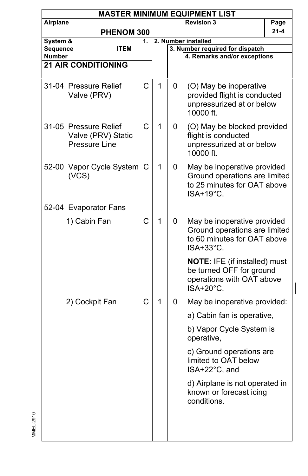|                           | <b>MASTER MINIMUM EQUIPMENT LIST</b>                         |    |              |   |                                                                                                            |      |  |  |  |  |
|---------------------------|--------------------------------------------------------------|----|--------------|---|------------------------------------------------------------------------------------------------------------|------|--|--|--|--|
| Airplane                  |                                                              |    |              |   | <b>Revision 3</b>                                                                                          | Page |  |  |  |  |
|                           | PHENOM 300                                                   |    |              |   |                                                                                                            | 21-4 |  |  |  |  |
| System &                  |                                                              | 1. |              |   | 2. Number installed                                                                                        |      |  |  |  |  |
| Sequence<br><b>Number</b> | ITEM                                                         |    |              |   | 3. Number required for dispatch<br>4. Remarks and/or exceptions                                            |      |  |  |  |  |
|                           | <b>21 AIR CONDITIONING</b>                                   |    |              |   |                                                                                                            |      |  |  |  |  |
|                           |                                                              |    |              |   |                                                                                                            |      |  |  |  |  |
|                           | 31-04 Pressure Relief<br>Valve (PRV)                         | C  | 1            | 0 | (O) May be inoperative<br>provided flight is conducted<br>unpressurized at or below<br>10000 ft.           |      |  |  |  |  |
|                           | 31-05 Pressure Relief<br>Valve (PRV) Static<br>Pressure Line | C  | 1            | 0 | (O) May be blocked provided<br>flight is conducted<br>unpressurized at or below<br>10000 ft.               |      |  |  |  |  |
|                           | 52-00 Vapor Cycle System C<br>(VCS)                          |    | $\mathbf{1}$ | 0 | May be inoperative provided<br>Ground operations are limited<br>to 25 minutes for OAT above<br>ISA+19°C.   |      |  |  |  |  |
|                           | 52-04 Evaporator Fans                                        |    |              |   |                                                                                                            |      |  |  |  |  |
|                           | 1) Cabin Fan                                                 | C  | 1            | 0 | May be inoperative provided<br>Ground operations are limited<br>to 60 minutes for OAT above<br>ISA+33°C.   |      |  |  |  |  |
|                           |                                                              |    |              |   | <b>NOTE: IFE (if installed) must</b><br>be turned OFF for ground<br>operations with OAT above<br>ISA+20°C. |      |  |  |  |  |
|                           | 2) Cockpit Fan                                               | C  | 1            | 0 | May be inoperative provided:                                                                               |      |  |  |  |  |
|                           |                                                              |    |              |   | a) Cabin fan is operative,                                                                                 |      |  |  |  |  |
|                           |                                                              |    |              |   | b) Vapor Cycle System is<br>operative,                                                                     |      |  |  |  |  |
|                           |                                                              |    |              |   | c) Ground operations are<br>limited to OAT below<br>ISA+22°C, and                                          |      |  |  |  |  |
|                           |                                                              |    |              |   | d) Airplane is not operated in<br>known or forecast icing<br>conditions.                                   |      |  |  |  |  |
|                           |                                                              |    |              |   |                                                                                                            |      |  |  |  |  |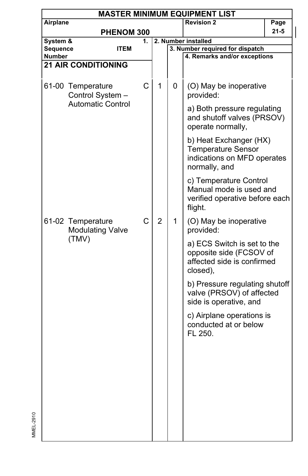|          | <b>MASTER MINIMUM EQUIPMENT LIST</b>         |            |    |                |   |                                                                                                     |          |  |  |  |
|----------|----------------------------------------------|------------|----|----------------|---|-----------------------------------------------------------------------------------------------------|----------|--|--|--|
| Airplane |                                              |            |    |                |   | <b>Revision 2</b>                                                                                   | Page     |  |  |  |
|          |                                              | PHENOM 300 |    |                |   |                                                                                                     | $21 - 5$ |  |  |  |
| System & |                                              |            | 1. |                |   | 2. Number installed                                                                                 |          |  |  |  |
| Sequence | <b>ITEM</b>                                  |            |    |                |   | 3. Number required for dispatch                                                                     |          |  |  |  |
| Number   |                                              |            |    |                |   | 4. Remarks and/or exceptions                                                                        |          |  |  |  |
|          | <b>21 AIR CONDITIONING</b>                   |            |    |                |   |                                                                                                     |          |  |  |  |
|          |                                              |            |    |                |   |                                                                                                     |          |  |  |  |
|          | 61-00 Temperature<br>Control System -        |            | С  | 1              | 0 | (O) May be inoperative<br>provided:                                                                 |          |  |  |  |
|          | <b>Automatic Control</b>                     |            |    |                |   | a) Both pressure regulating<br>and shutoff valves (PRSOV)<br>operate normally,                      |          |  |  |  |
|          |                                              |            |    |                |   | b) Heat Exchanger (HX)<br><b>Temperature Sensor</b><br>indications on MFD operates<br>normally, and |          |  |  |  |
|          |                                              |            |    |                |   | c) Temperature Control<br>Manual mode is used and<br>verified operative before each<br>flight.      |          |  |  |  |
|          | 61-02 Temperature<br><b>Modulating Valve</b> |            | C  | $\overline{2}$ | 1 | (O) May be inoperative<br>provided:                                                                 |          |  |  |  |
|          | (TMV)                                        |            |    |                |   | a) ECS Switch is set to the<br>opposite side (FCSOV of<br>affected side is confirmed<br>closed),    |          |  |  |  |
|          |                                              |            |    |                |   | b) Pressure regulating shutoff<br>valve (PRSOV) of affected<br>side is operative, and               |          |  |  |  |
|          |                                              |            |    |                |   | c) Airplane operations is<br>conducted at or below<br>FL 250.                                       |          |  |  |  |
|          |                                              |            |    |                |   |                                                                                                     |          |  |  |  |
|          |                                              |            |    |                |   |                                                                                                     |          |  |  |  |
|          |                                              |            |    |                |   |                                                                                                     |          |  |  |  |
|          |                                              |            |    |                |   |                                                                                                     |          |  |  |  |

MMEL-2910

MMEL-2910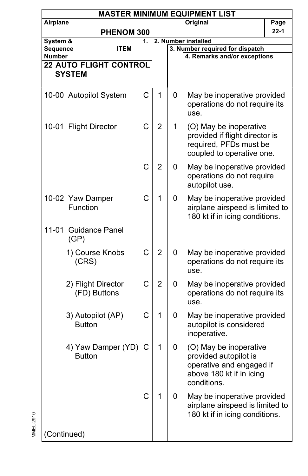|                    | <b>MASTER MINIMUM EQUIPMENT LIST</b> |    |                |   |                                                                                                                        |          |  |  |  |  |
|--------------------|--------------------------------------|----|----------------|---|------------------------------------------------------------------------------------------------------------------------|----------|--|--|--|--|
| Airplane           |                                      |    |                |   | Original                                                                                                               | Page     |  |  |  |  |
|                    | PHENOM 300                           |    |                |   |                                                                                                                        | $22 - 1$ |  |  |  |  |
| System &           |                                      | 1. |                |   | 2. Number installed                                                                                                    |          |  |  |  |  |
| Sequence<br>Number | <b>ITEM</b>                          |    |                |   | 3. Number required for dispatch<br>4. Remarks and/or exceptions                                                        |          |  |  |  |  |
|                    | <b>22 AUTO FLIGHT CONTROL</b>        |    |                |   |                                                                                                                        |          |  |  |  |  |
|                    | <b>SYSTEM</b>                        |    |                |   |                                                                                                                        |          |  |  |  |  |
|                    |                                      |    |                |   |                                                                                                                        |          |  |  |  |  |
|                    | 10-00 Autopilot System               | C  | 1              | 0 | May be inoperative provided<br>operations do not require its<br>use.                                                   |          |  |  |  |  |
|                    | 10-01 Flight Director                | C  | $\overline{2}$ | 1 | (O) May be inoperative<br>provided if flight director is<br>required, PFDs must be<br>coupled to operative one.        |          |  |  |  |  |
|                    |                                      | C  | $\overline{2}$ | 0 | May be inoperative provided<br>operations do not require<br>autopilot use.                                             |          |  |  |  |  |
|                    | 10-02 Yaw Damper<br>Function         | C  | 1              | 0 | May be inoperative provided<br>airplane airspeed is limited to<br>180 kt if in icing conditions.                       |          |  |  |  |  |
| 11-01              | <b>Guidance Panel</b><br>(GP)        |    |                |   |                                                                                                                        |          |  |  |  |  |
|                    | 1) Course Knobs<br>(CRS)             | C  | $\overline{2}$ | 0 | May be inoperative provided<br>operations do not require its<br>use.                                                   |          |  |  |  |  |
|                    | 2) Flight Director<br>(FD) Buttons   | C  | $\overline{2}$ | 0 | May be inoperative provided<br>operations do not require its<br>use.                                                   |          |  |  |  |  |
|                    | 3) Autopilot (AP)<br><b>Button</b>   | C  | 1              | 0 | May be inoperative provided<br>autopilot is considered<br>inoperative.                                                 |          |  |  |  |  |
|                    | 4) Yaw Damper (YD)<br><b>Button</b>  | C  | 1              | 0 | (O) May be inoperative<br>provided autopilot is<br>operative and engaged if<br>above 180 kt if in icing<br>conditions. |          |  |  |  |  |
|                    |                                      | C  | 1              | 0 | May be inoperative provided<br>airplane airspeed is limited to<br>180 kt if in icing conditions.                       |          |  |  |  |  |
|                    | (Continued)                          |    |                |   |                                                                                                                        |          |  |  |  |  |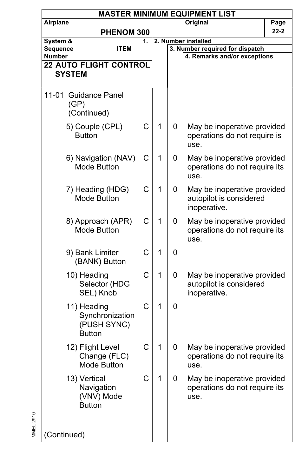|                                                | <b>MASTER MINIMUM EQUIPMENT LIST</b>                           |    |   |   |                                                                        |          |  |  |  |  |
|------------------------------------------------|----------------------------------------------------------------|----|---|---|------------------------------------------------------------------------|----------|--|--|--|--|
| Airplane                                       |                                                                |    |   |   | Original                                                               | Page     |  |  |  |  |
|                                                | PHENOM 300                                                     |    |   |   |                                                                        | $22 - 2$ |  |  |  |  |
| System &                                       |                                                                | 1. |   |   | 2. Number installed                                                    |          |  |  |  |  |
| Sequence                                       | <b>ITEM</b>                                                    |    |   |   | 3. Number required for dispatch                                        |          |  |  |  |  |
| Number                                         |                                                                |    |   |   | 4. Remarks and/or exceptions                                           |          |  |  |  |  |
| <b>22 AUTO FLIGHT CONTROL</b><br><b>SYSTEM</b> |                                                                |    |   |   |                                                                        |          |  |  |  |  |
|                                                |                                                                |    |   |   |                                                                        |          |  |  |  |  |
|                                                | 11-01 Guidance Panel<br>(GP)<br>(Continued)                    |    |   |   |                                                                        |          |  |  |  |  |
|                                                | 5) Couple (CPL)<br><b>Button</b>                               | C  | 1 | 0 | May be inoperative provided<br>operations do not require is<br>use.    |          |  |  |  |  |
|                                                | 6) Navigation (NAV)<br>Mode Button                             | С  | 1 | 0 | May be inoperative provided<br>operations do not require its<br>use.   |          |  |  |  |  |
|                                                | 7) Heading (HDG)<br>Mode Button                                | C  | 1 | 0 | May be inoperative provided<br>autopilot is considered<br>inoperative. |          |  |  |  |  |
|                                                | 8) Approach (APR)<br>Mode Button                               | C  | 1 | 0 | May be inoperative provided<br>operations do not require its<br>use.   |          |  |  |  |  |
|                                                | 9) Bank Limiter<br>(BANK) Button                               | C  | 1 | 0 |                                                                        |          |  |  |  |  |
|                                                | 10) Heading<br>Selector (HDG<br>SEL) Knob                      | C  | 1 | 0 | May be inoperative provided<br>autopilot is considered<br>inoperative. |          |  |  |  |  |
|                                                | 11) Heading<br>Synchronization<br>(PUSH SYNC)<br><b>Button</b> | C  | 1 | 0 |                                                                        |          |  |  |  |  |
|                                                | 12) Flight Level<br>Change (FLC)<br>Mode Button                | С  | 1 | 0 | May be inoperative provided<br>operations do not require its<br>use.   |          |  |  |  |  |
|                                                | 13) Vertical<br>Navigation<br>(VNV) Mode<br><b>Button</b>      | C  | 1 | 0 | May be inoperative provided<br>operations do not require its<br>use.   |          |  |  |  |  |
| (Continued)                                    |                                                                |    |   |   |                                                                        |          |  |  |  |  |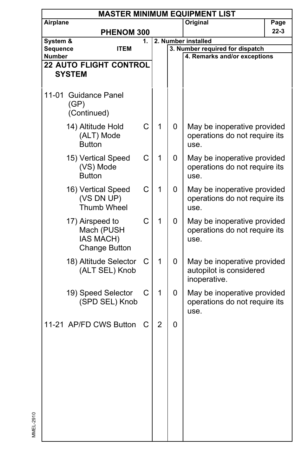|                           | <b>MASTER MINIMUM EQUIPMENT LIST</b>                               |    |                |          |                                                                        |          |  |  |  |  |
|---------------------------|--------------------------------------------------------------------|----|----------------|----------|------------------------------------------------------------------------|----------|--|--|--|--|
| Airplane                  |                                                                    |    |                | Original | Page                                                                   |          |  |  |  |  |
| PHENOM 300                |                                                                    |    |                |          |                                                                        | $22 - 3$ |  |  |  |  |
| System &                  |                                                                    | 1. |                |          | 2. Number installed                                                    |          |  |  |  |  |
| Sequence<br><b>Number</b> | <b>ITEM</b>                                                        |    |                |          | 3. Number required for dispatch<br>4. Remarks and/or exceptions        |          |  |  |  |  |
|                           | <b>22 AUTO FLIGHT CONTROL</b>                                      |    |                |          |                                                                        |          |  |  |  |  |
|                           | <b>SYSTEM</b>                                                      |    |                |          |                                                                        |          |  |  |  |  |
|                           |                                                                    |    |                |          |                                                                        |          |  |  |  |  |
|                           | 11-01 Guidance Panel<br>(GP)<br>(Continued)                        |    |                |          |                                                                        |          |  |  |  |  |
|                           | 14) Altitude Hold<br>(ALT) Mode<br><b>Button</b>                   | C  | 1              | 0        | May be inoperative provided<br>operations do not require its<br>use.   |          |  |  |  |  |
|                           | 15) Vertical Speed<br>(VS) Mode<br><b>Button</b>                   | C  | 1              | 0        | May be inoperative provided<br>operations do not require its<br>use.   |          |  |  |  |  |
|                           | 16) Vertical Speed<br>(VS DN UP)<br><b>Thumb Wheel</b>             | C  | 1              | 0        | May be inoperative provided<br>operations do not require its<br>use.   |          |  |  |  |  |
|                           | 17) Airspeed to<br>Mach (PUSH<br>IAS MACH)<br><b>Change Button</b> | C  | 1              | 0        | May be inoperative provided<br>operations do not require its<br>use.   |          |  |  |  |  |
|                           | 18) Altitude Selector<br>(ALT SEL) Knob                            | С  | 1              | 0        | May be inoperative provided<br>autopilot is considered<br>inoperative. |          |  |  |  |  |
|                           | 19) Speed Selector<br>(SPD SEL) Knob                               | C  | 1              | 0        | May be inoperative provided<br>operations do not require its<br>use.   |          |  |  |  |  |
|                           | 11-21 AP/FD CWS Button                                             | С  | $\overline{2}$ | 0        |                                                                        |          |  |  |  |  |
|                           |                                                                    |    |                |          |                                                                        |          |  |  |  |  |
|                           |                                                                    |    |                |          |                                                                        |          |  |  |  |  |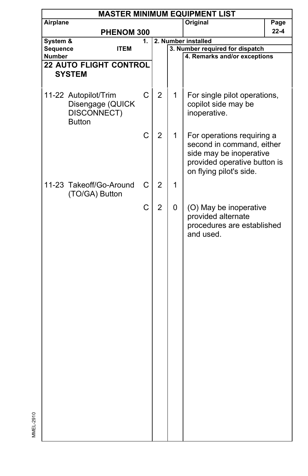| <b>MASTER MINIMUM EQUIPMENT LIST</b> |                                                                                                           |                                                                                                  |   |                                     |                                                                                                                                                                                                                                                                                                      |  |  |  |  |
|--------------------------------------|-----------------------------------------------------------------------------------------------------------|--------------------------------------------------------------------------------------------------|---|-------------------------------------|------------------------------------------------------------------------------------------------------------------------------------------------------------------------------------------------------------------------------------------------------------------------------------------------------|--|--|--|--|
|                                      |                                                                                                           |                                                                                                  |   | <b>Original</b>                     | Page                                                                                                                                                                                                                                                                                                 |  |  |  |  |
|                                      |                                                                                                           |                                                                                                  |   |                                     |                                                                                                                                                                                                                                                                                                      |  |  |  |  |
|                                      |                                                                                                           |                                                                                                  |   |                                     |                                                                                                                                                                                                                                                                                                      |  |  |  |  |
|                                      |                                                                                                           |                                                                                                  |   |                                     |                                                                                                                                                                                                                                                                                                      |  |  |  |  |
|                                      |                                                                                                           |                                                                                                  |   |                                     |                                                                                                                                                                                                                                                                                                      |  |  |  |  |
|                                      |                                                                                                           |                                                                                                  |   |                                     |                                                                                                                                                                                                                                                                                                      |  |  |  |  |
|                                      |                                                                                                           |                                                                                                  |   |                                     |                                                                                                                                                                                                                                                                                                      |  |  |  |  |
| DISCONNECT)<br><b>Button</b>         | C                                                                                                         | $\overline{2}$                                                                                   | 1 | copilot side may be<br>inoperative. |                                                                                                                                                                                                                                                                                                      |  |  |  |  |
|                                      | C                                                                                                         | $\overline{2}$                                                                                   | 1 | on flying pilot's side.             |                                                                                                                                                                                                                                                                                                      |  |  |  |  |
| (TO/GA) Button                       | C                                                                                                         | 2                                                                                                | 1 |                                     |                                                                                                                                                                                                                                                                                                      |  |  |  |  |
|                                      | C                                                                                                         | $\overline{2}$                                                                                   | 0 | provided alternate<br>and used.     |                                                                                                                                                                                                                                                                                                      |  |  |  |  |
|                                      | Airplane<br>System &<br>Sequence<br><b>ITEM</b><br><b>Number</b><br><b>SYSTEM</b><br>11-22 Autopilot/Trim | PHENOM 300<br>1.<br><b>22 AUTO FLIGHT CONTROL</b><br>Disengage (QUICK<br>11-23 Takeoff/Go-Around |   |                                     | 2. Number installed<br>3. Number required for dispatch<br>4. Remarks and/or exceptions<br>For single pilot operations,<br>For operations requiring a<br>second in command, either<br>side may be inoperative<br>provided operative button is<br>(O) May be inoperative<br>procedures are established |  |  |  |  |

MMEL-2910

MMEL-2910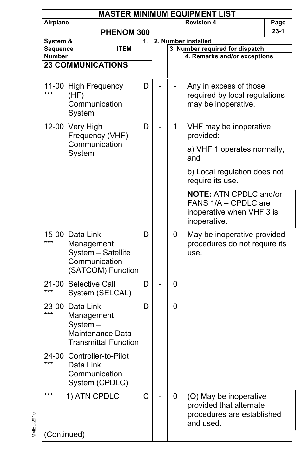|                    |                                                                                             |    |                                    | <b>MASTER MINIMUM EQUIPMENT LIST</b>                                                               |        |  |
|--------------------|---------------------------------------------------------------------------------------------|----|------------------------------------|----------------------------------------------------------------------------------------------------|--------|--|
| Airplane           |                                                                                             |    |                                    | <b>Revision 4</b>                                                                                  | Page   |  |
|                    | PHENOM 300                                                                                  |    |                                    |                                                                                                    | $23-1$ |  |
| System &           |                                                                                             | 1. |                                    | 2. Number installed                                                                                |        |  |
| Sequence<br>Number | <b>ITEM</b>                                                                                 |    |                                    | 3. Number required for dispatch<br>4. Remarks and/or exceptions                                    |        |  |
|                    | <b>23 COMMUNICATIONS</b>                                                                    |    |                                    |                                                                                                    |        |  |
|                    |                                                                                             |    |                                    |                                                                                                    |        |  |
| ***                | 11-00 High Frequency<br>(HF)<br>Communication<br>System                                     | D  |                                    | Any in excess of those<br>required by local regulations<br>may be inoperative.                     |        |  |
|                    | 12-00 Very High<br>Frequency (VHF)                                                          | D  | 1                                  | VHF may be inoperative<br>provided:                                                                |        |  |
|                    | Communication<br>System                                                                     |    | a) VHF 1 operates normally,<br>and |                                                                                                    |        |  |
|                    |                                                                                             |    |                                    | b) Local regulation does not<br>require its use.                                                   |        |  |
|                    |                                                                                             |    |                                    | <b>NOTE: ATN CPDLC and/or</b><br>FANS 1/A - CPDLC are<br>inoperative when VHF 3 is<br>inoperative. |        |  |
| ***                | 15-00 Data Link<br>Management<br>System - Satellite<br>Communication<br>(SATCOM) Function   | D  | 0                                  | May be inoperative provided<br>procedures do not require its<br>use.                               |        |  |
| ***                | 21-00 Selective Call<br>System (SELCAL)                                                     | D  | 0                                  |                                                                                                    |        |  |
| ***                | 23-00 Data Link<br>Management<br>System-<br>Maintenance Data<br><b>Transmittal Function</b> | D  | 0                                  |                                                                                                    |        |  |
| ***                | 24-00 Controller-to-Pilot<br>Data Link<br>Communication<br>System (CPDLC)                   |    |                                    |                                                                                                    |        |  |
| ***                | 1) ATN CPDLC                                                                                | C  | 0                                  | (O) May be inoperative<br>provided that alternate<br>procedures are established<br>and used.       |        |  |
| (Continued)        |                                                                                             |    |                                    |                                                                                                    |        |  |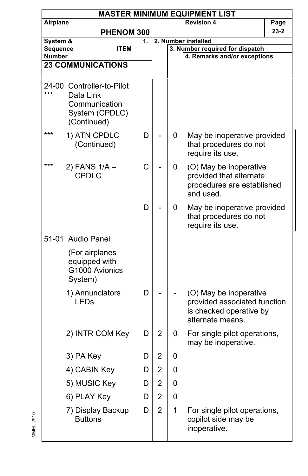| <b>MASTER MINIMUM EQUIPMENT LIST</b> |                                                                                          |    |                |   |                                                                                                       |          |  |  |  |
|--------------------------------------|------------------------------------------------------------------------------------------|----|----------------|---|-------------------------------------------------------------------------------------------------------|----------|--|--|--|
| Airplane                             |                                                                                          |    |                |   | <b>Revision 4</b>                                                                                     | Page     |  |  |  |
|                                      | PHENOM 300                                                                               |    |                |   |                                                                                                       | $23 - 2$ |  |  |  |
| System &                             |                                                                                          | 1. |                |   | 2. Number installed                                                                                   |          |  |  |  |
| Sequence<br>Number                   | ITEM                                                                                     |    |                |   | 3. Number required for dispatch<br>4. Remarks and/or exceptions                                       |          |  |  |  |
|                                      | <b>23 COMMUNICATIONS</b>                                                                 |    |                |   |                                                                                                       |          |  |  |  |
|                                      |                                                                                          |    |                |   |                                                                                                       |          |  |  |  |
| ***                                  | 24-00 Controller-to-Pilot<br>Data Link<br>Communication<br>System (CPDLC)<br>(Continued) |    |                |   |                                                                                                       |          |  |  |  |
| ***                                  | 1) ATN CPDLC<br>(Continued)                                                              | D  |                | 0 | May be inoperative provided<br>that procedures do not<br>require its use.                             |          |  |  |  |
| ***                                  | 2) FANS 1/A -<br>CPDLC                                                                   | C  |                | 0 | (O) May be inoperative<br>provided that alternate<br>procedures are established<br>and used.          |          |  |  |  |
|                                      |                                                                                          | D  |                | 0 | May be inoperative provided<br>that procedures do not<br>require its use.                             |          |  |  |  |
|                                      | 51-01 Audio Panel                                                                        |    |                |   |                                                                                                       |          |  |  |  |
|                                      | (For airplanes<br>equipped with<br>G1000 Avionics<br>System)                             |    |                |   |                                                                                                       |          |  |  |  |
|                                      | 1) Annunciators<br>LEDs                                                                  | D  |                |   | (O) May be inoperative<br>provided associated function<br>is checked operative by<br>alternate means. |          |  |  |  |
|                                      | 2) INTR COM Key                                                                          | D  | 2              | 0 | For single pilot operations,<br>may be inoperative.                                                   |          |  |  |  |
|                                      | 3) PA Key                                                                                | D  | $\overline{c}$ | 0 |                                                                                                       |          |  |  |  |
|                                      | 4) CABIN Key                                                                             | D  | 2              | 0 |                                                                                                       |          |  |  |  |
|                                      | 5) MUSIC Key                                                                             | D  | $\overline{2}$ | 0 |                                                                                                       |          |  |  |  |
|                                      | 6) PLAY Key                                                                              | D  | 2              | 0 |                                                                                                       |          |  |  |  |
|                                      | 7) Display Backup<br><b>Buttons</b>                                                      | D  | $\overline{2}$ | 1 | For single pilot operations,<br>copilot side may be<br>inoperative.                                   |          |  |  |  |

MMEL-2910

MMEL-2910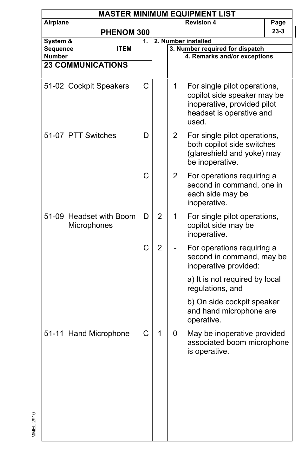|                           | <b>MASTER MINIMUM EQUIPMENT LIST</b> |                         |    |                |                |                                                                                                                                 |          |  |  |  |
|---------------------------|--------------------------------------|-------------------------|----|----------------|----------------|---------------------------------------------------------------------------------------------------------------------------------|----------|--|--|--|
| Airplane                  |                                      |                         |    |                |                | <b>Revision 4</b>                                                                                                               | Page     |  |  |  |
|                           |                                      | PHENOM 300              |    |                |                |                                                                                                                                 | $23 - 3$ |  |  |  |
| System &                  |                                      |                         | 1. |                |                | 2. Number installed                                                                                                             |          |  |  |  |
| Sequence<br><b>Number</b> |                                      | <b>ITEM</b>             |    |                |                | 3. Number required for dispatch<br>4. Remarks and/or exceptions                                                                 |          |  |  |  |
|                           | <b>23 COMMUNICATIONS</b>             |                         |    |                |                |                                                                                                                                 |          |  |  |  |
|                           |                                      |                         |    |                |                |                                                                                                                                 |          |  |  |  |
|                           | 51-02 Cockpit Speakers               |                         | C  |                | 1              | For single pilot operations,<br>copilot side speaker may be<br>inoperative, provided pilot<br>headset is operative and<br>used. |          |  |  |  |
|                           | 51-07 PTT Switches                   |                         | D  |                | $\overline{2}$ | For single pilot operations,<br>both copilot side switches<br>(glareshield and yoke) may<br>be inoperative.                     |          |  |  |  |
|                           |                                      |                         | C  |                | $\overline{2}$ | For operations requiring a<br>second in command, one in<br>each side may be<br>inoperative.                                     |          |  |  |  |
|                           | Microphones                          | 51-09 Headset with Boom | D  | $\overline{2}$ | 1              | For single pilot operations,<br>copilot side may be<br>inoperative.                                                             |          |  |  |  |
|                           |                                      |                         | C  | $\overline{2}$ |                | For operations requiring a<br>second in command, may be<br>inoperative provided:                                                |          |  |  |  |
|                           |                                      |                         |    |                |                | a) It is not required by local<br>regulations, and                                                                              |          |  |  |  |
|                           |                                      |                         |    |                |                | b) On side cockpit speaker<br>and hand microphone are<br>operative.                                                             |          |  |  |  |
|                           | 51-11 Hand Microphone                |                         | С  | 1              | 0              | May be inoperative provided<br>associated boom microphone<br>is operative.                                                      |          |  |  |  |
|                           |                                      |                         |    |                |                |                                                                                                                                 |          |  |  |  |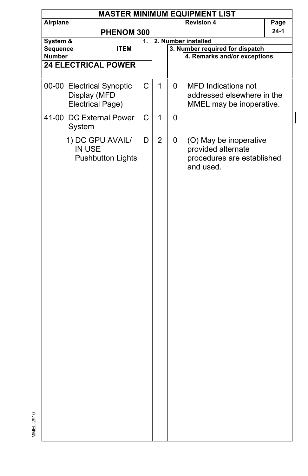|               | <b>MASTER MINIMUM EQUIPMENT LIST</b> |    |                |   |                                 |      |  |  |  |  |
|---------------|--------------------------------------|----|----------------|---|---------------------------------|------|--|--|--|--|
| Airplane      |                                      |    |                |   | <b>Revision 4</b>               | Page |  |  |  |  |
|               | PHENOM 300                           |    |                |   |                                 | 24-1 |  |  |  |  |
| System &      |                                      | 1. |                |   | 2. Number installed             |      |  |  |  |  |
| Sequence      | <b>ITEM</b>                          |    |                |   | 3. Number required for dispatch |      |  |  |  |  |
| <b>Number</b> |                                      |    |                |   | 4. Remarks and/or exceptions    |      |  |  |  |  |
|               | <b>24 ELECTRICAL POWER</b>           |    |                |   |                                 |      |  |  |  |  |
|               |                                      |    |                |   |                                 |      |  |  |  |  |
|               | 00-00 Electrical Synoptic            | C  | $\mathbf{1}$   | 0 | <b>MFD Indications not</b>      |      |  |  |  |  |
|               | Display (MFD                         |    |                |   | addressed elsewhere in the      |      |  |  |  |  |
|               | Electrical Page)                     |    |                |   | MMEL may be inoperative.        |      |  |  |  |  |
|               |                                      |    |                |   |                                 |      |  |  |  |  |
|               | 41-00 DC External Power              | C  | 1              | 0 |                                 |      |  |  |  |  |
|               | System                               |    |                |   |                                 |      |  |  |  |  |
|               | 1) DC GPU AVAIL/                     | D  | $\overline{2}$ | 0 | (O) May be inoperative          |      |  |  |  |  |
|               | IN USE                               |    |                |   | provided alternate              |      |  |  |  |  |
|               | <b>Pushbutton Lights</b>             |    |                |   | procedures are established      |      |  |  |  |  |
|               |                                      |    |                |   | and used.                       |      |  |  |  |  |
|               |                                      |    |                |   |                                 |      |  |  |  |  |
|               |                                      |    |                |   |                                 |      |  |  |  |  |
|               |                                      |    |                |   |                                 |      |  |  |  |  |
|               |                                      |    |                |   |                                 |      |  |  |  |  |
|               |                                      |    |                |   |                                 |      |  |  |  |  |
|               |                                      |    |                |   |                                 |      |  |  |  |  |
|               |                                      |    |                |   |                                 |      |  |  |  |  |
|               |                                      |    |                |   |                                 |      |  |  |  |  |
|               |                                      |    |                |   |                                 |      |  |  |  |  |
|               |                                      |    |                |   |                                 |      |  |  |  |  |
|               |                                      |    |                |   |                                 |      |  |  |  |  |
|               |                                      |    |                |   |                                 |      |  |  |  |  |
|               |                                      |    |                |   |                                 |      |  |  |  |  |
|               |                                      |    |                |   |                                 |      |  |  |  |  |
|               |                                      |    |                |   |                                 |      |  |  |  |  |
|               |                                      |    |                |   |                                 |      |  |  |  |  |
|               |                                      |    |                |   |                                 |      |  |  |  |  |
|               |                                      |    |                |   |                                 |      |  |  |  |  |
|               |                                      |    |                |   |                                 |      |  |  |  |  |
|               |                                      |    |                |   |                                 |      |  |  |  |  |
|               |                                      |    |                |   |                                 |      |  |  |  |  |
|               |                                      |    |                |   |                                 |      |  |  |  |  |
|               |                                      |    |                |   |                                 |      |  |  |  |  |
|               |                                      |    |                |   |                                 |      |  |  |  |  |
|               |                                      |    |                |   |                                 |      |  |  |  |  |
|               |                                      |    |                |   |                                 |      |  |  |  |  |
|               |                                      |    |                |   |                                 |      |  |  |  |  |
|               |                                      |    |                |   |                                 |      |  |  |  |  |
|               |                                      |    |                |   |                                 |      |  |  |  |  |
|               |                                      |    |                |   |                                 |      |  |  |  |  |

 $\overline{\phantom{a}}$ 

MMEL-2910

MMEL-2910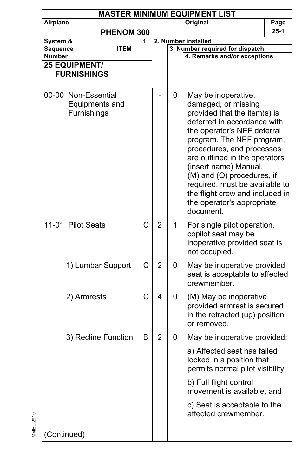| <b>MASTER MINIMUM EQUIPMENT LIST</b> |                                                      |                                                                                                                                                                                                                                                                                                                                                                                                                 |                |                                                                 |                                                                                                        |      |
|--------------------------------------|------------------------------------------------------|-----------------------------------------------------------------------------------------------------------------------------------------------------------------------------------------------------------------------------------------------------------------------------------------------------------------------------------------------------------------------------------------------------------------|----------------|-----------------------------------------------------------------|--------------------------------------------------------------------------------------------------------|------|
| Airplane                             |                                                      |                                                                                                                                                                                                                                                                                                                                                                                                                 |                |                                                                 | Original                                                                                               | Page |
| PHENOM 300                           |                                                      |                                                                                                                                                                                                                                                                                                                                                                                                                 |                | $25-1$                                                          |                                                                                                        |      |
| System &<br>1.                       |                                                      |                                                                                                                                                                                                                                                                                                                                                                                                                 |                | 2. Number installed                                             |                                                                                                        |      |
|                                      | Sequence<br><b>ITEM</b><br><b>Number</b>             |                                                                                                                                                                                                                                                                                                                                                                                                                 |                | 3. Number required for dispatch<br>4. Remarks and/or exceptions |                                                                                                        |      |
| 25 EQUIPMENT/                        |                                                      |                                                                                                                                                                                                                                                                                                                                                                                                                 |                |                                                                 |                                                                                                        |      |
| <b>FURNISHINGS</b>                   |                                                      |                                                                                                                                                                                                                                                                                                                                                                                                                 |                |                                                                 |                                                                                                        |      |
|                                      | 00-00 Non-Essential<br>Equipments and<br>Furnishings | 0<br>May be inoperative,<br>damaged, or missing<br>provided that the item(s) is<br>deferred in accordance with<br>the operator's NEF deferral<br>program. The NEF program,<br>procedures, and processes<br>are outlined in the operators<br>(insert name) Manual.<br>(M) and (O) procedures, if<br>required, must be available to<br>the flight crew and included in<br>the operator's appropriate<br>document. |                |                                                                 |                                                                                                        |      |
|                                      | 11-01 Pilot Seats                                    | C                                                                                                                                                                                                                                                                                                                                                                                                               | $\overline{2}$ | 1                                                               | For single pilot operation,<br>copilot seat may be<br>inoperative provided seat is<br>not occupied.    |      |
|                                      | 1) Lumbar Support                                    | C                                                                                                                                                                                                                                                                                                                                                                                                               | $\overline{2}$ | 0                                                               | May be inoperative provided<br>seat is acceptable to affected<br>crewmember.                           |      |
|                                      | 2) Armrests                                          | C                                                                                                                                                                                                                                                                                                                                                                                                               | 4              | 0                                                               | (M) May be inoperative<br>provided armrest is secured<br>in the retracted (up) position<br>or removed. |      |
|                                      | 3) Recline Function                                  | В                                                                                                                                                                                                                                                                                                                                                                                                               | $\overline{2}$ | 0                                                               | May be inoperative provided:                                                                           |      |
|                                      |                                                      |                                                                                                                                                                                                                                                                                                                                                                                                                 |                |                                                                 | a) Affected seat has failed<br>locked in a position that<br>permits normal pilot visibility,           |      |
|                                      |                                                      |                                                                                                                                                                                                                                                                                                                                                                                                                 |                |                                                                 | b) Full flight control<br>movement is available, and                                                   |      |
|                                      |                                                      |                                                                                                                                                                                                                                                                                                                                                                                                                 |                |                                                                 | c) Seat is acceptable to the<br>affected crewmember.                                                   |      |
| (Continued)                          |                                                      |                                                                                                                                                                                                                                                                                                                                                                                                                 |                |                                                                 |                                                                                                        |      |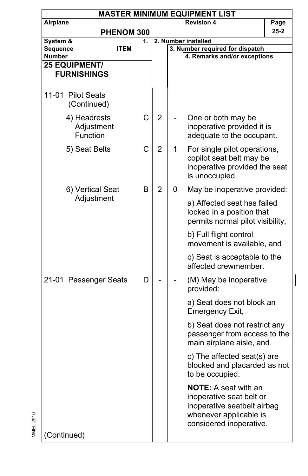| <b>MASTER MINIMUM EQUIPMENT LIST</b>       |                        |    |                |   |                                                                                                                                             |          |  |  |  |
|--------------------------------------------|------------------------|----|----------------|---|---------------------------------------------------------------------------------------------------------------------------------------------|----------|--|--|--|
| Airplane                                   |                        |    |                |   | <b>Revision 4</b>                                                                                                                           | Page     |  |  |  |
|                                            | PHENOM 300             |    |                |   |                                                                                                                                             | $25 - 2$ |  |  |  |
| System &                                   |                        | 1. |                |   | 2. Number installed                                                                                                                         |          |  |  |  |
| Sequence                                   | <b>ITEM</b>            |    |                |   | 3. Number required for dispatch                                                                                                             |          |  |  |  |
| Number                                     |                        |    |                |   | 4. Remarks and/or exceptions                                                                                                                |          |  |  |  |
| <b>25 EQUIPMENT/</b><br><b>FURNISHINGS</b> |                        |    |                |   |                                                                                                                                             |          |  |  |  |
|                                            |                        |    |                |   |                                                                                                                                             |          |  |  |  |
| 11-01 Pilot Seats<br>(Continued)           |                        |    |                |   |                                                                                                                                             |          |  |  |  |
| 4) Headrests                               | Adjustment<br>Function | C  | $\overline{2}$ |   | One or both may be<br>inoperative provided it is<br>adequate to the occupant.                                                               |          |  |  |  |
| 5) Seat Belts                              |                        | C  | $\overline{2}$ | 1 | For single pilot operations,<br>copilot seat belt may be<br>inoperative provided the seat<br>is unoccupied.                                 |          |  |  |  |
|                                            | 6) Vertical Seat       | B  | 2              | 0 | May be inoperative provided:                                                                                                                |          |  |  |  |
|                                            | Adjustment             |    |                |   | a) Affected seat has failed<br>locked in a position that<br>permits normal pilot visibility,                                                |          |  |  |  |
|                                            |                        |    |                |   | b) Full flight control<br>movement is available, and                                                                                        |          |  |  |  |
|                                            |                        |    |                |   | c) Seat is acceptable to the<br>affected crewmember.                                                                                        |          |  |  |  |
| 21-01 Passenger Seats                      |                        | D  |                |   | (M) May be inoperative<br>provided:                                                                                                         |          |  |  |  |
|                                            |                        |    |                |   | a) Seat does not block an<br>Emergency Exit,                                                                                                |          |  |  |  |
|                                            |                        |    |                |   | b) Seat does not restrict any<br>passenger from access to the<br>main airplane aisle, and                                                   |          |  |  |  |
|                                            |                        |    |                |   | c) The affected seat(s) are<br>blocked and placarded as not<br>to be occupied.                                                              |          |  |  |  |
| (Continued)                                |                        |    |                |   | <b>NOTE:</b> A seat with an<br>inoperative seat belt or<br>inoperative seatbelt airbag<br>whenever applicable is<br>considered inoperative. |          |  |  |  |
|                                            |                        |    |                |   |                                                                                                                                             |          |  |  |  |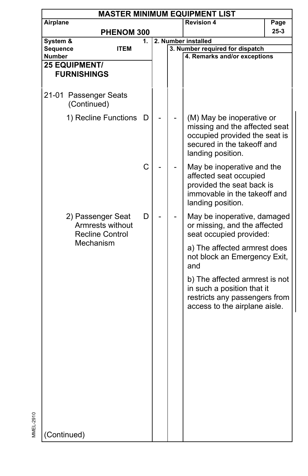|               | <b>MASTER MINIMUM EQUIPMENT LIST</b>                            |    |  |  |                                                                                                                                                |          |  |  |  |  |
|---------------|-----------------------------------------------------------------|----|--|--|------------------------------------------------------------------------------------------------------------------------------------------------|----------|--|--|--|--|
| Airplane      |                                                                 |    |  |  | <b>Revision 4</b>                                                                                                                              | Page     |  |  |  |  |
|               | PHENOM 300                                                      |    |  |  |                                                                                                                                                | $25 - 3$ |  |  |  |  |
| System &      |                                                                 | 1. |  |  | 2. Number installed                                                                                                                            |          |  |  |  |  |
| Sequence      | ITEM                                                            |    |  |  | 3. Number required for dispatch                                                                                                                |          |  |  |  |  |
| <b>Number</b> |                                                                 |    |  |  | 4. Remarks and/or exceptions                                                                                                                   |          |  |  |  |  |
|               | <b>25 EQUIPMENT/</b><br><b>FURNISHINGS</b>                      |    |  |  |                                                                                                                                                |          |  |  |  |  |
|               |                                                                 |    |  |  |                                                                                                                                                |          |  |  |  |  |
|               | 21-01 Passenger Seats<br>(Continued)                            |    |  |  |                                                                                                                                                |          |  |  |  |  |
|               | 1) Recline Functions                                            | D  |  |  | (M) May be inoperative or<br>missing and the affected seat<br>occupied provided the seat is<br>secured in the takeoff and<br>landing position. |          |  |  |  |  |
|               |                                                                 | C  |  |  | May be inoperative and the<br>affected seat occupied<br>provided the seat back is<br>immovable in the takeoff and<br>landing position.         |          |  |  |  |  |
|               | 2) Passenger Seat<br>Armrests without<br><b>Recline Control</b> | D  |  |  | May be inoperative, damaged<br>or missing, and the affected<br>seat occupied provided:                                                         |          |  |  |  |  |
|               | Mechanism                                                       |    |  |  | a) The affected armrest does<br>not block an Emergency Exit,<br>and                                                                            |          |  |  |  |  |
|               |                                                                 |    |  |  | b) The affected armrest is not<br>in such a position that it<br>restricts any passengers from<br>access to the airplane aisle.                 |          |  |  |  |  |
|               |                                                                 |    |  |  |                                                                                                                                                |          |  |  |  |  |
| (Continued)   |                                                                 |    |  |  |                                                                                                                                                |          |  |  |  |  |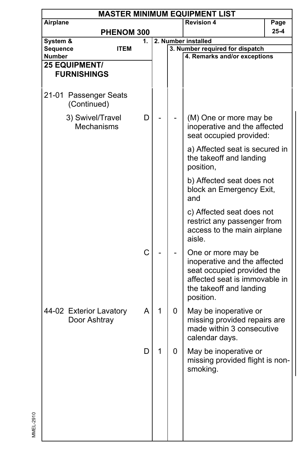|               | <b>MASTER MINIMUM EQUIPMENT LIST</b> |                   |    |   |   |                                                            |      |  |  |  |  |
|---------------|--------------------------------------|-------------------|----|---|---|------------------------------------------------------------|------|--|--|--|--|
| Airplane      |                                      |                   |    |   |   | <b>Revision 4</b>                                          | Page |  |  |  |  |
|               |                                      | <b>PHENOM 300</b> |    |   |   |                                                            | 25-4 |  |  |  |  |
| System &      |                                      |                   | 1. |   |   | 2. Number installed                                        |      |  |  |  |  |
| Sequence      |                                      | ITEM              |    |   |   | 3. Number required for dispatch                            |      |  |  |  |  |
| <b>Number</b> | <b>25 EQUIPMENT/</b>                 |                   |    |   |   | 4. Remarks and/or exceptions                               |      |  |  |  |  |
|               | <b>FURNISHINGS</b>                   |                   |    |   |   |                                                            |      |  |  |  |  |
|               |                                      |                   |    |   |   |                                                            |      |  |  |  |  |
|               |                                      |                   |    |   |   |                                                            |      |  |  |  |  |
|               | 21-01 Passenger Seats<br>(Continued) |                   |    |   |   |                                                            |      |  |  |  |  |
|               | 3) Swivel/Travel                     |                   | D  |   |   | (M) One or more may be                                     |      |  |  |  |  |
|               | Mechanisms                           |                   |    |   |   | inoperative and the affected                               |      |  |  |  |  |
|               |                                      |                   |    |   |   | seat occupied provided:                                    |      |  |  |  |  |
|               |                                      |                   |    |   |   | a) Affected seat is secured in                             |      |  |  |  |  |
|               |                                      |                   |    |   |   | the takeoff and landing<br>position,                       |      |  |  |  |  |
|               |                                      |                   |    |   |   | b) Affected seat does not<br>block an Emergency Exit,      |      |  |  |  |  |
|               |                                      |                   |    |   |   | and                                                        |      |  |  |  |  |
|               |                                      |                   |    |   |   | c) Affected seat does not                                  |      |  |  |  |  |
|               |                                      |                   |    |   |   | restrict any passenger from<br>access to the main airplane |      |  |  |  |  |
|               |                                      |                   |    |   |   | aisle.                                                     |      |  |  |  |  |
|               |                                      |                   | C  |   |   | One or more may be<br>inoperative and the affected         |      |  |  |  |  |
|               |                                      |                   |    |   |   | seat occupied provided the                                 |      |  |  |  |  |
|               |                                      |                   |    |   |   | affected seat is immovable in                              |      |  |  |  |  |
|               |                                      |                   |    |   |   | the takeoff and landing<br>position.                       |      |  |  |  |  |
|               | 44-02 Exterior Lavatory              |                   | A  | 1 | 0 | May be inoperative or                                      |      |  |  |  |  |
|               | Door Ashtray                         |                   |    |   |   | missing provided repairs are                               |      |  |  |  |  |
|               |                                      |                   |    |   |   | made within 3 consecutive<br>calendar days.                |      |  |  |  |  |
|               |                                      |                   | D  | 1 | 0 | May be inoperative or                                      |      |  |  |  |  |
|               |                                      |                   |    |   |   | missing provided flight is non-<br>smoking.                |      |  |  |  |  |
|               |                                      |                   |    |   |   |                                                            |      |  |  |  |  |
|               |                                      |                   |    |   |   |                                                            |      |  |  |  |  |
|               |                                      |                   |    |   |   |                                                            |      |  |  |  |  |
|               |                                      |                   |    |   |   |                                                            |      |  |  |  |  |
|               |                                      |                   |    |   |   |                                                            |      |  |  |  |  |
|               |                                      |                   |    |   |   |                                                            |      |  |  |  |  |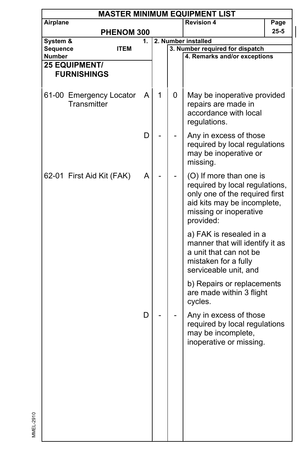|                           | <b>MASTER MINIMUM EQUIPMENT LIST</b>   |             |    |   |                                                                                                                                                                   |                                                                                                                                       |      |  |  |  |
|---------------------------|----------------------------------------|-------------|----|---|-------------------------------------------------------------------------------------------------------------------------------------------------------------------|---------------------------------------------------------------------------------------------------------------------------------------|------|--|--|--|
| Airplane                  |                                        |             |    |   |                                                                                                                                                                   | <b>Revision 4</b>                                                                                                                     | Page |  |  |  |
|                           |                                        | PHENOM 300  |    |   |                                                                                                                                                                   |                                                                                                                                       | 25-5 |  |  |  |
| System &                  |                                        |             | 1. |   | 2. Number installed                                                                                                                                               |                                                                                                                                       |      |  |  |  |
| Sequence                  |                                        | <b>ITEM</b> |    |   |                                                                                                                                                                   | 3. Number required for dispatch                                                                                                       |      |  |  |  |
| <b>Number</b>             |                                        |             |    |   |                                                                                                                                                                   | 4. Remarks and/or exceptions                                                                                                          |      |  |  |  |
|                           | <b>25 EQUIPMENT/</b>                   |             |    |   |                                                                                                                                                                   |                                                                                                                                       |      |  |  |  |
|                           | <b>FURNISHINGS</b>                     |             |    |   |                                                                                                                                                                   |                                                                                                                                       |      |  |  |  |
|                           | 61-00 Emergency Locator<br>Transmitter |             | A  | 1 | 0                                                                                                                                                                 | May be inoperative provided<br>repairs are made in<br>accordance with local<br>regulations.                                           |      |  |  |  |
|                           |                                        |             | D  |   |                                                                                                                                                                   | Any in excess of those<br>required by local regulations<br>may be inoperative or<br>missing.                                          |      |  |  |  |
| 62-01 First Aid Kit (FAK) |                                        | A           |    |   | (O) If more than one is<br>required by local regulations,<br>only one of the required first<br>aid kits may be incomplete,<br>missing or inoperative<br>provided: |                                                                                                                                       |      |  |  |  |
|                           |                                        |             |    |   |                                                                                                                                                                   | a) FAK is resealed in a<br>manner that will identify it as<br>a unit that can not be<br>mistaken for a fully<br>serviceable unit, and |      |  |  |  |
|                           |                                        |             |    |   |                                                                                                                                                                   | b) Repairs or replacements<br>are made within 3 flight<br>cycles.                                                                     |      |  |  |  |
|                           |                                        |             | D  |   |                                                                                                                                                                   | Any in excess of those<br>required by local regulations<br>may be incomplete,<br>inoperative or missing.                              |      |  |  |  |
|                           |                                        |             |    |   |                                                                                                                                                                   |                                                                                                                                       |      |  |  |  |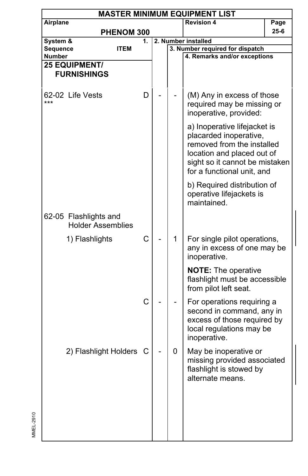|          | <b>MASTER MINIMUM EQUIPMENT LIST</b>              |             |    |  |                     |                                                                                                                                                                                    |      |  |  |  |  |
|----------|---------------------------------------------------|-------------|----|--|---------------------|------------------------------------------------------------------------------------------------------------------------------------------------------------------------------------|------|--|--|--|--|
| Airplane |                                                   |             |    |  | Page                |                                                                                                                                                                                    |      |  |  |  |  |
|          |                                                   | PHENOM 300  |    |  |                     |                                                                                                                                                                                    | 25-6 |  |  |  |  |
| System & |                                                   |             | 1. |  | 2. Number installed |                                                                                                                                                                                    |      |  |  |  |  |
| Sequence |                                                   | <b>ITEM</b> |    |  |                     | 3. Number required for dispatch                                                                                                                                                    |      |  |  |  |  |
| Number   | <b>25 EQUIPMENT/</b>                              |             |    |  |                     | 4. Remarks and/or exceptions                                                                                                                                                       |      |  |  |  |  |
|          | <b>FURNISHINGS</b>                                |             |    |  |                     |                                                                                                                                                                                    |      |  |  |  |  |
| ***      | 62-02 Life Vests                                  |             | D  |  |                     | (M) Any in excess of those<br>required may be missing or<br>inoperative, provided:                                                                                                 |      |  |  |  |  |
|          |                                                   |             |    |  |                     | a) Inoperative lifejacket is<br>placarded inoperative,<br>removed from the installed<br>location and placed out of<br>sight so it cannot be mistaken<br>for a functional unit, and |      |  |  |  |  |
|          |                                                   |             |    |  |                     | b) Required distribution of<br>operative lifejackets is<br>maintained.                                                                                                             |      |  |  |  |  |
|          | 62-05 Flashlights and<br><b>Holder Assemblies</b> |             |    |  |                     |                                                                                                                                                                                    |      |  |  |  |  |
|          | 1) Flashlights                                    |             | C  |  | 1                   | For single pilot operations,<br>any in excess of one may be<br>inoperative.                                                                                                        |      |  |  |  |  |
|          |                                                   |             |    |  |                     | <b>NOTE:</b> The operative<br>flashlight must be accessible<br>from pilot left seat.                                                                                               |      |  |  |  |  |
|          |                                                   |             | C  |  |                     | For operations requiring a<br>second in command, any in<br>excess of those required by<br>local regulations may be<br>inoperative.                                                 |      |  |  |  |  |
|          | 2) Flashlight Holders                             |             | C  |  | 0                   | May be inoperative or<br>missing provided associated<br>flashlight is stowed by<br>alternate means.                                                                                |      |  |  |  |  |
|          |                                                   |             |    |  |                     |                                                                                                                                                                                    |      |  |  |  |  |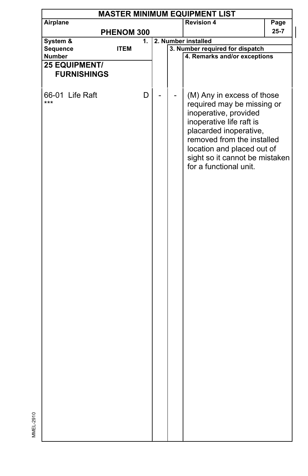| <b>MASTER MINIMUM EQUIPMENT LIST</b> |             |  |  |                                                                                                                                                                                                                                                                 |          |  |  |  |  |  |
|--------------------------------------|-------------|--|--|-----------------------------------------------------------------------------------------------------------------------------------------------------------------------------------------------------------------------------------------------------------------|----------|--|--|--|--|--|
| Airplane                             |             |  |  | <b>Revision 4</b>                                                                                                                                                                                                                                               | Page     |  |  |  |  |  |
|                                      | PHENOM 300  |  |  |                                                                                                                                                                                                                                                                 | $25 - 7$ |  |  |  |  |  |
| System &                             | 1.          |  |  | 2. Number installed                                                                                                                                                                                                                                             |          |  |  |  |  |  |
| Sequence                             | <b>ITEM</b> |  |  | 3. Number required for dispatch                                                                                                                                                                                                                                 |          |  |  |  |  |  |
| <b>Number</b>                        |             |  |  | 4. Remarks and/or exceptions                                                                                                                                                                                                                                    |          |  |  |  |  |  |
| <b>25 EQUIPMENT/</b>                 |             |  |  |                                                                                                                                                                                                                                                                 |          |  |  |  |  |  |
| <b>FURNISHINGS</b>                   |             |  |  |                                                                                                                                                                                                                                                                 |          |  |  |  |  |  |
|                                      |             |  |  |                                                                                                                                                                                                                                                                 |          |  |  |  |  |  |
| 66-01 Life Raft<br>***               | D           |  |  | (M) Any in excess of those<br>required may be missing or<br>inoperative, provided<br>inoperative life raft is<br>placarded inoperative,<br>removed from the installed<br>location and placed out of<br>sight so it cannot be mistaken<br>for a functional unit. |          |  |  |  |  |  |
|                                      |             |  |  |                                                                                                                                                                                                                                                                 |          |  |  |  |  |  |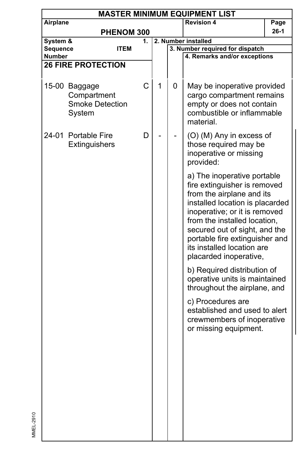|                           | <b>MASTER MINIMUM EQUIPMENT LIST</b>                             |             |   |   |                                                                                                                                                                                                                                                                                                                         |        |  |  |  |  |  |
|---------------------------|------------------------------------------------------------------|-------------|---|---|-------------------------------------------------------------------------------------------------------------------------------------------------------------------------------------------------------------------------------------------------------------------------------------------------------------------------|--------|--|--|--|--|--|
| Airplane                  |                                                                  |             |   |   | <b>Revision 4</b>                                                                                                                                                                                                                                                                                                       | Page   |  |  |  |  |  |
|                           |                                                                  | PHENOM 300  |   |   |                                                                                                                                                                                                                                                                                                                         | $26-1$ |  |  |  |  |  |
| System &                  |                                                                  | 1.          |   |   | 2. Number installed                                                                                                                                                                                                                                                                                                     |        |  |  |  |  |  |
| Sequence<br><b>Number</b> |                                                                  | <b>ITEM</b> |   |   | 3. Number required for dispatch<br>4. Remarks and/or exceptions                                                                                                                                                                                                                                                         |        |  |  |  |  |  |
|                           | <b>26 FIRE PROTECTION</b>                                        |             |   |   |                                                                                                                                                                                                                                                                                                                         |        |  |  |  |  |  |
|                           | 15-00 Baggage<br>Compartment<br><b>Smoke Detection</b><br>System | C           | 1 | 0 | May be inoperative provided<br>cargo compartment remains<br>empty or does not contain<br>combustible or inflammable<br>material.                                                                                                                                                                                        |        |  |  |  |  |  |
|                           | 24-01 Portable Fire<br>Extinguishers                             | D           |   |   | (O) (M) Any in excess of<br>those required may be<br>inoperative or missing<br>provided:                                                                                                                                                                                                                                |        |  |  |  |  |  |
|                           |                                                                  |             |   |   | a) The inoperative portable<br>fire extinguisher is removed<br>from the airplane and its<br>installed location is placarded<br>inoperative; or it is removed<br>from the installed location,<br>secured out of sight, and the<br>portable fire extinguisher and<br>its installed location are<br>placarded inoperative, |        |  |  |  |  |  |
|                           |                                                                  |             |   |   | b) Required distribution of<br>operative units is maintained<br>throughout the airplane, and                                                                                                                                                                                                                            |        |  |  |  |  |  |
|                           |                                                                  |             |   |   | c) Procedures are<br>established and used to alert<br>crewmembers of inoperative<br>or missing equipment.                                                                                                                                                                                                               |        |  |  |  |  |  |
|                           |                                                                  |             |   |   |                                                                                                                                                                                                                                                                                                                         |        |  |  |  |  |  |
|                           |                                                                  |             |   |   |                                                                                                                                                                                                                                                                                                                         |        |  |  |  |  |  |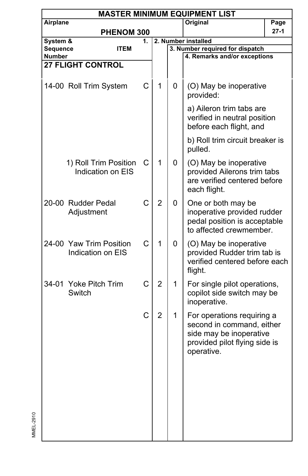|                    | <b>MASTER MINIMUM EQUIPMENT LIST</b> |                                              |    |                |   |                                                                                                                                   |        |  |  |  |  |
|--------------------|--------------------------------------|----------------------------------------------|----|----------------|---|-----------------------------------------------------------------------------------------------------------------------------------|--------|--|--|--|--|
| Airplane           |                                      |                                              |    |                |   | Original                                                                                                                          | Page   |  |  |  |  |
|                    |                                      | PHENOM 300                                   |    |                |   |                                                                                                                                   | $27-1$ |  |  |  |  |
| System &           |                                      |                                              | 1. |                |   | 2. Number installed                                                                                                               |        |  |  |  |  |
| Sequence<br>Number |                                      | <b>ITEM</b>                                  |    |                |   | 3. Number required for dispatch<br>4. Remarks and/or exceptions                                                                   |        |  |  |  |  |
|                    | <b>27 FLIGHT CONTROL</b>             |                                              |    |                |   |                                                                                                                                   |        |  |  |  |  |
|                    |                                      |                                              |    |                |   |                                                                                                                                   |        |  |  |  |  |
|                    |                                      | 14-00 Roll Trim System                       | C  | 1              | 0 | (O) May be inoperative<br>provided:                                                                                               |        |  |  |  |  |
|                    |                                      |                                              |    |                |   | a) Aileron trim tabs are<br>verified in neutral position<br>before each flight, and                                               |        |  |  |  |  |
|                    |                                      |                                              |    |                |   | b) Roll trim circuit breaker is<br>pulled.                                                                                        |        |  |  |  |  |
|                    |                                      | 1) Roll Trim Position<br>Indication on EIS   | C  | 1              | 0 | (O) May be inoperative<br>provided Ailerons trim tabs<br>are verified centered before<br>each flight.                             |        |  |  |  |  |
|                    | 20-00 Rudder Pedal<br>Adjustment     |                                              | C  | $\overline{2}$ | 0 | One or both may be<br>inoperative provided rudder<br>pedal position is acceptable<br>to affected crewmember.                      |        |  |  |  |  |
|                    |                                      | 24-00 Yaw Trim Position<br>Indication on EIS | C  | 1              | 0 | (O) May be inoperative<br>provided Rudder trim tab is<br>verified centered before each<br>flight.                                 |        |  |  |  |  |
|                    | 34-01 Yoke Pitch Trim<br>Switch      |                                              | C  | $\overline{2}$ | 1 | For single pilot operations,<br>copilot side switch may be<br>inoperative.                                                        |        |  |  |  |  |
|                    |                                      |                                              | C  | $\overline{2}$ | 1 | For operations requiring a<br>second in command, either<br>side may be inoperative<br>provided pilot flying side is<br>operative. |        |  |  |  |  |
|                    |                                      |                                              |    |                |   |                                                                                                                                   |        |  |  |  |  |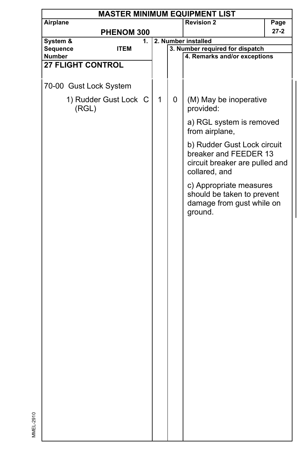| <b>Revision 2</b><br>Airplane<br>Page<br>27-2<br>PHENOM 300<br>System &<br>2. Number installed<br>1.<br>Sequence<br>3. Number required for dispatch<br><b>ITEM</b><br>Number<br>4. Remarks and/or exceptions<br><b>27 FLIGHT CONTROL</b><br>70-00 Gust Lock System<br>1) Rudder Gust Lock C<br>1<br>0<br>(M) May be inoperative<br>(RGL)<br>provided:<br>a) RGL system is removed<br>from airplane,<br>b) Rudder Gust Lock circuit<br>breaker and FEEDER 13<br>circuit breaker are pulled and<br>collared, and<br>c) Appropriate measures<br>should be taken to prevent<br>damage from gust while on<br>ground. | <b>MASTER MINIMUM EQUIPMENT LIST</b> |  |  |  |  |  |  |  |  |  |
|-----------------------------------------------------------------------------------------------------------------------------------------------------------------------------------------------------------------------------------------------------------------------------------------------------------------------------------------------------------------------------------------------------------------------------------------------------------------------------------------------------------------------------------------------------------------------------------------------------------------|--------------------------------------|--|--|--|--|--|--|--|--|--|
|                                                                                                                                                                                                                                                                                                                                                                                                                                                                                                                                                                                                                 |                                      |  |  |  |  |  |  |  |  |  |
|                                                                                                                                                                                                                                                                                                                                                                                                                                                                                                                                                                                                                 |                                      |  |  |  |  |  |  |  |  |  |
|                                                                                                                                                                                                                                                                                                                                                                                                                                                                                                                                                                                                                 |                                      |  |  |  |  |  |  |  |  |  |
|                                                                                                                                                                                                                                                                                                                                                                                                                                                                                                                                                                                                                 |                                      |  |  |  |  |  |  |  |  |  |
|                                                                                                                                                                                                                                                                                                                                                                                                                                                                                                                                                                                                                 |                                      |  |  |  |  |  |  |  |  |  |
|                                                                                                                                                                                                                                                                                                                                                                                                                                                                                                                                                                                                                 |                                      |  |  |  |  |  |  |  |  |  |
|                                                                                                                                                                                                                                                                                                                                                                                                                                                                                                                                                                                                                 |                                      |  |  |  |  |  |  |  |  |  |
|                                                                                                                                                                                                                                                                                                                                                                                                                                                                                                                                                                                                                 |                                      |  |  |  |  |  |  |  |  |  |
|                                                                                                                                                                                                                                                                                                                                                                                                                                                                                                                                                                                                                 |                                      |  |  |  |  |  |  |  |  |  |
|                                                                                                                                                                                                                                                                                                                                                                                                                                                                                                                                                                                                                 |                                      |  |  |  |  |  |  |  |  |  |
|                                                                                                                                                                                                                                                                                                                                                                                                                                                                                                                                                                                                                 |                                      |  |  |  |  |  |  |  |  |  |
|                                                                                                                                                                                                                                                                                                                                                                                                                                                                                                                                                                                                                 |                                      |  |  |  |  |  |  |  |  |  |
|                                                                                                                                                                                                                                                                                                                                                                                                                                                                                                                                                                                                                 |                                      |  |  |  |  |  |  |  |  |  |
|                                                                                                                                                                                                                                                                                                                                                                                                                                                                                                                                                                                                                 |                                      |  |  |  |  |  |  |  |  |  |
|                                                                                                                                                                                                                                                                                                                                                                                                                                                                                                                                                                                                                 |                                      |  |  |  |  |  |  |  |  |  |
|                                                                                                                                                                                                                                                                                                                                                                                                                                                                                                                                                                                                                 |                                      |  |  |  |  |  |  |  |  |  |
|                                                                                                                                                                                                                                                                                                                                                                                                                                                                                                                                                                                                                 |                                      |  |  |  |  |  |  |  |  |  |
|                                                                                                                                                                                                                                                                                                                                                                                                                                                                                                                                                                                                                 |                                      |  |  |  |  |  |  |  |  |  |
|                                                                                                                                                                                                                                                                                                                                                                                                                                                                                                                                                                                                                 |                                      |  |  |  |  |  |  |  |  |  |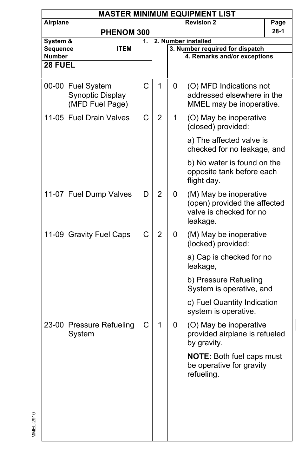|                      | <b>MASTER MINIMUM EQUIPMENT LIST</b>                     |    |                |   |                                                                                               |      |  |  |  |  |  |
|----------------------|----------------------------------------------------------|----|----------------|---|-----------------------------------------------------------------------------------------------|------|--|--|--|--|--|
| Airplane             |                                                          |    |                |   | <b>Revision 2</b>                                                                             | Page |  |  |  |  |  |
|                      | <b>PHENOM 300</b>                                        |    |                |   |                                                                                               | 28-1 |  |  |  |  |  |
| System &<br>Sequence | <b>ITEM</b>                                              | 1. |                |   | 2. Number installed<br>3. Number required for dispatch                                        |      |  |  |  |  |  |
| Number               |                                                          |    |                |   | 4. Remarks and/or exceptions                                                                  |      |  |  |  |  |  |
| 28 FUEL              |                                                          |    |                |   |                                                                                               |      |  |  |  |  |  |
|                      |                                                          |    |                |   |                                                                                               |      |  |  |  |  |  |
|                      | 00-00 Fuel System<br>Synoptic Display<br>(MFD Fuel Page) | C  | 1              | 0 | (O) MFD Indications not<br>addressed elsewhere in the<br>MMEL may be inoperative.             |      |  |  |  |  |  |
|                      | 11-05 Fuel Drain Valves                                  | C  | $\overline{2}$ | 1 | (O) May be inoperative<br>(closed) provided:                                                  |      |  |  |  |  |  |
|                      |                                                          |    |                |   | a) The affected valve is<br>checked for no leakage, and                                       |      |  |  |  |  |  |
|                      |                                                          |    |                |   | b) No water is found on the<br>opposite tank before each<br>flight day.                       |      |  |  |  |  |  |
|                      | 11-07 Fuel Dump Valves                                   | D  | $\overline{2}$ | 0 | (M) May be inoperative<br>(open) provided the affected<br>valve is checked for no<br>leakage. |      |  |  |  |  |  |
|                      | 11-09 Gravity Fuel Caps                                  | C  | $\overline{2}$ | 0 | (M) May be inoperative<br>(locked) provided:                                                  |      |  |  |  |  |  |
|                      |                                                          |    |                |   | a) Cap is checked for no<br>leakage,                                                          |      |  |  |  |  |  |
|                      |                                                          |    |                |   | b) Pressure Refueling<br>System is operative, and                                             |      |  |  |  |  |  |
|                      |                                                          |    |                |   | c) Fuel Quantity Indication<br>system is operative.                                           |      |  |  |  |  |  |
|                      | 23-00 Pressure Refueling<br>System                       | С  | 1              | 0 | (O) May be inoperative<br>provided airplane is refueled<br>by gravity.                        |      |  |  |  |  |  |
|                      |                                                          |    |                |   | <b>NOTE: Both fuel caps must</b><br>be operative for gravity<br>refueling.                    |      |  |  |  |  |  |
|                      |                                                          |    |                |   |                                                                                               |      |  |  |  |  |  |
|                      |                                                          |    |                |   |                                                                                               |      |  |  |  |  |  |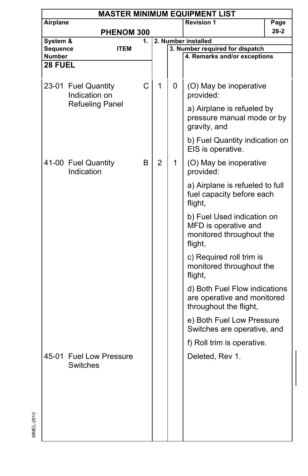|                      | <b>MASTER MINIMUM EQUIPMENT LIST</b> |                   |                |   |                                                                                           |      |  |  |  |  |
|----------------------|--------------------------------------|-------------------|----------------|---|-------------------------------------------------------------------------------------------|------|--|--|--|--|
| Airplane             |                                      |                   |                |   | <b>Revision 1</b>                                                                         | Page |  |  |  |  |
|                      |                                      | PHENOM 300        |                |   |                                                                                           | 28-2 |  |  |  |  |
| System &<br>Sequence |                                      | 1.<br><b>ITEM</b> |                |   | 2. Number installed<br>3. Number required for dispatch                                    |      |  |  |  |  |
| Number               |                                      |                   |                |   | 4. Remarks and/or exceptions                                                              |      |  |  |  |  |
| 28 FUEL              |                                      |                   |                |   |                                                                                           |      |  |  |  |  |
|                      | 23-01 Fuel Quantity<br>Indication on | C                 | 1              | 0 | (O) May be inoperative<br>provided:                                                       |      |  |  |  |  |
|                      | <b>Refueling Panel</b>               |                   |                |   | a) Airplane is refueled by<br>pressure manual mode or by<br>gravity, and                  |      |  |  |  |  |
|                      |                                      |                   |                |   | b) Fuel Quantity indication on<br>EIS is operative.                                       |      |  |  |  |  |
|                      | 41-00 Fuel Quantity<br>Indication    | B                 | $\overline{2}$ | 1 | (O) May be inoperative<br>provided:                                                       |      |  |  |  |  |
|                      |                                      |                   |                |   | a) Airplane is refueled to full<br>fuel capacity before each<br>flight,                   |      |  |  |  |  |
|                      |                                      |                   |                |   | b) Fuel Used indication on<br>MFD is operative and<br>monitored throughout the<br>flight, |      |  |  |  |  |
|                      |                                      |                   |                |   | c) Required roll trim is<br>monitored throughout the<br>flight,                           |      |  |  |  |  |
|                      |                                      |                   |                |   | d) Both Fuel Flow indications<br>are operative and monitored<br>throughout the flight,    |      |  |  |  |  |
|                      |                                      |                   |                |   | e) Both Fuel Low Pressure<br>Switches are operative, and                                  |      |  |  |  |  |
|                      |                                      |                   |                |   | f) Roll trim is operative.                                                                |      |  |  |  |  |
|                      | 45-01 Fuel Low Pressure              |                   |                |   | Deleted, Rev 1.                                                                           |      |  |  |  |  |
|                      | Switches                             |                   |                |   |                                                                                           |      |  |  |  |  |
|                      |                                      |                   |                |   |                                                                                           |      |  |  |  |  |
|                      |                                      |                   |                |   |                                                                                           |      |  |  |  |  |
|                      |                                      |                   |                |   |                                                                                           |      |  |  |  |  |
|                      |                                      |                   |                |   |                                                                                           |      |  |  |  |  |
|                      |                                      |                   |                |   |                                                                                           |      |  |  |  |  |
|                      |                                      |                   |                |   |                                                                                           |      |  |  |  |  |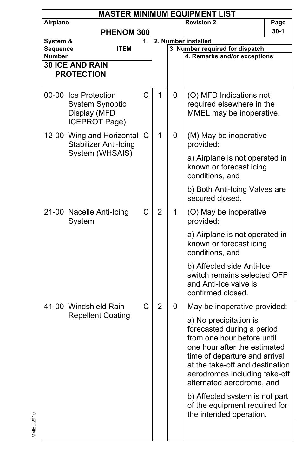|                                  | <b>MASTER MINIMUM EQUIPMENT LIST</b>                                            |    |                |   |                                                                                                                                                                                                                                                                                                                                                    |        |  |  |  |  |
|----------------------------------|---------------------------------------------------------------------------------|----|----------------|---|----------------------------------------------------------------------------------------------------------------------------------------------------------------------------------------------------------------------------------------------------------------------------------------------------------------------------------------------------|--------|--|--|--|--|
| Airplane                         |                                                                                 |    |                |   | <b>Revision 2</b>                                                                                                                                                                                                                                                                                                                                  | Page   |  |  |  |  |
|                                  | <b>PHENOM 300</b>                                                               |    |                |   |                                                                                                                                                                                                                                                                                                                                                    | $30-1$ |  |  |  |  |
| System &                         |                                                                                 | 1. |                |   | 2. Number installed                                                                                                                                                                                                                                                                                                                                |        |  |  |  |  |
| <b>Sequence</b><br><b>Number</b> | ITEM                                                                            |    |                |   | 3. Number required for dispatch<br>4. Remarks and/or exceptions                                                                                                                                                                                                                                                                                    |        |  |  |  |  |
|                                  | <b>30 ICE AND RAIN</b>                                                          |    |                |   |                                                                                                                                                                                                                                                                                                                                                    |        |  |  |  |  |
|                                  | <b>PROTECTION</b>                                                               |    |                |   |                                                                                                                                                                                                                                                                                                                                                    |        |  |  |  |  |
|                                  |                                                                                 |    |                |   |                                                                                                                                                                                                                                                                                                                                                    |        |  |  |  |  |
|                                  | 00-00 Ice Protection<br><b>System Synoptic</b><br>Display (MFD<br>ICEPROT Page) | C  | 1              | 0 | (O) MFD Indications not<br>required elsewhere in the<br>MMEL may be inoperative.                                                                                                                                                                                                                                                                   |        |  |  |  |  |
|                                  | 12-00 Wing and Horizontal C<br>Stabilizer Anti-Icing                            |    | 1              | 0 | (M) May be inoperative<br>provided:                                                                                                                                                                                                                                                                                                                |        |  |  |  |  |
| System (WHSAIS)                  |                                                                                 |    |                |   | a) Airplane is not operated in<br>known or forecast icing<br>conditions, and                                                                                                                                                                                                                                                                       |        |  |  |  |  |
|                                  |                                                                                 |    |                |   | b) Both Anti-Icing Valves are<br>secured closed.                                                                                                                                                                                                                                                                                                   |        |  |  |  |  |
|                                  | 21-00 Nacelle Anti-Icing<br>System                                              | С  | $\overline{2}$ | 1 | (O) May be inoperative<br>provided:                                                                                                                                                                                                                                                                                                                |        |  |  |  |  |
|                                  |                                                                                 |    |                |   | a) Airplane is not operated in<br>known or forecast icing<br>conditions, and                                                                                                                                                                                                                                                                       |        |  |  |  |  |
|                                  |                                                                                 |    |                |   | b) Affected side Anti-Ice<br>switch remains selected OFF<br>and Anti-Ice valve is<br>confirmed closed.                                                                                                                                                                                                                                             |        |  |  |  |  |
|                                  | 41-00 Windshield Rain                                                           | C  | $\overline{2}$ | 0 | May be inoperative provided:                                                                                                                                                                                                                                                                                                                       |        |  |  |  |  |
|                                  | <b>Repellent Coating</b>                                                        |    |                |   | a) No precipitation is<br>forecasted during a period<br>from one hour before until<br>one hour after the estimated<br>time of departure and arrival<br>at the take-off and destination<br>aerodromes including take-off<br>alternated aerodrome, and<br>b) Affected system is not part<br>of the equipment required for<br>the intended operation. |        |  |  |  |  |
|                                  |                                                                                 |    |                |   |                                                                                                                                                                                                                                                                                                                                                    |        |  |  |  |  |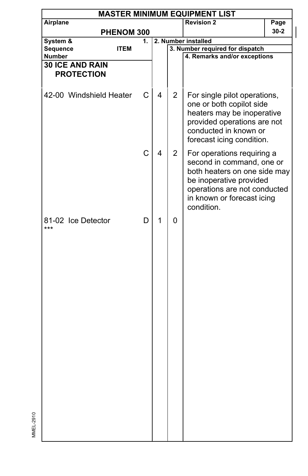| <b>MASTER MINIMUM EQUIPMENT LIST</b>        |             |    |   |                     |                                                                                                                                                                                                |      |  |  |  |
|---------------------------------------------|-------------|----|---|---------------------|------------------------------------------------------------------------------------------------------------------------------------------------------------------------------------------------|------|--|--|--|
| Airplane                                    |             |    |   |                     | <b>Revision 2</b>                                                                                                                                                                              | Page |  |  |  |
|                                             | PHENOM 300  |    |   |                     |                                                                                                                                                                                                | 30-2 |  |  |  |
| System &                                    |             | 1. |   | 2. Number installed |                                                                                                                                                                                                |      |  |  |  |
| <b>Sequence</b>                             | <b>ITEM</b> |    |   |                     | 3. Number required for dispatch                                                                                                                                                                |      |  |  |  |
| <b>Number</b>                               |             |    |   |                     | 4. Remarks and/or exceptions                                                                                                                                                                   |      |  |  |  |
| <b>30 ICE AND RAIN</b><br><b>PROTECTION</b> |             |    |   |                     |                                                                                                                                                                                                |      |  |  |  |
|                                             |             |    |   |                     |                                                                                                                                                                                                |      |  |  |  |
| 42-00 Windshield Heater                     |             | С  | 4 | 2                   | For single pilot operations,<br>one or both copilot side<br>heaters may be inoperative<br>provided operations are not<br>conducted in known or<br>forecast icing condition.                    |      |  |  |  |
|                                             |             | C  | 4 | $\overline{2}$      | For operations requiring a<br>second in command, one or<br>both heaters on one side may<br>be inoperative provided<br>operations are not conducted<br>in known or forecast icing<br>condition. |      |  |  |  |
| 81-02 Ice Detector<br>***                   |             | D  | 1 | 0                   |                                                                                                                                                                                                |      |  |  |  |
|                                             |             |    |   |                     |                                                                                                                                                                                                |      |  |  |  |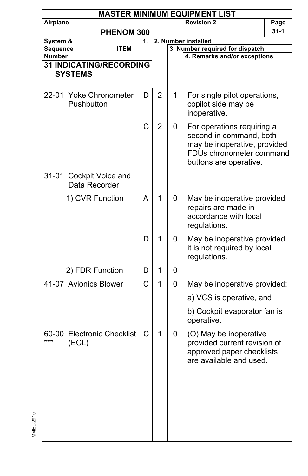|                      | <b>MASTER MINIMUM EQUIPMENT LIST</b>     |    |                |   |                                                                                                                                             |      |  |  |  |
|----------------------|------------------------------------------|----|----------------|---|---------------------------------------------------------------------------------------------------------------------------------------------|------|--|--|--|
| Airplane             |                                          |    |                |   | <b>Revision 2</b>                                                                                                                           | Page |  |  |  |
|                      | PHENOM 300                               |    |                |   |                                                                                                                                             | 31-1 |  |  |  |
| System &<br>Sequence | ITEM                                     | 1. |                |   | 2. Number installed<br>3. Number required for dispatch                                                                                      |      |  |  |  |
| Number               |                                          |    |                |   | 4. Remarks and/or exceptions                                                                                                                |      |  |  |  |
|                      | <b>31 INDICATING/RECORDING</b>           |    |                |   |                                                                                                                                             |      |  |  |  |
|                      | <b>SYSTEMS</b>                           |    |                |   |                                                                                                                                             |      |  |  |  |
|                      | 22-01 Yoke Chronometer<br>Pushbutton     | D  | $\overline{2}$ | 1 | For single pilot operations,<br>copilot side may be                                                                                         |      |  |  |  |
|                      |                                          |    |                |   | inoperative.                                                                                                                                |      |  |  |  |
|                      |                                          | C  | $\overline{2}$ | 0 | For operations requiring a<br>second in command, both<br>may be inoperative, provided<br>FDUs chronometer command<br>buttons are operative. |      |  |  |  |
|                      | 31-01 Cockpit Voice and<br>Data Recorder |    |                |   |                                                                                                                                             |      |  |  |  |
|                      | 1) CVR Function                          | A  | 1              | 0 | May be inoperative provided<br>repairs are made in<br>accordance with local<br>regulations.                                                 |      |  |  |  |
|                      |                                          | D  | 1              | 0 | May be inoperative provided<br>it is not required by local<br>regulations.                                                                  |      |  |  |  |
|                      | 2) FDR Function                          | D  | 1              | 0 |                                                                                                                                             |      |  |  |  |
|                      | 41-07 Avionics Blower                    | C  | 1              | 0 | May be inoperative provided:                                                                                                                |      |  |  |  |
|                      |                                          |    |                |   | a) VCS is operative, and                                                                                                                    |      |  |  |  |
|                      |                                          |    |                |   | b) Cockpit evaporator fan is<br>operative.                                                                                                  |      |  |  |  |
| ***                  | 60-00 Electronic Checklist<br>(ECL)      | С  | 1              | 0 | (O) May be inoperative<br>provided current revision of<br>approved paper checklists<br>are available and used.                              |      |  |  |  |
|                      |                                          |    |                |   |                                                                                                                                             |      |  |  |  |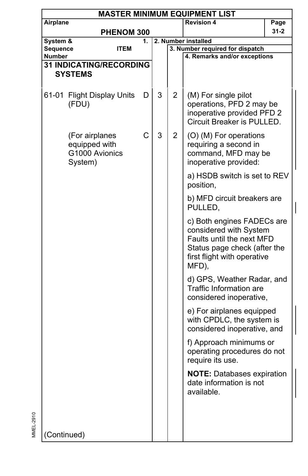|             |                                                              |             |   |                | <b>MASTER MINIMUM EQUIPMENT LIST</b>                                                                                                                      |          |
|-------------|--------------------------------------------------------------|-------------|---|----------------|-----------------------------------------------------------------------------------------------------------------------------------------------------------|----------|
| Airplane    |                                                              |             |   |                | <b>Revision 4</b>                                                                                                                                         | Page     |
|             | PHENOM 300                                                   |             |   |                |                                                                                                                                                           | $31 - 2$ |
| System &    |                                                              | 1.          |   |                | 2. Number installed                                                                                                                                       |          |
| Sequence    | <b>ITEM</b>                                                  |             |   |                | 3. Number required for dispatch                                                                                                                           |          |
| Number      |                                                              |             |   |                | 4. Remarks and/or exceptions                                                                                                                              |          |
|             | <b>31 INDICATING/RECORDING</b>                               |             |   |                |                                                                                                                                                           |          |
|             | <b>SYSTEMS</b>                                               |             |   |                |                                                                                                                                                           |          |
|             | 61-01 Flight Display Units<br>(FDU)                          | D           | 3 | $\overline{2}$ | (M) For single pilot<br>operations, PFD 2 may be<br>inoperative provided PFD 2<br>Circuit Breaker is PULLED.                                              |          |
|             | (For airplanes<br>equipped with<br>G1000 Avionics<br>System) | $\mathsf C$ | 3 | $\overline{2}$ | (O) (M) For operations<br>requiring a second in<br>command, MFD may be<br>inoperative provided:                                                           |          |
|             |                                                              |             |   |                | a) HSDB switch is set to REV<br>position,                                                                                                                 |          |
|             |                                                              |             |   |                | b) MFD circuit breakers are<br>PULLED,                                                                                                                    |          |
|             |                                                              |             |   |                | c) Both engines FADECs are<br>considered with System<br>Faults until the next MFD<br>Status page check (after the<br>first flight with operative<br>MFD), |          |
|             |                                                              |             |   |                | d) GPS, Weather Radar, and<br>Traffic Information are<br>considered inoperative,                                                                          |          |
|             |                                                              |             |   |                | e) For airplanes equipped<br>with CPDLC, the system is<br>considered inoperative, and                                                                     |          |
|             |                                                              |             |   |                | f) Approach minimums or<br>operating procedures do not<br>require its use.                                                                                |          |
|             |                                                              |             |   |                | <b>NOTE: Databases expiration</b><br>date information is not<br>available.                                                                                |          |
| (Continued) |                                                              |             |   |                |                                                                                                                                                           |          |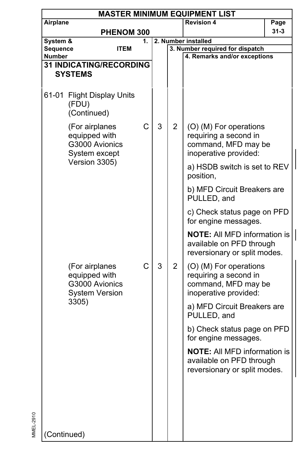| <b>MASTER MINIMUM EQUIPMENT LIST</b>                               |                                                                            |    |   |                     |                                                                                                 |          |  |  |
|--------------------------------------------------------------------|----------------------------------------------------------------------------|----|---|---------------------|-------------------------------------------------------------------------------------------------|----------|--|--|
| Airplane                                                           |                                                                            |    |   |                     | <b>Revision 4</b>                                                                               | Page     |  |  |
|                                                                    | <b>PHENOM 300</b>                                                          |    |   |                     |                                                                                                 | $31 - 3$ |  |  |
| System &                                                           |                                                                            | 1. |   | 2. Number installed |                                                                                                 |          |  |  |
| Sequence<br>Number                                                 | <b>ITEM</b>                                                                |    |   |                     | 3. Number required for dispatch<br>4. Remarks and/or exceptions                                 |          |  |  |
|                                                                    | <b>31 INDICATING/RECORDING</b>                                             |    |   |                     |                                                                                                 |          |  |  |
|                                                                    | <b>SYSTEMS</b>                                                             |    |   |                     |                                                                                                 |          |  |  |
|                                                                    |                                                                            |    |   |                     |                                                                                                 |          |  |  |
|                                                                    | 61-01 Flight Display Units<br>(FDU)<br>(Continued)                         |    |   |                     |                                                                                                 |          |  |  |
| (For airplanes<br>equipped with<br>G3000 Avionics<br>System except |                                                                            | C  | 3 | $\overline{2}$      | (O) (M) For operations<br>requiring a second in<br>command, MFD may be<br>inoperative provided: |          |  |  |
|                                                                    | Version 3305)                                                              |    |   |                     | a) HSDB switch is set to REV<br>position,                                                       |          |  |  |
|                                                                    |                                                                            |    |   |                     | b) MFD Circuit Breakers are<br>PULLED, and                                                      |          |  |  |
|                                                                    |                                                                            |    |   |                     | c) Check status page on PFD<br>for engine messages.                                             |          |  |  |
|                                                                    |                                                                            |    |   |                     | <b>NOTE:</b> All MFD information is<br>available on PFD through<br>reversionary or split modes. |          |  |  |
|                                                                    | (For airplanes<br>equipped with<br>G3000 Avionics<br><b>System Version</b> | C  | 3 | 2                   | (O) (M) For operations<br>requiring a second in<br>command, MFD may be<br>inoperative provided: |          |  |  |
|                                                                    | 3305)                                                                      |    |   |                     | a) MFD Circuit Breakers are<br>PULLED, and                                                      |          |  |  |
|                                                                    |                                                                            |    |   |                     | b) Check status page on PFD<br>for engine messages.                                             |          |  |  |
|                                                                    |                                                                            |    |   |                     | <b>NOTE:</b> All MFD information is<br>available on PFD through<br>reversionary or split modes. |          |  |  |
|                                                                    |                                                                            |    |   |                     |                                                                                                 |          |  |  |
|                                                                    |                                                                            |    |   |                     |                                                                                                 |          |  |  |
| (Continued)                                                        |                                                                            |    |   |                     |                                                                                                 |          |  |  |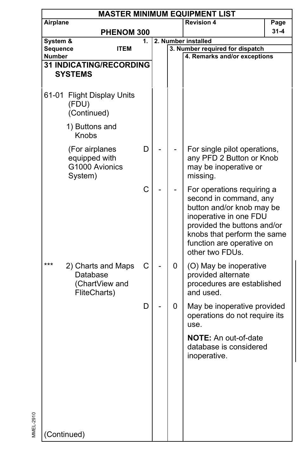|             | <b>MASTER MINIMUM EQUIPMENT LIST</b>                             |    |  |   |                                                                                                                                                                                                                           |          |  |  |  |  |
|-------------|------------------------------------------------------------------|----|--|---|---------------------------------------------------------------------------------------------------------------------------------------------------------------------------------------------------------------------------|----------|--|--|--|--|
| Airplane    |                                                                  |    |  |   | <b>Revision 4</b>                                                                                                                                                                                                         | Page     |  |  |  |  |
|             | PHENOM 300                                                       |    |  |   |                                                                                                                                                                                                                           | $31 - 4$ |  |  |  |  |
| System &    |                                                                  | 1. |  |   | 2. Number installed                                                                                                                                                                                                       |          |  |  |  |  |
| Sequence    | <b>ITEM</b>                                                      |    |  |   | 3. Number required for dispatch                                                                                                                                                                                           |          |  |  |  |  |
| Number      |                                                                  |    |  |   | 4. Remarks and/or exceptions                                                                                                                                                                                              |          |  |  |  |  |
|             | <b>31 INDICATING/RECORDING</b><br><b>SYSTEMS</b>                 |    |  |   |                                                                                                                                                                                                                           |          |  |  |  |  |
|             |                                                                  |    |  |   |                                                                                                                                                                                                                           |          |  |  |  |  |
| 61-01       | <b>Flight Display Units</b><br>(FDU)<br>(Continued)              |    |  |   |                                                                                                                                                                                                                           |          |  |  |  |  |
|             | 1) Buttons and<br>Knobs                                          |    |  |   |                                                                                                                                                                                                                           |          |  |  |  |  |
|             | (For airplanes<br>equipped with<br>G1000 Avionics<br>System)     | D  |  |   | For single pilot operations,<br>any PFD 2 Button or Knob<br>may be inoperative or<br>missing.                                                                                                                             |          |  |  |  |  |
|             |                                                                  | C  |  |   | For operations requiring a<br>second in command, any<br>button and/or knob may be<br>inoperative in one FDU<br>provided the buttons and/or<br>knobs that perform the same<br>function are operative on<br>other two FDUs. |          |  |  |  |  |
| ***         | 2) Charts and Maps<br>Database<br>(ChartView and<br>FliteCharts) | С  |  | 0 | (O) May be inoperative<br>provided alternate<br>procedures are established<br>and used.                                                                                                                                   |          |  |  |  |  |
|             |                                                                  | D  |  | 0 | May be inoperative provided<br>operations do not require its<br>use.                                                                                                                                                      |          |  |  |  |  |
|             |                                                                  |    |  |   | <b>NOTE:</b> An out-of-date<br>database is considered<br>inoperative.                                                                                                                                                     |          |  |  |  |  |
| (Continued) |                                                                  |    |  |   |                                                                                                                                                                                                                           |          |  |  |  |  |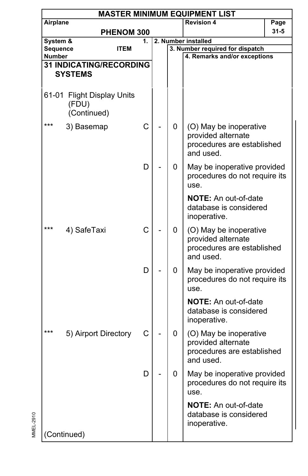|             | <b>MASTER MINIMUM EQUIPMENT LIST</b>                |    |  |   |                                                                                         |          |  |  |  |  |  |
|-------------|-----------------------------------------------------|----|--|---|-----------------------------------------------------------------------------------------|----------|--|--|--|--|--|
| Airplane    |                                                     |    |  |   | <b>Revision 4</b>                                                                       | Page     |  |  |  |  |  |
|             | PHENOM 300                                          |    |  |   |                                                                                         | $31 - 5$ |  |  |  |  |  |
| System &    |                                                     | 1. |  |   | 2. Number installed                                                                     |          |  |  |  |  |  |
|             | <b>Sequence</b><br><b>ITEM</b><br><b>Number</b>     |    |  |   | 3. Number required for dispatch                                                         |          |  |  |  |  |  |
|             | <b>31 INDICATING/RECORDING</b>                      |    |  |   | 4. Remarks and/or exceptions                                                            |          |  |  |  |  |  |
|             | <b>SYSTEMS</b>                                      |    |  |   |                                                                                         |          |  |  |  |  |  |
|             |                                                     |    |  |   |                                                                                         |          |  |  |  |  |  |
| 61-01       | <b>Flight Display Units</b><br>(FDU)<br>(Continued) |    |  |   |                                                                                         |          |  |  |  |  |  |
| ***         | 3) Basemap                                          | C  |  | 0 | (O) May be inoperative<br>provided alternate<br>procedures are established<br>and used. |          |  |  |  |  |  |
|             |                                                     | D  |  | 0 | May be inoperative provided<br>procedures do not require its<br>use.                    |          |  |  |  |  |  |
|             |                                                     |    |  |   | NOTE: An out-of-date<br>database is considered<br>inoperative.                          |          |  |  |  |  |  |
| ***         | 4) SafeTaxi                                         | C  |  | 0 | (O) May be inoperative<br>provided alternate<br>procedures are established<br>and used. |          |  |  |  |  |  |
|             |                                                     | D  |  | 0 | May be inoperative provided<br>procedures do not require its<br>use.                    |          |  |  |  |  |  |
|             |                                                     |    |  |   | <b>NOTE:</b> An out-of-date<br>database is considered<br>inoperative.                   |          |  |  |  |  |  |
| ***         | 5) Airport Directory                                | С  |  | 0 | (O) May be inoperative<br>provided alternate<br>procedures are established<br>and used. |          |  |  |  |  |  |
|             |                                                     | D  |  | 0 | May be inoperative provided<br>procedures do not require its<br>use.                    |          |  |  |  |  |  |
| (Continued) |                                                     |    |  |   | <b>NOTE:</b> An out-of-date<br>database is considered<br>inoperative.                   |          |  |  |  |  |  |
|             |                                                     |    |  |   |                                                                                         |          |  |  |  |  |  |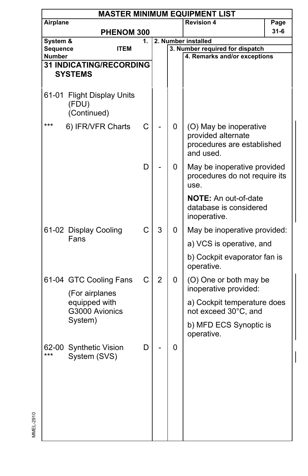|                           | <b>MASTER MINIMUM EQUIPMENT LIST</b>                |              |                |   |                                                                                         |          |  |  |  |  |
|---------------------------|-----------------------------------------------------|--------------|----------------|---|-----------------------------------------------------------------------------------------|----------|--|--|--|--|
| Airplane                  |                                                     |              |                |   | <b>Revision 4</b>                                                                       | Page     |  |  |  |  |
|                           | PHENOM 300                                          |              |                |   |                                                                                         | $31 - 6$ |  |  |  |  |
| System &                  |                                                     | 1.           |                |   | 2. Number installed                                                                     |          |  |  |  |  |
| Sequence<br><b>Number</b> | ITEM                                                |              |                |   | 3. Number required for dispatch<br>4. Remarks and/or exceptions                         |          |  |  |  |  |
|                           | <b>31 INDICATING/RECORDING</b>                      |              |                |   |                                                                                         |          |  |  |  |  |
|                           | <b>SYSTEMS</b>                                      |              |                |   |                                                                                         |          |  |  |  |  |
|                           |                                                     |              |                |   |                                                                                         |          |  |  |  |  |
| 61-01                     | <b>Flight Display Units</b><br>(FDU)<br>(Continued) |              |                |   |                                                                                         |          |  |  |  |  |
| ***                       | 6) IFR/VFR Charts                                   | C            |                | 0 | (O) May be inoperative<br>provided alternate<br>procedures are established<br>and used. |          |  |  |  |  |
|                           |                                                     | D            |                | 0 | May be inoperative provided<br>procedures do not require its<br>use.                    |          |  |  |  |  |
|                           |                                                     |              |                |   | NOTE: An out-of-date<br>database is considered<br>inoperative.                          |          |  |  |  |  |
|                           | 61-02 Display Cooling<br>Fans                       | $\mathsf{C}$ | 3              | 0 | May be inoperative provided:                                                            |          |  |  |  |  |
|                           |                                                     |              |                |   | a) VCS is operative, and                                                                |          |  |  |  |  |
|                           |                                                     |              |                |   | b) Cockpit evaporator fan is<br>operative.                                              |          |  |  |  |  |
|                           | 61-04 GTC Cooling Fans<br>(For airplanes            | C            | $\overline{2}$ | 0 | (O) One or both may be<br>inoperative provided:                                         |          |  |  |  |  |
|                           | equipped with<br>G3000 Avionics                     |              |                |   | a) Cockpit temperature does<br>not exceed 30°C, and                                     |          |  |  |  |  |
|                           | System)                                             |              |                |   | b) MFD ECS Synoptic is<br>operative.                                                    |          |  |  |  |  |
| 62-00<br>***              | <b>Synthetic Vision</b><br>System (SVS)             | D            |                | 0 |                                                                                         |          |  |  |  |  |
|                           |                                                     |              |                |   |                                                                                         |          |  |  |  |  |

 $\overline{\phantom{a}}$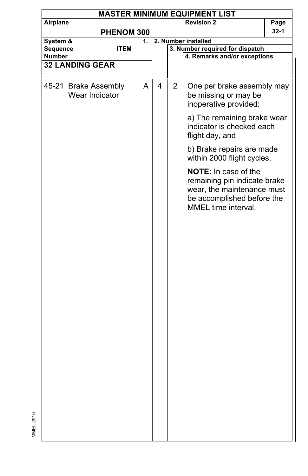|          | <b>MASTER MINIMUM EQUIPMENT LIST</b>   |             |    |   |              |                                                                                           |        |  |  |  |
|----------|----------------------------------------|-------------|----|---|--------------|-------------------------------------------------------------------------------------------|--------|--|--|--|
| Airplane |                                        |             |    |   |              | <b>Revision 2</b>                                                                         | Page   |  |  |  |
|          |                                        | PHENOM 300  |    |   |              |                                                                                           | $32-1$ |  |  |  |
| System & |                                        |             | 1. |   |              | 2. Number installed                                                                       |        |  |  |  |
| Sequence |                                        | <b>ITEM</b> |    |   |              | 3. Number required for dispatch                                                           |        |  |  |  |
| Number   |                                        |             |    |   |              | 4. Remarks and/or exceptions                                                              |        |  |  |  |
|          | 32 LANDING GEAR                        |             |    |   |              |                                                                                           |        |  |  |  |
|          |                                        |             |    |   |              |                                                                                           |        |  |  |  |
|          | 45-21 Brake Assembly<br>Wear Indicator |             | A  | 4 | $\mathbf{2}$ | One per brake assembly may<br>be missing or may be                                        |        |  |  |  |
|          |                                        |             |    |   |              | inoperative provided:                                                                     |        |  |  |  |
|          |                                        |             |    |   |              | a) The remaining brake wear<br>indicator is checked each<br>flight day, and               |        |  |  |  |
|          |                                        |             |    |   |              | b) Brake repairs are made<br>within 2000 flight cycles.                                   |        |  |  |  |
|          |                                        |             |    |   |              | <b>NOTE:</b> In case of the<br>remaining pin indicate brake<br>wear, the maintenance must |        |  |  |  |
|          |                                        |             |    |   |              | be accomplished before the<br>MMEL time interval.                                         |        |  |  |  |
|          |                                        |             |    |   |              |                                                                                           |        |  |  |  |
|          |                                        |             |    |   |              |                                                                                           |        |  |  |  |
|          |                                        |             |    |   |              |                                                                                           |        |  |  |  |
|          |                                        |             |    |   |              |                                                                                           |        |  |  |  |
|          |                                        |             |    |   |              |                                                                                           |        |  |  |  |
|          |                                        |             |    |   |              |                                                                                           |        |  |  |  |
|          |                                        |             |    |   |              |                                                                                           |        |  |  |  |
|          |                                        |             |    |   |              |                                                                                           |        |  |  |  |
|          |                                        |             |    |   |              |                                                                                           |        |  |  |  |
|          |                                        |             |    |   |              |                                                                                           |        |  |  |  |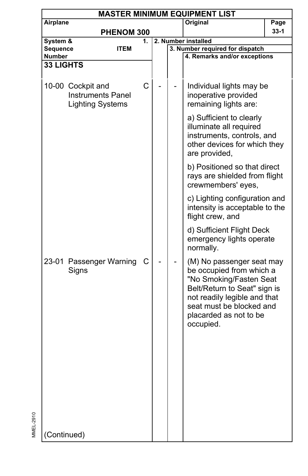|                            | <b>MASTER MINIMUM EQUIPMENT LIST</b>                                     |    |  |                     |                                                                                                                                                                                                                     |      |  |  |  |
|----------------------------|--------------------------------------------------------------------------|----|--|---------------------|---------------------------------------------------------------------------------------------------------------------------------------------------------------------------------------------------------------------|------|--|--|--|
| Airplane                   |                                                                          |    |  |                     | Original                                                                                                                                                                                                            | Page |  |  |  |
|                            | PHENOM 300                                                               |    |  |                     |                                                                                                                                                                                                                     | 33-1 |  |  |  |
| System &                   |                                                                          | 1. |  | 2. Number installed |                                                                                                                                                                                                                     |      |  |  |  |
| <b>Sequence</b>            | <b>ITEM</b>                                                              |    |  |                     | 3. Number required for dispatch                                                                                                                                                                                     |      |  |  |  |
| Number<br><b>33 LIGHTS</b> |                                                                          |    |  |                     | 4. Remarks and/or exceptions                                                                                                                                                                                        |      |  |  |  |
|                            |                                                                          |    |  |                     |                                                                                                                                                                                                                     |      |  |  |  |
|                            | 10-00 Cockpit and<br><b>Instruments Panel</b><br><b>Lighting Systems</b> | C  |  |                     | Individual lights may be<br>inoperative provided<br>remaining lights are:                                                                                                                                           |      |  |  |  |
|                            |                                                                          |    |  |                     | a) Sufficient to clearly<br>illuminate all required<br>instruments, controls, and<br>other devices for which they<br>are provided,                                                                                  |      |  |  |  |
|                            |                                                                          |    |  |                     | b) Positioned so that direct<br>rays are shielded from flight<br>crewmembers' eyes,                                                                                                                                 |      |  |  |  |
|                            |                                                                          |    |  |                     | c) Lighting configuration and<br>intensity is acceptable to the<br>flight crew, and                                                                                                                                 |      |  |  |  |
|                            |                                                                          |    |  |                     | d) Sufficient Flight Deck<br>emergency lights operate<br>normally.                                                                                                                                                  |      |  |  |  |
|                            | 23-01 Passenger Warning<br>Signs                                         | С  |  |                     | (M) No passenger seat may<br>be occupied from which a<br>"No Smoking/Fasten Seat<br>Belt/Return to Seat" sign is<br>not readily legible and that<br>seat must be blocked and<br>placarded as not to be<br>occupied. |      |  |  |  |
| (Continued)                |                                                                          |    |  |                     |                                                                                                                                                                                                                     |      |  |  |  |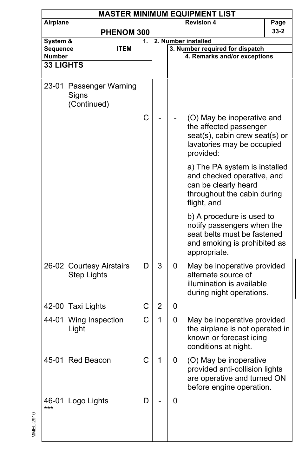|                  | <b>MASTER MINIMUM EQUIPMENT LIST</b>            |                |                |   |                                                                                                                                        |          |  |  |  |  |  |
|------------------|-------------------------------------------------|----------------|----------------|---|----------------------------------------------------------------------------------------------------------------------------------------|----------|--|--|--|--|--|
| Airplane         |                                                 |                |                |   | <b>Revision 4</b>                                                                                                                      | Page     |  |  |  |  |  |
|                  | PHENOM 300                                      |                |                |   |                                                                                                                                        | $33 - 2$ |  |  |  |  |  |
| System &         |                                                 | 1.             |                |   | 2. Number installed                                                                                                                    |          |  |  |  |  |  |
| Sequence         | <b>ITEM</b>                                     |                |                |   | 3. Number required for dispatch                                                                                                        |          |  |  |  |  |  |
| <b>Number</b>    |                                                 |                |                |   | 4. Remarks and/or exceptions                                                                                                           |          |  |  |  |  |  |
| <b>33 LIGHTS</b> |                                                 |                |                |   |                                                                                                                                        |          |  |  |  |  |  |
|                  | 23-01 Passenger Warning<br>Signs<br>(Continued) |                |                |   |                                                                                                                                        |          |  |  |  |  |  |
|                  |                                                 | $\overline{C}$ |                |   | (O) May be inoperative and<br>the affected passenger<br>seat(s), cabin crew seat(s) or<br>lavatories may be occupied<br>provided:      |          |  |  |  |  |  |
|                  |                                                 |                |                |   | a) The PA system is installed<br>and checked operative, and<br>can be clearly heard<br>throughout the cabin during<br>flight, and      |          |  |  |  |  |  |
|                  |                                                 |                |                |   | b) A procedure is used to<br>notify passengers when the<br>seat belts must be fastened<br>and smoking is prohibited as<br>appropriate. |          |  |  |  |  |  |
|                  | 26-02 Courtesy Airstairs<br><b>Step Lights</b>  | D              | 3              | 0 | May be inoperative provided<br>alternate source of<br>illumination is available<br>during night operations.                            |          |  |  |  |  |  |
|                  | 42-00 Taxi Lights                               | C              | $\overline{2}$ | 0 |                                                                                                                                        |          |  |  |  |  |  |
|                  | 44-01 Wing Inspection<br>Light                  | C              | 1              | 0 | May be inoperative provided<br>the airplane is not operated in<br>known or forecast icing<br>conditions at night.                      |          |  |  |  |  |  |
|                  | 45-01 Red Beacon                                |                |                | U | (O) May be inoperative<br>provided anti-collision lights<br>are operative and turned ON<br>before engine operation.                    |          |  |  |  |  |  |
| ***              | 46-01 Logo Lights                               | D              |                | 0 |                                                                                                                                        |          |  |  |  |  |  |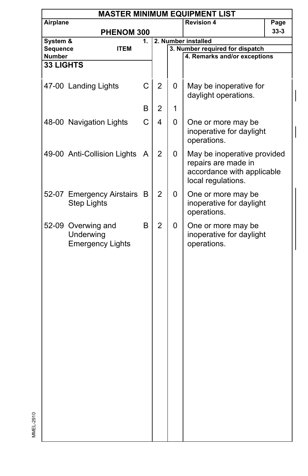| <b>MASTER MINIMUM EQUIPMENT LIST</b>                       |                                               |                                                                        |   |                                                                                                        |                                                                                        |  |  |  |
|------------------------------------------------------------|-----------------------------------------------|------------------------------------------------------------------------|---|--------------------------------------------------------------------------------------------------------|----------------------------------------------------------------------------------------|--|--|--|
| Airplane                                                   |                                               |                                                                        |   | <b>Revision 4</b>                                                                                      | Page                                                                                   |  |  |  |
|                                                            |                                               |                                                                        |   |                                                                                                        | $33 - 3$                                                                               |  |  |  |
| System &                                                   | 1.                                            |                                                                        |   |                                                                                                        |                                                                                        |  |  |  |
| <b>ITEM</b>                                                |                                               |                                                                        |   |                                                                                                        |                                                                                        |  |  |  |
|                                                            |                                               |                                                                        |   |                                                                                                        |                                                                                        |  |  |  |
|                                                            |                                               |                                                                        |   |                                                                                                        |                                                                                        |  |  |  |
|                                                            |                                               |                                                                        |   |                                                                                                        |                                                                                        |  |  |  |
| 47-00 Landing Lights                                       | $\mathsf C$                                   | $\overline{2}$                                                         | 0 | May be inoperative for<br>daylight operations.                                                         |                                                                                        |  |  |  |
|                                                            | B                                             | 2                                                                      | 1 |                                                                                                        |                                                                                        |  |  |  |
| 48-00 Navigation Lights                                    | C                                             | 4                                                                      | 0 | One or more may be<br>inoperative for daylight<br>operations.                                          |                                                                                        |  |  |  |
|                                                            | A                                             | $\overline{2}$                                                         | 0 | May be inoperative provided<br>repairs are made in<br>accordance with applicable<br>local regulations. |                                                                                        |  |  |  |
| <b>Step Lights</b>                                         | B                                             | $\overline{2}$                                                         | 0 | One or more may be<br>inoperative for daylight<br>operations.                                          |                                                                                        |  |  |  |
| 52-09 Overwing and<br>Underwing<br><b>Emergency Lights</b> | B                                             | $\overline{2}$                                                         | 0 | One or more may be<br>inoperative for daylight<br>operations.                                          |                                                                                        |  |  |  |
|                                                            | Sequence<br><b>Number</b><br><b>33 LIGHTS</b> | PHENOM 300<br>49-00 Anti-Collision Lights<br>52-07 Emergency Airstairs |   |                                                                                                        | 2. Number installed<br>3. Number required for dispatch<br>4. Remarks and/or exceptions |  |  |  |

 $\overline{\phantom{a}}$ 

MMEL-2910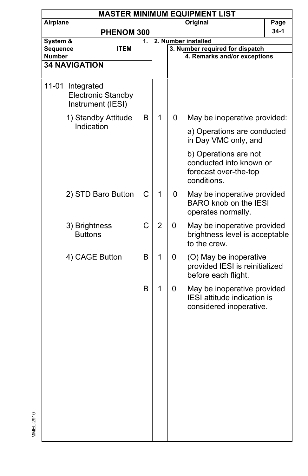|                           | <b>MASTER MINIMUM EQUIPMENT LIST</b>                               |             |    |                |   |                                                                                          |      |  |  |  |
|---------------------------|--------------------------------------------------------------------|-------------|----|----------------|---|------------------------------------------------------------------------------------------|------|--|--|--|
| Airplane                  |                                                                    |             |    |                |   | Original                                                                                 | Page |  |  |  |
|                           |                                                                    | PHENOM 300  |    |                |   |                                                                                          | 34-1 |  |  |  |
| System &                  |                                                                    |             | 1. |                |   | 2. Number installed                                                                      |      |  |  |  |
| Sequence<br><b>Number</b> |                                                                    | <b>ITEM</b> |    |                |   | 3. Number required for dispatch<br>4. Remarks and/or exceptions                          |      |  |  |  |
|                           | <b>34 NAVIGATION</b>                                               |             |    |                |   |                                                                                          |      |  |  |  |
|                           |                                                                    |             |    |                |   |                                                                                          |      |  |  |  |
|                           | 11-01 Integrated<br><b>Electronic Standby</b><br>Instrument (IESI) |             |    |                |   |                                                                                          |      |  |  |  |
|                           | 1) Standby Attitude<br>Indication                                  |             | B  | 1              | 0 | May be inoperative provided:                                                             |      |  |  |  |
|                           |                                                                    |             |    |                |   | a) Operations are conducted<br>in Day VMC only, and                                      |      |  |  |  |
|                           |                                                                    |             |    |                |   | b) Operations are not<br>conducted into known or<br>forecast over-the-top<br>conditions. |      |  |  |  |
|                           | 2) STD Baro Button                                                 |             | C  | 1              | 0 | May be inoperative provided<br><b>BARO</b> knob on the IESI<br>operates normally.        |      |  |  |  |
|                           | 3) Brightness<br><b>Buttons</b>                                    |             | C  | $\overline{2}$ | 0 | May be inoperative provided<br>brightness level is acceptable<br>to the crew.            |      |  |  |  |
|                           | 4) CAGE Button                                                     |             | B  | 1              | 0 | (O) May be inoperative<br>provided IESI is reinitialized<br>before each flight.          |      |  |  |  |
|                           |                                                                    |             | B  | 1              | 0 | May be inoperative provided<br>IESI attitude indication is<br>considered inoperative.    |      |  |  |  |
|                           |                                                                    |             |    |                |   |                                                                                          |      |  |  |  |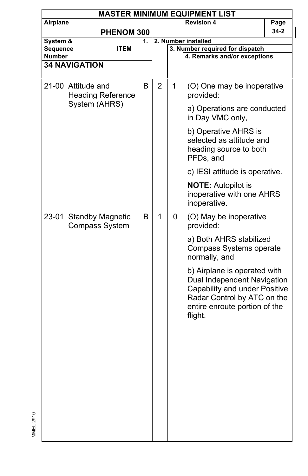| <b>MASTER MINIMUM EQUIPMENT LIST</b> |                                                 |    |                |                     |                                                                                                                                                                         |          |  |  |
|--------------------------------------|-------------------------------------------------|----|----------------|---------------------|-------------------------------------------------------------------------------------------------------------------------------------------------------------------------|----------|--|--|
| Airplane                             |                                                 |    |                |                     | <b>Revision 4</b>                                                                                                                                                       | Page     |  |  |
|                                      | PHENOM 300                                      |    |                |                     |                                                                                                                                                                         | $34 - 2$ |  |  |
| System &                             |                                                 | 1. |                | 2. Number installed |                                                                                                                                                                         |          |  |  |
| Sequence<br>Number                   | <b>ITEM</b>                                     |    |                |                     | 3. Number required for dispatch<br>4. Remarks and/or exceptions                                                                                                         |          |  |  |
|                                      | <b>34 NAVIGATION</b>                            |    |                |                     |                                                                                                                                                                         |          |  |  |
|                                      |                                                 |    |                |                     |                                                                                                                                                                         |          |  |  |
|                                      | 21-00 Attitude and<br><b>Heading Reference</b>  | в  | $\overline{2}$ | 1                   | (O) One may be inoperative<br>provided:                                                                                                                                 |          |  |  |
|                                      | System (AHRS)                                   |    |                |                     | a) Operations are conducted<br>in Day VMC only,                                                                                                                         |          |  |  |
|                                      |                                                 |    |                |                     | b) Operative AHRS is<br>selected as attitude and<br>heading source to both<br>PFDs, and                                                                                 |          |  |  |
|                                      |                                                 |    |                |                     | c) IESI attitude is operative.                                                                                                                                          |          |  |  |
|                                      |                                                 |    |                |                     | <b>NOTE: Autopilot is</b><br>inoperative with one AHRS<br>inoperative.                                                                                                  |          |  |  |
|                                      | 23-01 Standby Magnetic<br><b>Compass System</b> | B  | 1              | 0                   | (O) May be inoperative<br>provided:                                                                                                                                     |          |  |  |
|                                      |                                                 |    |                |                     | a) Both AHRS stabilized<br>Compass Systems operate<br>normally, and                                                                                                     |          |  |  |
|                                      |                                                 |    |                |                     | b) Airplane is operated with<br>Dual Independent Navigation<br>Capability and under Positive<br>Radar Control by ATC on the<br>entire enroute portion of the<br>flight. |          |  |  |
|                                      |                                                 |    |                |                     |                                                                                                                                                                         |          |  |  |
|                                      |                                                 |    |                |                     |                                                                                                                                                                         |          |  |  |
|                                      |                                                 |    |                |                     |                                                                                                                                                                         |          |  |  |
|                                      |                                                 |    |                |                     |                                                                                                                                                                         |          |  |  |
|                                      |                                                 |    |                |                     |                                                                                                                                                                         |          |  |  |
|                                      |                                                 |    |                |                     |                                                                                                                                                                         |          |  |  |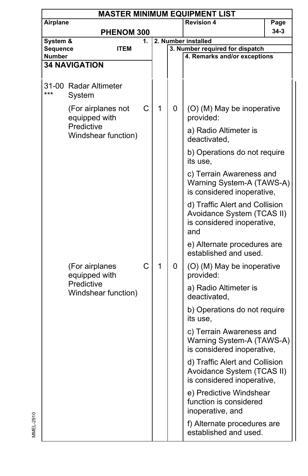| <b>MASTER MINIMUM EQUIPMENT LIST</b> |                                     |    |   |   |                                                                                                   |      |  |  |
|--------------------------------------|-------------------------------------|----|---|---|---------------------------------------------------------------------------------------------------|------|--|--|
| Airplane                             |                                     |    |   |   | <b>Revision 4</b>                                                                                 | Page |  |  |
|                                      | PHENOM 300                          |    |   |   |                                                                                                   | 34-3 |  |  |
| System &                             |                                     | 1. |   |   | 2. Number installed                                                                               |      |  |  |
| Sequence                             | <b>ITEM</b>                         |    |   |   | 3. Number required for dispatch                                                                   |      |  |  |
| <b>Number</b>                        | <b>34 NAVIGATION</b>                |    |   |   | 4. Remarks and/or exceptions                                                                      |      |  |  |
|                                      |                                     |    |   |   |                                                                                                   |      |  |  |
| ***                                  | 31-00 Radar Altimeter<br>System     |    |   |   |                                                                                                   |      |  |  |
|                                      | (For airplanes not<br>equipped with | C  | 1 | 0 | (O) (M) May be inoperative<br>provided:                                                           |      |  |  |
|                                      | Predictive<br>Windshear function)   |    |   |   | a) Radio Altimeter is<br>deactivated,                                                             |      |  |  |
|                                      |                                     |    |   |   | b) Operations do not require<br>its use,                                                          |      |  |  |
|                                      |                                     |    |   |   | c) Terrain Awareness and<br>Warning System-A (TAWS-A)<br>is considered inoperative,               |      |  |  |
|                                      |                                     |    |   |   | d) Traffic Alert and Collision<br>Avoidance System (TCAS II)<br>is considered inoperative,<br>and |      |  |  |
|                                      |                                     |    |   |   | e) Alternate procedures are<br>established and used.                                              |      |  |  |
|                                      | (For airplanes<br>equipped with     | C  | 1 | 0 | (O) (M) May be inoperative<br>provided:                                                           |      |  |  |
|                                      | Predictive<br>Windshear function)   |    |   |   | a) Radio Altimeter is<br>deactivated,                                                             |      |  |  |
|                                      |                                     |    |   |   | b) Operations do not require<br>its use.                                                          |      |  |  |
|                                      |                                     |    |   |   | c) Terrain Awareness and<br>Warning System-A (TAWS-A)<br>is considered inoperative,               |      |  |  |
|                                      |                                     |    |   |   | d) Traffic Alert and Collision<br>Avoidance System (TCAS II)<br>is considered inoperative,        |      |  |  |
|                                      |                                     |    |   |   | e) Predictive Windshear<br>function is considered<br>inoperative, and                             |      |  |  |
|                                      |                                     |    |   |   | f) Alternate procedures are<br>established and used.                                              |      |  |  |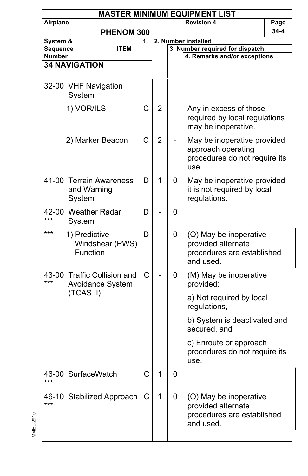| <b>MASTER MINIMUM EQUIPMENT LIST</b> |                                                  |    |                |   |                                                                                            |      |  |  |  |
|--------------------------------------|--------------------------------------------------|----|----------------|---|--------------------------------------------------------------------------------------------|------|--|--|--|
| Airplane                             |                                                  |    |                |   | <b>Revision 4</b>                                                                          | Page |  |  |  |
|                                      | <b>PHENOM 300</b>                                |    |                |   |                                                                                            | 34-4 |  |  |  |
| System &                             |                                                  | 1. |                |   | 2. Number installed                                                                        |      |  |  |  |
| Sequence<br>Number                   | <b>ITEM</b>                                      |    |                |   | 3. Number required for dispatch<br>4. Remarks and/or exceptions                            |      |  |  |  |
|                                      | <b>34 NAVIGATION</b>                             |    |                |   |                                                                                            |      |  |  |  |
|                                      |                                                  |    |                |   |                                                                                            |      |  |  |  |
|                                      | 32-00 VHF Navigation<br>System                   |    |                |   |                                                                                            |      |  |  |  |
|                                      | 1) VOR/ILS                                       | C  | $\overline{2}$ |   | Any in excess of those<br>required by local regulations<br>may be inoperative.             |      |  |  |  |
|                                      | 2) Marker Beacon                                 | C  | $\overline{2}$ |   | May be inoperative provided<br>approach operating<br>procedures do not require its<br>use. |      |  |  |  |
|                                      | 41-00 Terrain Awareness<br>and Warning<br>System | D  | 1              | 0 | May be inoperative provided<br>it is not required by local<br>regulations.                 |      |  |  |  |
| ***                                  | 42-00 Weather Radar<br>System                    | D  |                | 0 |                                                                                            |      |  |  |  |
| ***                                  | 1) Predictive<br>Windshear (PWS)<br>Function     | D  |                | 0 | (O) May be inoperative<br>provided alternate<br>procedures are established<br>and used.    |      |  |  |  |
| ***                                  | 43-00 Traffic Collision and<br>Avoidance System  | C  |                | 0 | (M) May be inoperative<br>provided:                                                        |      |  |  |  |
|                                      | (TCAS II)                                        |    |                |   | a) Not required by local<br>regulations,                                                   |      |  |  |  |
|                                      |                                                  |    |                |   | b) System is deactivated and<br>secured, and                                               |      |  |  |  |
|                                      |                                                  |    |                |   | c) Enroute or approach<br>procedures do not require its<br>use.                            |      |  |  |  |
| ***                                  | 46-00 SurfaceWatch                               | С  | 1              | 0 |                                                                                            |      |  |  |  |
| ***                                  | 46-10 Stabilized Approach                        | С  | 1              | 0 | (O) May be inoperative<br>provided alternate<br>procedures are established<br>and used.    |      |  |  |  |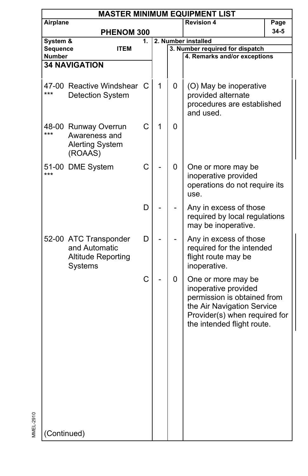| <b>MASTER MINIMUM EQUIPMENT LIST</b> |                                                                                |    |   |   |                                                                                                                                                                        |      |  |  |  |
|--------------------------------------|--------------------------------------------------------------------------------|----|---|---|------------------------------------------------------------------------------------------------------------------------------------------------------------------------|------|--|--|--|
| Airplane                             |                                                                                |    |   |   | <b>Revision 4</b>                                                                                                                                                      | Page |  |  |  |
|                                      | PHENOM 300                                                                     |    |   |   |                                                                                                                                                                        | 34-5 |  |  |  |
| System &                             |                                                                                | 1. |   |   | 2. Number installed                                                                                                                                                    |      |  |  |  |
| Sequence                             | <b>ITEM</b>                                                                    |    |   |   | 3. Number required for dispatch                                                                                                                                        |      |  |  |  |
| <b>Number</b>                        |                                                                                |    |   |   | 4. Remarks and/or exceptions                                                                                                                                           |      |  |  |  |
|                                      | <b>34 NAVIGATION</b>                                                           |    |   |   |                                                                                                                                                                        |      |  |  |  |
| ***                                  | 47-00 Reactive Windshear<br><b>Detection System</b>                            | C  | 1 | 0 | (O) May be inoperative<br>provided alternate<br>procedures are established<br>and used.                                                                                |      |  |  |  |
| ***                                  | 48-00 Runway Overrun<br>Awareness and<br><b>Alerting System</b><br>(ROAAS)     | C  | 1 | 0 |                                                                                                                                                                        |      |  |  |  |
| ***                                  | 51-00 DME System                                                               | C  |   | 0 | One or more may be<br>inoperative provided<br>operations do not require its<br>use.                                                                                    |      |  |  |  |
|                                      |                                                                                | D  |   |   | Any in excess of those<br>required by local regulations<br>may be inoperative.                                                                                         |      |  |  |  |
|                                      | 52-00 ATC Transponder<br>and Automatic<br><b>Altitude Reporting</b><br>Systems | D  |   |   | Any in excess of those<br>required for the intended<br>flight route may be<br>inoperative.                                                                             |      |  |  |  |
|                                      |                                                                                | C  |   | 0 | One or more may be<br>inoperative provided<br>permission is obtained from<br>the Air Navigation Service<br>Provider(s) when required for<br>the intended flight route. |      |  |  |  |
| (Continued)                          |                                                                                |    |   |   |                                                                                                                                                                        |      |  |  |  |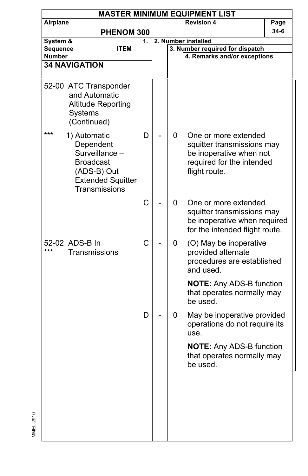| <b>MASTER MINIMUM EQUIPMENT LIST</b> |                                                                                                                             |    |  |   |                                                                                                                             |        |  |  |
|--------------------------------------|-----------------------------------------------------------------------------------------------------------------------------|----|--|---|-----------------------------------------------------------------------------------------------------------------------------|--------|--|--|
| Airplane                             |                                                                                                                             |    |  |   | <b>Revision 4</b>                                                                                                           | Page   |  |  |
|                                      | PHENOM 300                                                                                                                  |    |  |   |                                                                                                                             | $34-6$ |  |  |
| System &                             |                                                                                                                             | 1. |  |   | 2. Number installed                                                                                                         |        |  |  |
| Sequence                             | <b>ITEM</b>                                                                                                                 |    |  |   | 3. Number required for dispatch                                                                                             |        |  |  |
| <b>Number</b>                        |                                                                                                                             |    |  |   | 4. Remarks and/or exceptions                                                                                                |        |  |  |
|                                      | <b>34 NAVIGATION</b>                                                                                                        |    |  |   |                                                                                                                             |        |  |  |
|                                      | 52-00 ATC Transponder<br>and Automatic<br><b>Altitude Reporting</b><br>Systems<br>(Continued)                               |    |  |   |                                                                                                                             |        |  |  |
| ***                                  | 1) Automatic<br>Dependent<br>Surveillance -<br><b>Broadcast</b><br>(ADS-B) Out<br><b>Extended Squitter</b><br>Transmissions | D  |  | 0 | One or more extended<br>squitter transmissions may<br>be inoperative when not<br>required for the intended<br>flight route. |        |  |  |
|                                      |                                                                                                                             | C  |  | 0 | One or more extended<br>squitter transmissions may<br>be inoperative when required<br>for the intended flight route.        |        |  |  |
| ***                                  | 52-02 ADS-B In<br>Transmissions                                                                                             | C  |  | 0 | (O) May be inoperative<br>provided alternate<br>procedures are established<br>and used.                                     |        |  |  |
|                                      |                                                                                                                             |    |  |   | <b>NOTE:</b> Any ADS-B function<br>that operates normally may<br>be used.                                                   |        |  |  |
|                                      |                                                                                                                             | D  |  | 0 | May be inoperative provided<br>operations do not require its<br>use.                                                        |        |  |  |
|                                      |                                                                                                                             |    |  |   | <b>NOTE: Any ADS-B function</b><br>that operates normally may<br>be used.                                                   |        |  |  |
|                                      |                                                                                                                             |    |  |   |                                                                                                                             |        |  |  |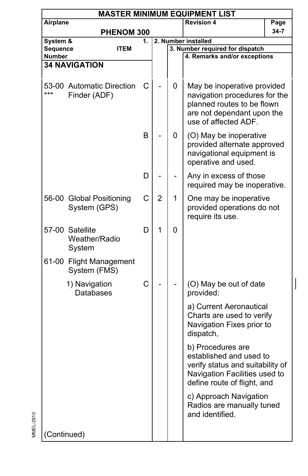| <b>MASTER MINIMUM EQUIPMENT LIST</b> |                                             |              |                |   |                                                                                                                                                  |      |  |  |  |
|--------------------------------------|---------------------------------------------|--------------|----------------|---|--------------------------------------------------------------------------------------------------------------------------------------------------|------|--|--|--|
| Airplane                             |                                             |              |                |   | <b>Revision 4</b>                                                                                                                                | Page |  |  |  |
|                                      | PHENOM 300                                  |              |                |   |                                                                                                                                                  | 34-7 |  |  |  |
| System &                             |                                             | 1.           |                |   | 2. Number installed                                                                                                                              |      |  |  |  |
|                                      | Sequence<br><b>ITEM</b><br>Number           |              |                |   | 3. Number required for dispatch<br>4. Remarks and/or exceptions                                                                                  |      |  |  |  |
|                                      | <b>34 NAVIGATION</b>                        |              |                |   |                                                                                                                                                  |      |  |  |  |
|                                      |                                             |              |                |   |                                                                                                                                                  |      |  |  |  |
| ***                                  | 53-00 Automatic Direction<br>Finder (ADF)   | С            |                | 0 | May be inoperative provided<br>navigation procedures for the<br>planned routes to be flown<br>are not dependant upon the<br>use of affected ADF. |      |  |  |  |
|                                      |                                             | B            |                | 0 | (O) May be inoperative<br>provided alternate approved<br>navigational equipment is<br>operative and used.                                        |      |  |  |  |
|                                      |                                             | D            |                |   | Any in excess of those<br>required may be inoperative.                                                                                           |      |  |  |  |
| 56-00                                | <b>Global Positioning</b><br>System (GPS)   | C            | $\overline{2}$ | 1 | One may be inoperative<br>provided operations do not<br>require its use.                                                                         |      |  |  |  |
| 57-00                                | Satellite<br><b>Weather/Radio</b><br>System | D            | 1              | 0 |                                                                                                                                                  |      |  |  |  |
|                                      | 61-00 Flight Management<br>System (FMS)     |              |                |   |                                                                                                                                                  |      |  |  |  |
|                                      | 1) Navigation<br><b>Databases</b>           | $\mathsf{C}$ |                |   | (O) May be out of date<br>provided:                                                                                                              |      |  |  |  |
|                                      |                                             |              |                |   | a) Current Aeronautical<br>Charts are used to verify<br>Navigation Fixes prior to<br>dispatch,                                                   |      |  |  |  |
|                                      |                                             |              |                |   | b) Procedures are<br>established and used to<br>verify status and suitability of<br>Navigation Facilities used to<br>define route of flight, and |      |  |  |  |
|                                      |                                             |              |                |   | c) Approach Navigation<br>Radios are manually tuned<br>and identified.                                                                           |      |  |  |  |
| (Continued)                          |                                             |              |                |   |                                                                                                                                                  |      |  |  |  |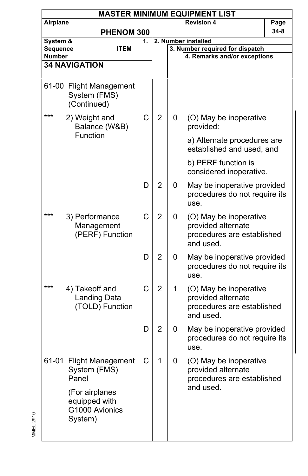| <b>MASTER MINIMUM EQUIPMENT LIST</b> |                                                                                                                  |    |                |   |                                                                                         |      |  |  |
|--------------------------------------|------------------------------------------------------------------------------------------------------------------|----|----------------|---|-----------------------------------------------------------------------------------------|------|--|--|
| Airplane                             |                                                                                                                  |    |                |   | <b>Revision 4</b>                                                                       | Page |  |  |
|                                      | PHENOM 300                                                                                                       |    |                |   |                                                                                         | 34-8 |  |  |
| System &                             |                                                                                                                  | 1. |                |   | 2. Number installed                                                                     |      |  |  |
| Sequence                             | <b>ITEM</b>                                                                                                      |    |                |   | 3. Number required for dispatch                                                         |      |  |  |
| Number                               |                                                                                                                  |    |                |   | 4. Remarks and/or exceptions                                                            |      |  |  |
|                                      | <b>34 NAVIGATION</b>                                                                                             |    |                |   |                                                                                         |      |  |  |
|                                      | 61-00 Flight Management<br>System (FMS)<br>(Continued)                                                           |    |                |   |                                                                                         |      |  |  |
| ***                                  | 2) Weight and<br>Balance (W&B)                                                                                   | C  | $\overline{2}$ | 0 | (O) May be inoperative<br>provided:                                                     |      |  |  |
|                                      | Function                                                                                                         |    |                |   | a) Alternate procedures are<br>established and used, and                                |      |  |  |
|                                      |                                                                                                                  |    |                |   | b) PERF function is<br>considered inoperative.                                          |      |  |  |
|                                      |                                                                                                                  | D  | $\overline{2}$ | 0 | May be inoperative provided<br>procedures do not require its<br>use.                    |      |  |  |
| ***                                  | 3) Performance<br>Management<br>(PERF) Function                                                                  | C  | $\overline{2}$ | 0 | (O) May be inoperative<br>provided alternate<br>procedures are established<br>and used. |      |  |  |
|                                      |                                                                                                                  | D  | $\overline{2}$ | 0 | May be inoperative provided<br>procedures do not require its<br>use.                    |      |  |  |
| ***                                  | 4) Takeoff and<br>Landing Data<br>(TOLD) Function                                                                | C  | 2              | 1 | (O) May be inoperative<br>provided alternate<br>procedures are established<br>and used. |      |  |  |
|                                      |                                                                                                                  | D  | 2              | 0 | May be inoperative provided<br>procedures do not require its<br>use.                    |      |  |  |
|                                      | 61-01 Flight Management<br>System (FMS)<br>Panel<br>(For airplanes<br>equipped with<br>G1000 Avionics<br>System) | €  | 1              | U | (O) May be inoperative<br>provided alternate<br>procedures are established<br>and used. |      |  |  |
|                                      |                                                                                                                  |    |                |   |                                                                                         |      |  |  |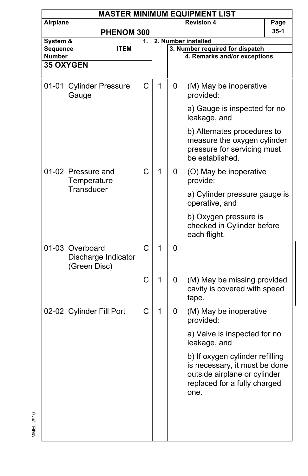|                           | <b>MASTER MINIMUM EQUIPMENT LIST</b>                   |    |              |                     |                                                                                                                                          |        |  |  |  |  |
|---------------------------|--------------------------------------------------------|----|--------------|---------------------|------------------------------------------------------------------------------------------------------------------------------------------|--------|--|--|--|--|
| Airplane                  |                                                        |    |              |                     | <b>Revision 4</b>                                                                                                                        | Page   |  |  |  |  |
|                           | PHENOM 300                                             |    |              |                     |                                                                                                                                          | $35-1$ |  |  |  |  |
| System &                  |                                                        | 1. |              | 2. Number installed |                                                                                                                                          |        |  |  |  |  |
| Sequence<br><b>Number</b> | <b>ITEM</b>                                            |    |              |                     | 3. Number required for dispatch<br>4. Remarks and/or exceptions                                                                          |        |  |  |  |  |
|                           | <b>35 OXYGEN</b>                                       |    |              |                     |                                                                                                                                          |        |  |  |  |  |
|                           |                                                        |    |              |                     |                                                                                                                                          |        |  |  |  |  |
|                           | 01-01 Cylinder Pressure<br>Gauge                       | С  | 1            | 0                   | (M) May be inoperative<br>provided:                                                                                                      |        |  |  |  |  |
|                           |                                                        |    |              |                     | a) Gauge is inspected for no<br>leakage, and                                                                                             |        |  |  |  |  |
|                           |                                                        |    |              |                     | b) Alternates procedures to<br>measure the oxygen cylinder<br>pressure for servicing must<br>be established.                             |        |  |  |  |  |
|                           | 01-02 Pressure and<br>Temperature                      | C  | 1            | 0                   | (O) May be inoperative<br>provide:                                                                                                       |        |  |  |  |  |
|                           | Transducer                                             |    |              |                     | a) Cylinder pressure gauge is<br>operative, and                                                                                          |        |  |  |  |  |
|                           |                                                        |    |              |                     | b) Oxygen pressure is<br>checked in Cylinder before<br>each flight.                                                                      |        |  |  |  |  |
|                           | 01-03 Overboard<br>Discharge Indicator<br>(Green Disc) | C  | $\mathbf{1}$ | 0                   |                                                                                                                                          |        |  |  |  |  |
|                           |                                                        | C  | 1            | 0                   | (M) May be missing provided<br>cavity is covered with speed<br>tape.                                                                     |        |  |  |  |  |
|                           | 02-02 Cylinder Fill Port                               | C  | 1            | 0                   | (M) May be inoperative<br>provided:                                                                                                      |        |  |  |  |  |
|                           |                                                        |    |              |                     | a) Valve is inspected for no<br>leakage, and                                                                                             |        |  |  |  |  |
|                           |                                                        |    |              |                     | b) If oxygen cylinder refilling<br>is necessary, it must be done<br>outside airplane or cylinder<br>replaced for a fully charged<br>one. |        |  |  |  |  |
|                           |                                                        |    |              |                     |                                                                                                                                          |        |  |  |  |  |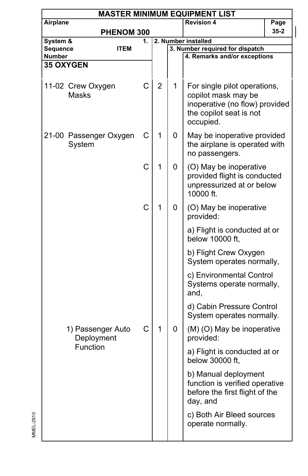| <b>MASTER MINIMUM EQUIPMENT LIST</b> |                                  |    |   |                     |                                                                                                                               |          |  |  |  |
|--------------------------------------|----------------------------------|----|---|---------------------|-------------------------------------------------------------------------------------------------------------------------------|----------|--|--|--|
| Airplane                             |                                  |    |   |                     | <b>Revision 4</b>                                                                                                             | Page     |  |  |  |
|                                      | PHENOM 300                       |    |   |                     |                                                                                                                               | $35 - 2$ |  |  |  |
| System &                             |                                  | 1. |   | 2. Number installed |                                                                                                                               |          |  |  |  |
| Sequence<br>Number                   | <b>ITEM</b>                      |    |   |                     | 3. Number required for dispatch<br>4. Remarks and/or exceptions                                                               |          |  |  |  |
|                                      | <b>35 OXYGEN</b>                 |    |   |                     |                                                                                                                               |          |  |  |  |
|                                      |                                  |    |   |                     |                                                                                                                               |          |  |  |  |
|                                      | 11-02 Crew Oxygen<br>Masks       | C  | 2 | 1                   | For single pilot operations,<br>copilot mask may be<br>inoperative (no flow) provided<br>the copilot seat is not<br>occupied. |          |  |  |  |
|                                      | 21-00 Passenger Oxygen<br>System | С  | 1 | 0                   | May be inoperative provided<br>the airplane is operated with<br>no passengers.                                                |          |  |  |  |
|                                      |                                  | C  | 1 | 0                   | (O) May be inoperative<br>provided flight is conducted<br>unpressurized at or below<br>10000 ft.                              |          |  |  |  |
|                                      |                                  | C  | 1 | 0                   | (O) May be inoperative<br>provided:                                                                                           |          |  |  |  |
|                                      |                                  |    |   |                     | a) Flight is conducted at or<br>below 10000 ft,                                                                               |          |  |  |  |
|                                      |                                  |    |   |                     | b) Flight Crew Oxygen<br>System operates normally,                                                                            |          |  |  |  |
|                                      |                                  |    |   |                     | c) Environmental Control<br>Systems operate normally,<br>and,                                                                 |          |  |  |  |
|                                      |                                  |    |   |                     | d) Cabin Pressure Control<br>System operates normally.                                                                        |          |  |  |  |
|                                      | 1) Passenger Auto<br>Deployment  | C  | 1 | 0                   | (M) (O) May be inoperative<br>provided:                                                                                       |          |  |  |  |
|                                      | Function                         |    |   |                     | a) Flight is conducted at or<br>below 30000 ft,                                                                               |          |  |  |  |
|                                      |                                  |    |   |                     | b) Manual deployment<br>function is verified operative<br>before the first flight of the<br>day, and                          |          |  |  |  |
|                                      |                                  |    |   |                     | c) Both Air Bleed sources<br>operate normally.                                                                                |          |  |  |  |
|                                      |                                  |    |   |                     |                                                                                                                               |          |  |  |  |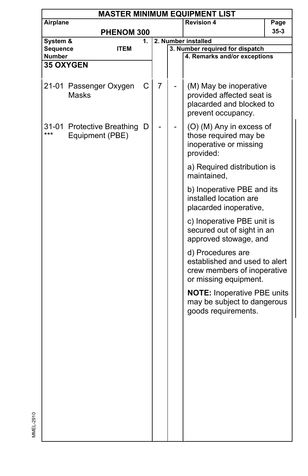| <b>MASTER MINIMUM EQUIPMENT LIST</b> |                                               |             |    |  |                                                                                                            |        |  |  |  |
|--------------------------------------|-----------------------------------------------|-------------|----|--|------------------------------------------------------------------------------------------------------------|--------|--|--|--|
| Airplane                             |                                               |             |    |  | <b>Revision 4</b>                                                                                          | Page   |  |  |  |
|                                      |                                               | PHENOM 300  |    |  |                                                                                                            | $35-3$ |  |  |  |
| System &                             |                                               |             | 1. |  | 2. Number installed                                                                                        |        |  |  |  |
| <b>Sequence</b><br>Number            |                                               | <b>ITEM</b> |    |  | 3. Number required for dispatch<br>4. Remarks and/or exceptions                                            |        |  |  |  |
|                                      | <b>35 OXYGEN</b>                              |             |    |  |                                                                                                            |        |  |  |  |
|                                      |                                               |             |    |  |                                                                                                            |        |  |  |  |
|                                      | 21-01 Passenger Oxygen<br><b>Masks</b>        | С           | 7  |  | (M) May be inoperative<br>provided affected seat is<br>placarded and blocked to<br>prevent occupancy.      |        |  |  |  |
| ***                                  | 31-01 Protective Breathing<br>Equipment (PBE) | D           |    |  | (O) (M) Any in excess of<br>those required may be<br>inoperative or missing<br>provided:                   |        |  |  |  |
|                                      |                                               |             |    |  | a) Required distribution is<br>maintained,                                                                 |        |  |  |  |
|                                      |                                               |             |    |  | b) Inoperative PBE and its<br>installed location are<br>placarded inoperative,                             |        |  |  |  |
|                                      |                                               |             |    |  | c) Inoperative PBE unit is<br>secured out of sight in an<br>approved stowage, and                          |        |  |  |  |
|                                      |                                               |             |    |  | d) Procedures are<br>established and used to alert<br>crew members of inoperative<br>or missing equipment. |        |  |  |  |
|                                      |                                               |             |    |  | <b>NOTE: Inoperative PBE units</b><br>may be subject to dangerous<br>goods requirements.                   |        |  |  |  |
|                                      |                                               |             |    |  |                                                                                                            |        |  |  |  |
|                                      |                                               |             |    |  |                                                                                                            |        |  |  |  |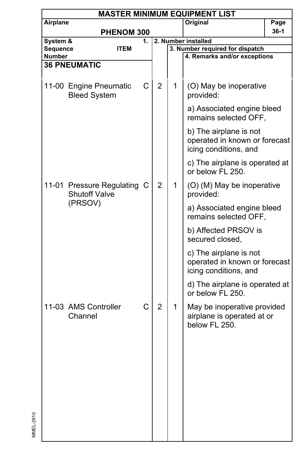|                    | <b>MASTER MINIMUM EQUIPMENT LIST</b>                |    |                |                     |                                                                                  |      |  |  |  |  |
|--------------------|-----------------------------------------------------|----|----------------|---------------------|----------------------------------------------------------------------------------|------|--|--|--|--|
| Airplane           |                                                     |    |                |                     | Original                                                                         | Page |  |  |  |  |
|                    | PHENOM 300                                          |    |                |                     |                                                                                  | 36-1 |  |  |  |  |
| System &           |                                                     | 1. |                | 2. Number installed |                                                                                  |      |  |  |  |  |
| Sequence<br>Number | <b>ITEM</b>                                         |    |                |                     | 3. Number required for dispatch<br>4. Remarks and/or exceptions                  |      |  |  |  |  |
|                    | <b>36 PNEUMATIC</b>                                 |    |                |                     |                                                                                  |      |  |  |  |  |
|                    |                                                     |    |                |                     |                                                                                  |      |  |  |  |  |
|                    | 11-00 Engine Pneumatic<br><b>Bleed System</b>       | C  | $\overline{2}$ | 1                   | (O) May be inoperative<br>provided:                                              |      |  |  |  |  |
|                    |                                                     |    |                |                     | a) Associated engine bleed<br>remains selected OFF,                              |      |  |  |  |  |
|                    |                                                     |    |                |                     | b) The airplane is not<br>operated in known or forecast<br>icing conditions, and |      |  |  |  |  |
|                    |                                                     |    |                |                     | c) The airplane is operated at<br>or below FL 250.                               |      |  |  |  |  |
|                    | 11-01 Pressure Regulating C<br><b>Shutoff Valve</b> |    | $\overline{2}$ | 1                   | (O) (M) May be inoperative<br>provided:                                          |      |  |  |  |  |
|                    | (PRSOV)                                             |    |                |                     | a) Associated engine bleed<br>remains selected OFF.                              |      |  |  |  |  |
|                    |                                                     |    |                |                     | b) Affected PRSOV is<br>secured closed,                                          |      |  |  |  |  |
|                    |                                                     |    |                |                     | c) The airplane is not<br>operated in known or forecast<br>icing conditions, and |      |  |  |  |  |
|                    |                                                     |    |                |                     | d) The airplane is operated at<br>or below FL 250.                               |      |  |  |  |  |
|                    | 11-03 AMS Controller<br>Channel                     | C  | $\overline{2}$ | 1.                  | May be inoperative provided<br>airplane is operated at or<br>below FL 250.       |      |  |  |  |  |
|                    |                                                     |    |                |                     |                                                                                  |      |  |  |  |  |
|                    |                                                     |    |                |                     |                                                                                  |      |  |  |  |  |
|                    |                                                     |    |                |                     |                                                                                  |      |  |  |  |  |
|                    |                                                     |    |                |                     |                                                                                  |      |  |  |  |  |
|                    |                                                     |    |                |                     |                                                                                  |      |  |  |  |  |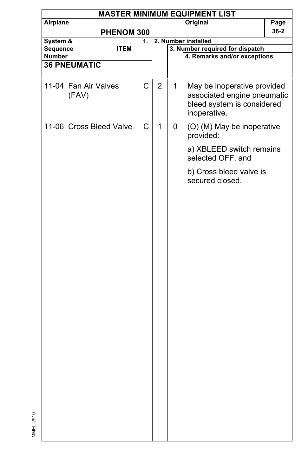| <b>MASTER MINIMUM EQUIPMENT LIST</b> |                               |             |                |                     |                                                                                                          |          |  |  |
|--------------------------------------|-------------------------------|-------------|----------------|---------------------|----------------------------------------------------------------------------------------------------------|----------|--|--|
| Airplane                             |                               |             |                |                     | Original                                                                                                 | Page     |  |  |
|                                      | PHENOM 300                    |             |                |                     |                                                                                                          | $36 - 2$ |  |  |
| System &                             |                               | 1.          |                | 2. Number installed |                                                                                                          |          |  |  |
| Sequence                             | <b>ITEM</b>                   |             |                |                     | 3. Number required for dispatch                                                                          |          |  |  |
| Number                               |                               |             |                |                     | 4. Remarks and/or exceptions                                                                             |          |  |  |
|                                      | <b>36 PNEUMATIC</b>           |             |                |                     |                                                                                                          |          |  |  |
|                                      |                               |             |                |                     |                                                                                                          |          |  |  |
|                                      | 11-04 Fan Air Valves<br>(FAV) | $\mathsf C$ | $\overline{2}$ | 1                   | May be inoperative provided<br>associated engine pneumatic<br>bleed system is considered<br>inoperative. |          |  |  |
|                                      | 11-06 Cross Bleed Valve       | C           | 1              | 0                   | (O) (M) May be inoperative<br>provided:                                                                  |          |  |  |
|                                      |                               |             |                |                     | a) XBLEED switch remains<br>selected OFF, and                                                            |          |  |  |
|                                      |                               |             |                |                     | b) Cross bleed valve is<br>secured closed.                                                               |          |  |  |
|                                      |                               |             |                |                     |                                                                                                          |          |  |  |
|                                      |                               |             |                |                     |                                                                                                          |          |  |  |
|                                      |                               |             |                |                     |                                                                                                          |          |  |  |
|                                      |                               |             |                |                     |                                                                                                          |          |  |  |
|                                      |                               |             |                |                     |                                                                                                          |          |  |  |
|                                      |                               |             |                |                     |                                                                                                          |          |  |  |
|                                      |                               |             |                |                     |                                                                                                          |          |  |  |
|                                      |                               |             |                |                     |                                                                                                          |          |  |  |
|                                      |                               |             |                |                     |                                                                                                          |          |  |  |
|                                      |                               |             |                |                     |                                                                                                          |          |  |  |
|                                      |                               |             |                |                     |                                                                                                          |          |  |  |
|                                      |                               |             |                |                     |                                                                                                          |          |  |  |
|                                      |                               |             |                |                     |                                                                                                          |          |  |  |
|                                      |                               |             |                |                     |                                                                                                          |          |  |  |
|                                      |                               |             |                |                     |                                                                                                          |          |  |  |
|                                      |                               |             |                |                     |                                                                                                          |          |  |  |
|                                      |                               |             |                |                     |                                                                                                          |          |  |  |
|                                      |                               |             |                |                     |                                                                                                          |          |  |  |
|                                      |                               |             |                |                     |                                                                                                          |          |  |  |
|                                      |                               |             |                |                     |                                                                                                          |          |  |  |
|                                      |                               |             |                |                     |                                                                                                          |          |  |  |
|                                      |                               |             |                |                     |                                                                                                          |          |  |  |
|                                      |                               |             |                |                     |                                                                                                          |          |  |  |
|                                      |                               |             |                |                     |                                                                                                          |          |  |  |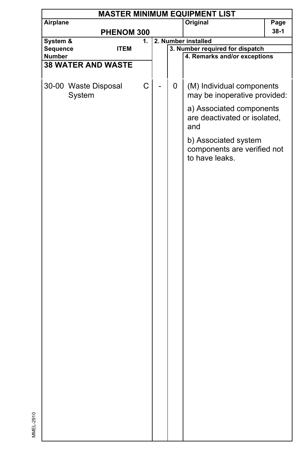|                                |             |    |   | <b>MASTER MINIMUM EQUIPMENT LIST</b>                                  |        |
|--------------------------------|-------------|----|---|-----------------------------------------------------------------------|--------|
| Airplane                       |             |    |   | Original                                                              | Page   |
|                                | PHENOM 300  |    |   |                                                                       | $38-1$ |
| System &                       |             | 1. |   | 2. Number installed                                                   |        |
| Sequence<br>Number             | <b>ITEM</b> |    |   | 3. Number required for dispatch<br>4. Remarks and/or exceptions       |        |
| <b>38 WATER AND WASTE</b>      |             |    |   |                                                                       |        |
|                                |             |    |   |                                                                       |        |
| 30-00 Waste Disposal<br>System |             | C  | 0 | (M) Individual components<br>may be inoperative provided:             |        |
|                                |             |    |   | a) Associated components<br>are deactivated or isolated,<br>and       |        |
|                                |             |    |   | b) Associated system<br>components are verified not<br>to have leaks. |        |
|                                |             |    |   |                                                                       |        |
|                                |             |    |   |                                                                       |        |
|                                |             |    |   |                                                                       |        |
|                                |             |    |   |                                                                       |        |
|                                |             |    |   |                                                                       |        |
|                                |             |    |   |                                                                       |        |
|                                |             |    |   |                                                                       |        |
|                                |             |    |   |                                                                       |        |
|                                |             |    |   |                                                                       |        |
|                                |             |    |   |                                                                       |        |
|                                |             |    |   |                                                                       |        |
|                                |             |    |   |                                                                       |        |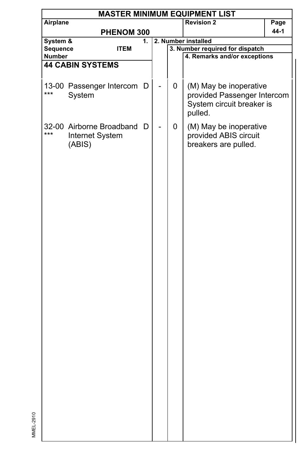|          | <b>MASTER MINIMUM EQUIPMENT LIST</b> |             |    |  |   |                                 |      |  |  |  |
|----------|--------------------------------------|-------------|----|--|---|---------------------------------|------|--|--|--|
| Airplane |                                      |             |    |  |   | <b>Revision 2</b>               | Page |  |  |  |
|          |                                      | PHENOM 300  |    |  |   |                                 | 44-1 |  |  |  |
| System & |                                      |             | 1. |  |   | 2. Number installed             |      |  |  |  |
| Sequence |                                      | <b>ITEM</b> |    |  |   | 3. Number required for dispatch |      |  |  |  |
| Number   |                                      |             |    |  |   | 4. Remarks and/or exceptions    |      |  |  |  |
|          | <b>44 CABIN SYSTEMS</b>              |             |    |  |   |                                 |      |  |  |  |
|          |                                      |             |    |  |   |                                 |      |  |  |  |
|          | 13-00 Passenger Intercom D           |             |    |  | 0 | (M) May be inoperative          |      |  |  |  |
| ***      | System                               |             |    |  |   | provided Passenger Intercom     |      |  |  |  |
|          |                                      |             |    |  |   |                                 |      |  |  |  |
|          |                                      |             |    |  |   | System circuit breaker is       |      |  |  |  |
|          |                                      |             |    |  |   | pulled.                         |      |  |  |  |
|          | 32-00 Airborne Broadband             |             | D  |  | 0 | (M) May be inoperative          |      |  |  |  |
| ***      | Internet System                      |             |    |  |   | provided ABIS circuit           |      |  |  |  |
|          | (ABIS)                               |             |    |  |   | breakers are pulled.            |      |  |  |  |
|          |                                      |             |    |  |   |                                 |      |  |  |  |
|          |                                      |             |    |  |   |                                 |      |  |  |  |
|          |                                      |             |    |  |   |                                 |      |  |  |  |
|          |                                      |             |    |  |   |                                 |      |  |  |  |
|          |                                      |             |    |  |   |                                 |      |  |  |  |
|          |                                      |             |    |  |   |                                 |      |  |  |  |
|          |                                      |             |    |  |   |                                 |      |  |  |  |
|          |                                      |             |    |  |   |                                 |      |  |  |  |
|          |                                      |             |    |  |   |                                 |      |  |  |  |
|          |                                      |             |    |  |   |                                 |      |  |  |  |
|          |                                      |             |    |  |   |                                 |      |  |  |  |
|          |                                      |             |    |  |   |                                 |      |  |  |  |
|          |                                      |             |    |  |   |                                 |      |  |  |  |
|          |                                      |             |    |  |   |                                 |      |  |  |  |
|          |                                      |             |    |  |   |                                 |      |  |  |  |
|          |                                      |             |    |  |   |                                 |      |  |  |  |
|          |                                      |             |    |  |   |                                 |      |  |  |  |
|          |                                      |             |    |  |   |                                 |      |  |  |  |
|          |                                      |             |    |  |   |                                 |      |  |  |  |
|          |                                      |             |    |  |   |                                 |      |  |  |  |
|          |                                      |             |    |  |   |                                 |      |  |  |  |
|          |                                      |             |    |  |   |                                 |      |  |  |  |
|          |                                      |             |    |  |   |                                 |      |  |  |  |
|          |                                      |             |    |  |   |                                 |      |  |  |  |
|          |                                      |             |    |  |   |                                 |      |  |  |  |
|          |                                      |             |    |  |   |                                 |      |  |  |  |
|          |                                      |             |    |  |   |                                 |      |  |  |  |
|          |                                      |             |    |  |   |                                 |      |  |  |  |
|          |                                      |             |    |  |   |                                 |      |  |  |  |
|          |                                      |             |    |  |   |                                 |      |  |  |  |
|          |                                      |             |    |  |   |                                 |      |  |  |  |
|          |                                      |             |    |  |   |                                 |      |  |  |  |
|          |                                      |             |    |  |   |                                 |      |  |  |  |
|          |                                      |             |    |  |   |                                 |      |  |  |  |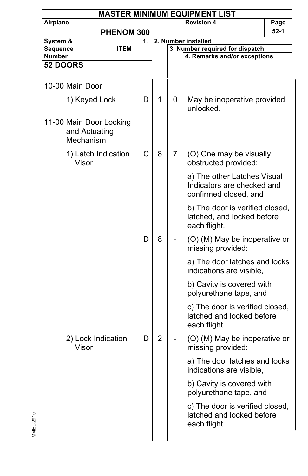|                                                       |                     |    |   |   | <b>MASTER MINIMUM EQUIPMENT LIST</b>                                               |        |
|-------------------------------------------------------|---------------------|----|---|---|------------------------------------------------------------------------------------|--------|
| Airplane                                              |                     |    |   |   | <b>Revision 4</b>                                                                  | Page   |
|                                                       | PHENOM 300          |    |   |   |                                                                                    | $52-1$ |
| System &                                              |                     | 1. |   |   | 2. Number installed                                                                |        |
| Sequence<br>Number                                    | <b>ITEM</b>         |    |   |   | 3. Number required for dispatch<br>4. Remarks and/or exceptions                    |        |
| <b>52 DOORS</b>                                       |                     |    |   |   |                                                                                    |        |
| 10-00 Main Door                                       |                     |    |   |   |                                                                                    |        |
| 1) Keyed Lock                                         |                     | D  | 1 | 0 | May be inoperative provided<br>unlocked.                                           |        |
| 11-00 Main Door Locking<br>and Actuating<br>Mechanism |                     |    |   |   |                                                                                    |        |
| Visor                                                 | 1) Latch Indication | С  | 8 | 7 | (O) One may be visually<br>obstructed provided:                                    |        |
|                                                       |                     |    |   |   | a) The other Latches Visual<br>Indicators are checked and<br>confirmed closed, and |        |
|                                                       |                     |    |   |   | b) The door is verified closed,<br>latched, and locked before<br>each flight.      |        |
|                                                       |                     | D  | 8 |   | (O) (M) May be inoperative or<br>missing provided:                                 |        |
|                                                       |                     |    |   |   | a) The door latches and locks<br>indications are visible,                          |        |
|                                                       |                     |    |   |   | b) Cavity is covered with<br>polyurethane tape, and                                |        |
|                                                       |                     |    |   |   | c) The door is verified closed,<br>latched and locked before<br>each flight.       |        |
| 2) Lock Indication<br>Visor                           |                     | D  | 2 |   | (O) (M) May be inoperative or<br>missing provided:                                 |        |
|                                                       |                     |    |   |   | a) The door latches and locks<br>indications are visible,                          |        |
|                                                       |                     |    |   |   | b) Cavity is covered with<br>polyurethane tape, and                                |        |
|                                                       |                     |    |   |   | c) The door is verified closed,<br>latched and locked before<br>each flight.       |        |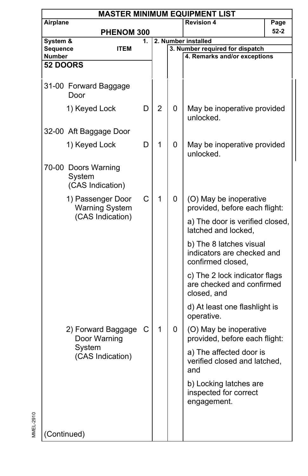|                                                                |                                                   |    |                |   | <b>MASTER MINIMUM EQUIPMENT LIST</b>                                       |          |
|----------------------------------------------------------------|---------------------------------------------------|----|----------------|---|----------------------------------------------------------------------------|----------|
| Airplane                                                       |                                                   |    |                |   | <b>Revision 4</b>                                                          | Page     |
|                                                                | PHENOM 300                                        |    |                |   |                                                                            | $52 - 2$ |
| System &                                                       |                                                   | 1. |                |   | 2. Number installed                                                        |          |
| Sequence<br>Number                                             | <b>ITEM</b>                                       |    |                |   | 3. Number required for dispatch<br>4. Remarks and/or exceptions            |          |
| <b>52 DOORS</b>                                                |                                                   |    |                |   |                                                                            |          |
|                                                                |                                                   |    |                |   |                                                                            |          |
|                                                                | 31-00 Forward Baggage<br>Door                     |    |                |   |                                                                            |          |
|                                                                | 1) Keyed Lock                                     | D  | $\overline{2}$ | 0 | May be inoperative provided<br>unlocked.                                   |          |
|                                                                | 32-00 Aft Baggage Door                            |    |                |   |                                                                            |          |
|                                                                | 1) Keyed Lock                                     | D  | 1              | 0 | May be inoperative provided<br>unlocked.                                   |          |
|                                                                | 70-00 Doors Warning<br>System<br>(CAS Indication) |    |                |   |                                                                            |          |
| 1) Passenger Door<br><b>Warning System</b><br>(CAS Indication) |                                                   | C  | 1              | 0 | (O) May be inoperative<br>provided, before each flight:                    |          |
|                                                                |                                                   |    |                |   | a) The door is verified closed,<br>latched and locked.                     |          |
|                                                                |                                                   |    |                |   | b) The 8 latches visual<br>indicators are checked and<br>confirmed closed, |          |
|                                                                |                                                   |    |                |   | c) The 2 lock indicator flags<br>are checked and confirmed<br>closed, and  |          |
|                                                                |                                                   |    |                |   | d) At least one flashlight is<br>operative.                                |          |
|                                                                | 2) Forward Baggage<br>Door Warning                | С  | 1              | 0 | (O) May be inoperative<br>provided, before each flight:                    |          |
| System<br>(CAS Indication)                                     |                                                   |    |                |   | a) The affected door is<br>verified closed and latched,<br>and             |          |
|                                                                |                                                   |    |                |   | b) Locking latches are<br>inspected for correct<br>engagement.             |          |
| (Continued)                                                    |                                                   |    |                |   |                                                                            |          |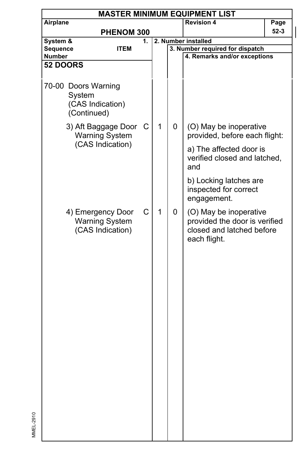|                                                            | <b>MASTER MINIMUM EQUIPMENT LIST</b> |      |  |  |  |  |  |  |
|------------------------------------------------------------|--------------------------------------|------|--|--|--|--|--|--|
| <b>Revision 4</b><br>Airplane                              |                                      | Page |  |  |  |  |  |  |
| PHENOM 300                                                 |                                      | 52-3 |  |  |  |  |  |  |
| System &<br>2. Number installed<br>1.                      |                                      |      |  |  |  |  |  |  |
| Sequence<br>3. Number required for dispatch<br><b>ITEM</b> |                                      |      |  |  |  |  |  |  |
| 4. Remarks and/or exceptions<br><b>Number</b>              |                                      |      |  |  |  |  |  |  |
| <b>52 DOORS</b>                                            |                                      |      |  |  |  |  |  |  |
|                                                            |                                      |      |  |  |  |  |  |  |
| 70-00 Doors Warning                                        |                                      |      |  |  |  |  |  |  |
| System                                                     |                                      |      |  |  |  |  |  |  |
| (CAS Indication)                                           |                                      |      |  |  |  |  |  |  |
| (Continued)                                                |                                      |      |  |  |  |  |  |  |
|                                                            |                                      |      |  |  |  |  |  |  |
| 1<br>0<br>3) Aft Baggage Door C<br>(O) May be inoperative  |                                      |      |  |  |  |  |  |  |
| <b>Warning System</b><br>provided, before each flight:     |                                      |      |  |  |  |  |  |  |
| (CAS Indication)<br>a) The affected door is                |                                      |      |  |  |  |  |  |  |
| verified closed and latched,                               |                                      |      |  |  |  |  |  |  |
| and                                                        |                                      |      |  |  |  |  |  |  |
|                                                            |                                      |      |  |  |  |  |  |  |
| b) Locking latches are                                     |                                      |      |  |  |  |  |  |  |
| inspected for correct                                      |                                      |      |  |  |  |  |  |  |
| engagement.                                                |                                      |      |  |  |  |  |  |  |
| 1<br>C<br>4) Emergency Door<br>(O) May be inoperative<br>0 |                                      |      |  |  |  |  |  |  |
| <b>Warning System</b><br>provided the door is verified     |                                      |      |  |  |  |  |  |  |
| (CAS Indication)<br>closed and latched before              |                                      |      |  |  |  |  |  |  |
| each flight.                                               |                                      |      |  |  |  |  |  |  |
|                                                            |                                      |      |  |  |  |  |  |  |
|                                                            |                                      |      |  |  |  |  |  |  |
|                                                            |                                      |      |  |  |  |  |  |  |
|                                                            |                                      |      |  |  |  |  |  |  |
|                                                            |                                      |      |  |  |  |  |  |  |
|                                                            |                                      |      |  |  |  |  |  |  |
|                                                            |                                      |      |  |  |  |  |  |  |
|                                                            |                                      |      |  |  |  |  |  |  |
|                                                            |                                      |      |  |  |  |  |  |  |
|                                                            |                                      |      |  |  |  |  |  |  |
|                                                            |                                      |      |  |  |  |  |  |  |
|                                                            |                                      |      |  |  |  |  |  |  |
|                                                            |                                      |      |  |  |  |  |  |  |
|                                                            |                                      |      |  |  |  |  |  |  |
|                                                            |                                      |      |  |  |  |  |  |  |
|                                                            |                                      |      |  |  |  |  |  |  |
|                                                            |                                      |      |  |  |  |  |  |  |
|                                                            |                                      |      |  |  |  |  |  |  |
|                                                            |                                      |      |  |  |  |  |  |  |
|                                                            |                                      |      |  |  |  |  |  |  |
|                                                            |                                      |      |  |  |  |  |  |  |
|                                                            |                                      |      |  |  |  |  |  |  |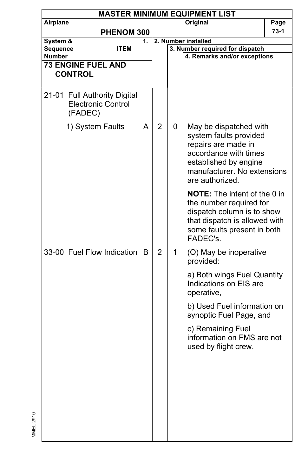|          | <b>MASTER MINIMUM EQUIPMENT LIST</b>                                 |    |                |   |                                                                                                                                                                             |        |  |  |
|----------|----------------------------------------------------------------------|----|----------------|---|-----------------------------------------------------------------------------------------------------------------------------------------------------------------------------|--------|--|--|
| Airplane |                                                                      |    |                |   | Original                                                                                                                                                                    | Page   |  |  |
|          | PHENOM 300                                                           |    |                |   |                                                                                                                                                                             | $73-1$ |  |  |
| System & |                                                                      | 1. |                |   | 2. Number installed                                                                                                                                                         |        |  |  |
| Sequence | <b>ITEM</b>                                                          |    |                |   | 3. Number required for dispatch                                                                                                                                             |        |  |  |
| Number   | <b>73 ENGINE FUEL AND</b>                                            |    |                |   | 4. Remarks and/or exceptions                                                                                                                                                |        |  |  |
|          | <b>CONTROL</b>                                                       |    |                |   |                                                                                                                                                                             |        |  |  |
|          |                                                                      |    |                |   |                                                                                                                                                                             |        |  |  |
|          | 21-01 Full Authority Digital<br><b>Electronic Control</b><br>(FADEC) |    |                |   |                                                                                                                                                                             |        |  |  |
|          | 1) System Faults                                                     | A  | $\overline{2}$ | 0 | May be dispatched with<br>system faults provided<br>repairs are made in<br>accordance with times<br>established by engine<br>manufacturer. No extensions<br>are authorized. |        |  |  |
|          |                                                                      |    |                |   | <b>NOTE:</b> The intent of the 0 in<br>the number required for<br>dispatch column is to show<br>that dispatch is allowed with<br>some faults present in both<br>FADEC's.    |        |  |  |
|          | 33-00 Fuel Flow Indication B                                         |    | $\overline{2}$ | 1 | (O) May be inoperative<br>provided:                                                                                                                                         |        |  |  |
|          |                                                                      |    |                |   | a) Both wings Fuel Quantity<br>Indications on EIS are<br>operative,                                                                                                         |        |  |  |
|          |                                                                      |    |                |   | b) Used Fuel information on<br>synoptic Fuel Page, and                                                                                                                      |        |  |  |
|          |                                                                      |    |                |   | c) Remaining Fuel<br>information on FMS are not<br>used by flight crew.                                                                                                     |        |  |  |
|          |                                                                      |    |                |   |                                                                                                                                                                             |        |  |  |
|          |                                                                      |    |                |   |                                                                                                                                                                             |        |  |  |
|          |                                                                      |    |                |   |                                                                                                                                                                             |        |  |  |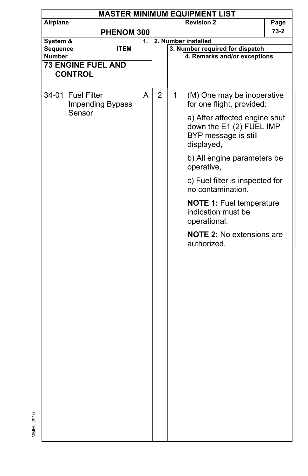|               | <b>MASTER MINIMUM EQUIPMENT LIST</b> |             |                |   |                                  |      |  |  |  |  |
|---------------|--------------------------------------|-------------|----------------|---|----------------------------------|------|--|--|--|--|
| Airplane      |                                      |             |                |   | <b>Revision 2</b>                | Page |  |  |  |  |
|               |                                      | PHENOM 300  |                |   |                                  | 73-2 |  |  |  |  |
| System &      |                                      | 1.          |                |   | 2. Number installed              |      |  |  |  |  |
| Sequence      |                                      | <b>ITEM</b> |                |   | 3. Number required for dispatch  |      |  |  |  |  |
| <b>Number</b> |                                      |             |                |   | 4. Remarks and/or exceptions     |      |  |  |  |  |
|               | <b>73 ENGINE FUEL AND</b>            |             |                |   |                                  |      |  |  |  |  |
|               | <b>CONTROL</b>                       |             |                |   |                                  |      |  |  |  |  |
|               |                                      |             |                |   |                                  |      |  |  |  |  |
|               |                                      |             |                |   |                                  |      |  |  |  |  |
|               | 34-01 Fuel Filter                    | A           | $\overline{2}$ | 1 | (M) One may be inoperative       |      |  |  |  |  |
|               | <b>Impending Bypass</b>              |             |                |   | for one flight, provided:        |      |  |  |  |  |
|               | Sensor                               |             |                |   | a) After affected engine shut    |      |  |  |  |  |
|               |                                      |             |                |   | down the E1 (2) FUEL IMP         |      |  |  |  |  |
|               |                                      |             |                |   | BYP message is still             |      |  |  |  |  |
|               |                                      |             |                |   | displayed,                       |      |  |  |  |  |
|               |                                      |             |                |   |                                  |      |  |  |  |  |
|               |                                      |             |                |   | b) All engine parameters be      |      |  |  |  |  |
|               |                                      |             |                |   | operative,                       |      |  |  |  |  |
|               |                                      |             |                |   | c) Fuel filter is inspected for  |      |  |  |  |  |
|               |                                      |             |                |   | no contamination.                |      |  |  |  |  |
|               |                                      |             |                |   |                                  |      |  |  |  |  |
|               |                                      |             |                |   | <b>NOTE 1: Fuel temperature</b>  |      |  |  |  |  |
|               |                                      |             |                |   | indication must be               |      |  |  |  |  |
|               |                                      |             |                |   | operational.                     |      |  |  |  |  |
|               |                                      |             |                |   |                                  |      |  |  |  |  |
|               |                                      |             |                |   | <b>NOTE 2: No extensions are</b> |      |  |  |  |  |
|               |                                      |             |                |   | authorized.                      |      |  |  |  |  |
|               |                                      |             |                |   |                                  |      |  |  |  |  |
|               |                                      |             |                |   |                                  |      |  |  |  |  |
|               |                                      |             |                |   |                                  |      |  |  |  |  |
|               |                                      |             |                |   |                                  |      |  |  |  |  |
|               |                                      |             |                |   |                                  |      |  |  |  |  |
|               |                                      |             |                |   |                                  |      |  |  |  |  |
|               |                                      |             |                |   |                                  |      |  |  |  |  |
|               |                                      |             |                |   |                                  |      |  |  |  |  |
|               |                                      |             |                |   |                                  |      |  |  |  |  |
|               |                                      |             |                |   |                                  |      |  |  |  |  |
|               |                                      |             |                |   |                                  |      |  |  |  |  |
|               |                                      |             |                |   |                                  |      |  |  |  |  |
|               |                                      |             |                |   |                                  |      |  |  |  |  |
|               |                                      |             |                |   |                                  |      |  |  |  |  |
|               |                                      |             |                |   |                                  |      |  |  |  |  |
|               |                                      |             |                |   |                                  |      |  |  |  |  |
|               |                                      |             |                |   |                                  |      |  |  |  |  |
|               |                                      |             |                |   |                                  |      |  |  |  |  |
|               |                                      |             |                |   |                                  |      |  |  |  |  |
|               |                                      |             |                |   |                                  |      |  |  |  |  |
|               |                                      |             |                |   |                                  |      |  |  |  |  |
|               |                                      |             |                |   |                                  |      |  |  |  |  |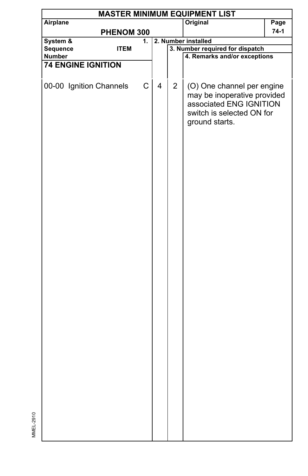| Airplane<br>Original<br>PHENOM 300<br>2. Number installed<br>System &<br>1.<br>3. Number required for dispatch<br>Sequence<br><b>ITEM</b><br>4. Remarks and/or exceptions<br>Number<br><b>74 ENGINE IGNITION</b><br>C<br>00-00 Ignition Channels<br>4<br>$\overline{2}$<br>(O) One channel per engine<br>may be inoperative provided<br>associated ENG IGNITION<br>switch is selected ON for<br>ground starts. |  |  |  | <b>MASTER MINIMUM EQUIPMENT LIST</b> |        |
|----------------------------------------------------------------------------------------------------------------------------------------------------------------------------------------------------------------------------------------------------------------------------------------------------------------------------------------------------------------------------------------------------------------|--|--|--|--------------------------------------|--------|
|                                                                                                                                                                                                                                                                                                                                                                                                                |  |  |  |                                      | Page   |
|                                                                                                                                                                                                                                                                                                                                                                                                                |  |  |  |                                      | $74-1$ |
|                                                                                                                                                                                                                                                                                                                                                                                                                |  |  |  |                                      |        |
|                                                                                                                                                                                                                                                                                                                                                                                                                |  |  |  |                                      |        |
|                                                                                                                                                                                                                                                                                                                                                                                                                |  |  |  |                                      |        |
|                                                                                                                                                                                                                                                                                                                                                                                                                |  |  |  |                                      |        |
|                                                                                                                                                                                                                                                                                                                                                                                                                |  |  |  |                                      |        |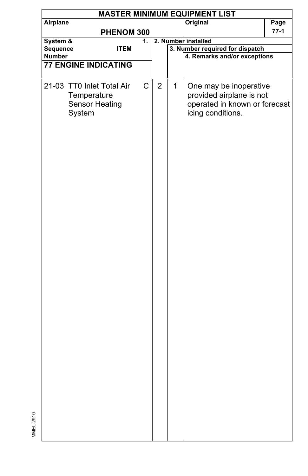|               |                             |             |             |                |   | <b>MASTER MINIMUM EQUIPMENT LIST</b> |        |
|---------------|-----------------------------|-------------|-------------|----------------|---|--------------------------------------|--------|
| Airplane      |                             |             |             |                |   | Original                             | Page   |
|               |                             | PHENOM 300  |             |                |   |                                      | $77-1$ |
| System &      |                             |             | 1.          |                |   | 2. Number installed                  |        |
| Sequence      |                             | <b>ITEM</b> |             |                |   | 3. Number required for dispatch      |        |
| <b>Number</b> |                             |             |             |                |   | 4. Remarks and/or exceptions         |        |
|               | <b>77 ENGINE INDICATING</b> |             |             |                |   |                                      |        |
|               |                             |             |             |                |   |                                      |        |
|               | 21-03 TT0 Inlet Total Air   |             | $\mathsf C$ | $\overline{2}$ | 1 | One may be inoperative               |        |
|               | Temperature                 |             |             |                |   | provided airplane is not             |        |
|               | <b>Sensor Heating</b>       |             |             |                |   | operated in known or forecast        |        |
|               | System                      |             |             |                |   | icing conditions.                    |        |
|               |                             |             |             |                |   |                                      |        |
|               |                             |             |             |                |   |                                      |        |
|               |                             |             |             |                |   |                                      |        |
|               |                             |             |             |                |   |                                      |        |
|               |                             |             |             |                |   |                                      |        |
|               |                             |             |             |                |   |                                      |        |
|               |                             |             |             |                |   |                                      |        |
|               |                             |             |             |                |   |                                      |        |
|               |                             |             |             |                |   |                                      |        |
|               |                             |             |             |                |   |                                      |        |
|               |                             |             |             |                |   |                                      |        |
|               |                             |             |             |                |   |                                      |        |
|               |                             |             |             |                |   |                                      |        |
|               |                             |             |             |                |   |                                      |        |
|               |                             |             |             |                |   |                                      |        |
|               |                             |             |             |                |   |                                      |        |
|               |                             |             |             |                |   |                                      |        |
|               |                             |             |             |                |   |                                      |        |
|               |                             |             |             |                |   |                                      |        |
|               |                             |             |             |                |   |                                      |        |
|               |                             |             |             |                |   |                                      |        |
|               |                             |             |             |                |   |                                      |        |
|               |                             |             |             |                |   |                                      |        |
|               |                             |             |             |                |   |                                      |        |
|               |                             |             |             |                |   |                                      |        |
|               |                             |             |             |                |   |                                      |        |
|               |                             |             |             |                |   |                                      |        |
|               |                             |             |             |                |   |                                      |        |
|               |                             |             |             |                |   |                                      |        |
|               |                             |             |             |                |   |                                      |        |
|               |                             |             |             |                |   |                                      |        |
|               |                             |             |             |                |   |                                      |        |
|               |                             |             |             |                |   |                                      |        |
|               |                             |             |             |                |   |                                      |        |
|               |                             |             |             |                |   |                                      |        |
|               |                             |             |             |                |   |                                      |        |
|               |                             |             |             |                |   |                                      |        |
|               |                             |             |             |                |   |                                      |        |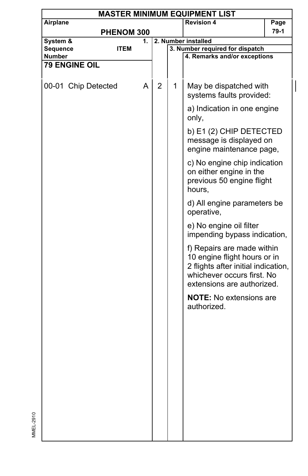|          |                      |             |    |                |   | <b>MASTER MINIMUM EQUIPMENT LIST</b>                                                                                                                          |      |
|----------|----------------------|-------------|----|----------------|---|---------------------------------------------------------------------------------------------------------------------------------------------------------------|------|
| Airplane |                      |             |    |                |   | <b>Revision 4</b>                                                                                                                                             | Page |
|          |                      | PHENOM 300  |    |                |   |                                                                                                                                                               | 79-1 |
| System & |                      |             | 1. |                |   | 2. Number installed                                                                                                                                           |      |
| Sequence |                      | <b>ITEM</b> |    |                |   | 3. Number required for dispatch                                                                                                                               |      |
| Number   |                      |             |    |                |   | 4. Remarks and/or exceptions                                                                                                                                  |      |
|          | <b>79 ENGINE OIL</b> |             |    |                |   |                                                                                                                                                               |      |
|          |                      |             |    |                |   |                                                                                                                                                               |      |
|          | 00-01 Chip Detected  |             | A  | $\overline{2}$ | 1 | May be dispatched with<br>systems faults provided:                                                                                                            |      |
|          |                      |             |    |                |   | a) Indication in one engine<br>only,                                                                                                                          |      |
|          |                      |             |    |                |   | b) E1 (2) CHIP DETECTED<br>message is displayed on<br>engine maintenance page,                                                                                |      |
|          |                      |             |    |                |   | c) No engine chip indication<br>on either engine in the<br>previous 50 engine flight<br>hours,                                                                |      |
|          |                      |             |    |                |   | d) All engine parameters be<br>operative,                                                                                                                     |      |
|          |                      |             |    |                |   | e) No engine oil filter<br>impending bypass indication,                                                                                                       |      |
|          |                      |             |    |                |   | f) Repairs are made within<br>10 engine flight hours or in<br>2 flights after initial indication,<br>whichever occurs first. No<br>extensions are authorized. |      |
|          |                      |             |    |                |   | <b>NOTE:</b> No extensions are<br>authorized.                                                                                                                 |      |
|          |                      |             |    |                |   |                                                                                                                                                               |      |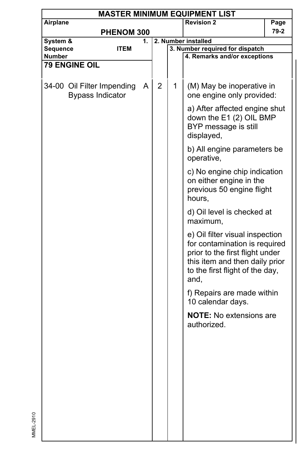|          |                                                       |             |    |   |   | <b>MASTER MINIMUM EQUIPMENT LIST</b>                                                                                                                                             |      |
|----------|-------------------------------------------------------|-------------|----|---|---|----------------------------------------------------------------------------------------------------------------------------------------------------------------------------------|------|
| Airplane |                                                       |             |    |   |   | <b>Revision 2</b>                                                                                                                                                                | Page |
|          |                                                       | PHENOM 300  |    |   |   |                                                                                                                                                                                  | 79-2 |
| System & |                                                       |             | 1. |   |   | 2. Number installed                                                                                                                                                              |      |
| Sequence |                                                       | <b>ITEM</b> |    |   |   | 3. Number required for dispatch                                                                                                                                                  |      |
| Number   |                                                       |             |    |   |   | 4. Remarks and/or exceptions                                                                                                                                                     |      |
|          | <b>79 ENGINE OIL</b>                                  |             |    |   |   |                                                                                                                                                                                  |      |
|          |                                                       |             |    |   |   |                                                                                                                                                                                  |      |
|          | 34-00 Oil Filter Impending<br><b>Bypass Indicator</b> |             | A  | 2 | 1 | (M) May be inoperative in<br>one engine only provided:                                                                                                                           |      |
|          |                                                       |             |    |   |   | a) After affected engine shut<br>down the E1 (2) OIL BMP<br>BYP message is still<br>displayed,                                                                                   |      |
|          |                                                       |             |    |   |   | b) All engine parameters be<br>operative,                                                                                                                                        |      |
|          |                                                       |             |    |   |   | c) No engine chip indication<br>on either engine in the<br>previous 50 engine flight<br>hours,                                                                                   |      |
|          |                                                       |             |    |   |   | d) Oil level is checked at<br>maximum,                                                                                                                                           |      |
|          |                                                       |             |    |   |   | e) Oil filter visual inspection<br>for contamination is required<br>prior to the first flight under<br>this item and then daily prior<br>to the first flight of the day,<br>and, |      |
|          |                                                       |             |    |   |   | f) Repairs are made within<br>10 calendar days.                                                                                                                                  |      |
|          |                                                       |             |    |   |   | <b>NOTE:</b> No extensions are<br>authorized.                                                                                                                                    |      |
|          |                                                       |             |    |   |   |                                                                                                                                                                                  |      |
|          |                                                       |             |    |   |   |                                                                                                                                                                                  |      |
|          |                                                       |             |    |   |   |                                                                                                                                                                                  |      |
|          |                                                       |             |    |   |   |                                                                                                                                                                                  |      |